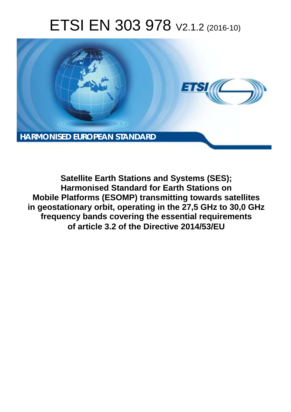# ETSI EN 303 978 V2.1.2 (2016-10)



**Satellite Earth Stations and Systems (SES); Harmonised Standard for Earth Stations on Mobile Platforms (ESOMP) transmitting towards satellites in geostationary orbit, operating in the 27,5 GHz to 30,0 GHz frequency bands covering the essential requirements of article 3.2 of the Directive 2014/53/EU**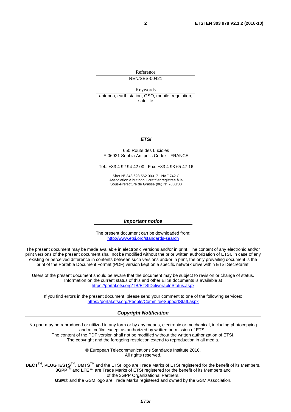Reference REN/SES-00421

Keywords antenna, earth station, GSO, mobile, regulation, satellite

#### *ETSI*

#### 650 Route des Lucioles F-06921 Sophia Antipolis Cedex - FRANCE

Tel.: +33 4 92 94 42 00 Fax: +33 4 93 65 47 16

Siret N° 348 623 562 00017 - NAF 742 C Association à but non lucratif enregistrée à la Sous-Préfecture de Grasse (06) N° 7803/88

#### *Important notice*

The present document can be downloaded from: <http://www.etsi.org/standards-search>

The present document may be made available in electronic versions and/or in print. The content of any electronic and/or print versions of the present document shall not be modified without the prior written authorization of ETSI. In case of any existing or perceived difference in contents between such versions and/or in print, the only prevailing document is the print of the Portable Document Format (PDF) version kept on a specific network drive within ETSI Secretariat.

Users of the present document should be aware that the document may be subject to revision or change of status. Information on the current status of this and other ETSI documents is available at <https://portal.etsi.org/TB/ETSIDeliverableStatus.aspx>

If you find errors in the present document, please send your comment to one of the following services: <https://portal.etsi.org/People/CommiteeSupportStaff.aspx>

#### *Copyright Notification*

No part may be reproduced or utilized in any form or by any means, electronic or mechanical, including photocopying and microfilm except as authorized by written permission of ETSI.

The content of the PDF version shall not be modified without the written authorization of ETSI. The copyright and the foregoing restriction extend to reproduction in all media.

> © European Telecommunications Standards Institute 2016. All rights reserved.

**DECT**TM, **PLUGTESTS**TM, **UMTS**TM and the ETSI logo are Trade Marks of ETSI registered for the benefit of its Members. **3GPP**TM and **LTE**™ are Trade Marks of ETSI registered for the benefit of its Members and of the 3GPP Organizational Partners.

**GSM**® and the GSM logo are Trade Marks registered and owned by the GSM Association.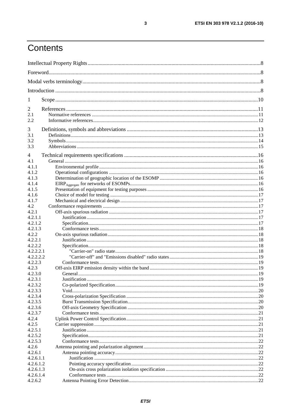## Contents

| 1                    |  |  |  |
|----------------------|--|--|--|
| 2                    |  |  |  |
| 2.1                  |  |  |  |
| 2.2                  |  |  |  |
| 3                    |  |  |  |
| 3.1                  |  |  |  |
| 3.2                  |  |  |  |
| 3.3                  |  |  |  |
| 4                    |  |  |  |
| 4.1                  |  |  |  |
| 4.1.1                |  |  |  |
| 4.1.2                |  |  |  |
| 4.1.3                |  |  |  |
| 4.1.4                |  |  |  |
| 4.1.5                |  |  |  |
| 4.1.6                |  |  |  |
| 4.1.7                |  |  |  |
| 4.2                  |  |  |  |
| 4.2.1                |  |  |  |
| 4.2.1.1              |  |  |  |
| 4.2.1.2              |  |  |  |
| 4.2.1.3              |  |  |  |
| 4.2.2                |  |  |  |
| 4.2.2.1              |  |  |  |
| 4.2.2.2              |  |  |  |
| 4.2.2.2.1            |  |  |  |
| 4.2.2.2.2<br>4.2.2.3 |  |  |  |
| 4.2.3                |  |  |  |
| 4.2.3.0              |  |  |  |
| 4.2.3.1              |  |  |  |
| 4.2.3.2              |  |  |  |
| 4.2.3.3              |  |  |  |
| 4.2.3.4              |  |  |  |
| 4.2.3.5              |  |  |  |
| 4.2.3.6              |  |  |  |
| 4.2.3.7              |  |  |  |
| 4.2.4                |  |  |  |
| 4.2.5                |  |  |  |
| 4.2.5.1              |  |  |  |
| 4.2.5.2              |  |  |  |
| 4.2.5.3              |  |  |  |
| 4.2.6                |  |  |  |
| 4.2.6.1              |  |  |  |
| 4.2.6.1.1            |  |  |  |
| 4.2.6.1.2            |  |  |  |
| 4.2.6.1.3            |  |  |  |
| 4.2.6.1.4            |  |  |  |
| 4.2.6.2              |  |  |  |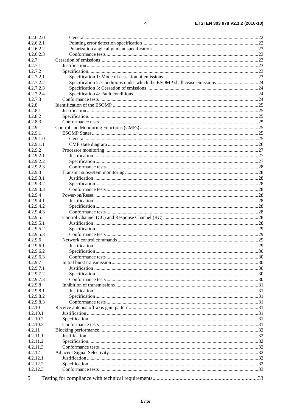| 4.2.6.2.0 |  |
|-----------|--|
| 4.2.6.2.1 |  |
| 4.2.6.2.2 |  |
| 4.2.6.2.3 |  |
| 4.2.7     |  |
| 4.2.7.1   |  |
| 4.2.7.2   |  |
| 4.2.7.2.1 |  |
| 4.2.7.2.2 |  |
| 4.2.7.2.3 |  |
| 4.2.7.2.4 |  |
| 4.2.7.3   |  |
| 4.2.8     |  |
| 4.2.8.1   |  |
| 4.2.8.2   |  |
| 4.2.8.3   |  |
| 4.2.9     |  |
| 4.2.9.1   |  |
| 4.2.9.1.0 |  |
| 4.2.9.1.1 |  |
| 4.2.9.2   |  |
|           |  |
| 4.2.9.2.1 |  |
| 4.2.9.2.2 |  |
| 4.2.9.2.3 |  |
| 4.2.9.3   |  |
| 4.2.9.3.1 |  |
| 4.2.9.3.2 |  |
| 4.2.9.3.3 |  |
| 4.2.9.4   |  |
| 4.2.9.4.1 |  |
| 4.2.9.4.2 |  |
| 4.2.9.4.3 |  |
| 4.2.9.5   |  |
| 4.2.9.5.1 |  |
| 4.2.9.5.2 |  |
| 4.2.9.5.3 |  |
| 4.2.9.6   |  |
| 4.2.9.6.1 |  |
| 4.2.9.6.2 |  |
| 4.2.9.6.3 |  |
| 4.2.9.7   |  |
| 4.2.9.7.1 |  |
| 4.2.9.7.2 |  |
| 4.2.9.7.3 |  |
| 4.2.9.8   |  |
| 4.2.9.8.1 |  |
| 4.2.9.8.2 |  |
| 4.2.9.8.3 |  |
| 4.2.10    |  |
| 4.2.10.1  |  |
| 4.2.10.2  |  |
| 4.2.10.3  |  |
| 4.2.11    |  |
| 4.2.11.1  |  |
|           |  |
| 4.2.11.2  |  |
| 4.2.11.3  |  |
| 4.2.12    |  |
| 4.2.12.1  |  |
| 4.2.12.2  |  |
| 4.2.12.3  |  |
| 5         |  |
|           |  |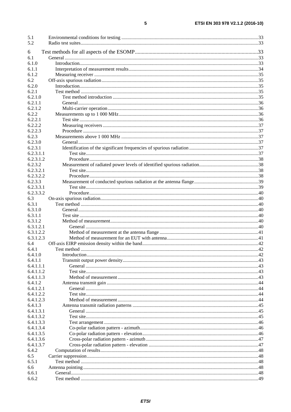| 5.1                    |  |
|------------------------|--|
| 5.2                    |  |
|                        |  |
| 6                      |  |
| 6.1                    |  |
| 6.1.0                  |  |
| 6.1.1                  |  |
| 6.1.2                  |  |
| 6.2                    |  |
| 6.2.0                  |  |
| 6.2.1                  |  |
| 6.2.1.0                |  |
| 6.2.1.1                |  |
| 6.2.1.2                |  |
| 6.2.2                  |  |
| 6.2.2.1                |  |
| 6.2.2.2                |  |
| 6.2.2.3                |  |
| 6.2.3                  |  |
| 6.2.3.0                |  |
| 6.2.3.1                |  |
| 6.2.3.1.1              |  |
| 6.2.3.1.2              |  |
| 6.2.3.2                |  |
|                        |  |
| 6.2.3.2.1<br>6.2.3.2.2 |  |
|                        |  |
| 6.2.3.3                |  |
| 6.2.3.3.1              |  |
| 6.2.3.3.2              |  |
| 6.3                    |  |
| 6.3.1                  |  |
| 6.3.1.0                |  |
| 6.3.1.1                |  |
| 6.3.1.2                |  |
| 6.3.1.2.1              |  |
| 6.3.1.2.2              |  |
| 6.3.1.2.3              |  |
| 6.4                    |  |
| 6.4.1                  |  |
| 6.4.1.0                |  |
| 6.4.1.1                |  |
| 6.4.1.1.1              |  |
| 6.4.1.1.2              |  |
| 6.4.1.1.3              |  |
| 6.4.1.2                |  |
| 6.4.1.2.1              |  |
| 6.4.1.2.2              |  |
| 6.4.1.2.3              |  |
| 6.4.1.3                |  |
| 6.4.1.3.1              |  |
| 6.4.1.3.2              |  |
| 6.4.1.3.3              |  |
|                        |  |
| 6.4.1.3.4              |  |
| 6.4.1.3.5              |  |
| 6.4.1.3.6              |  |
| 6.4.1.3.7              |  |
| 6.4.2                  |  |
| 6.5                    |  |
| 6.5.1                  |  |
| 6.6                    |  |
| 6.6.1                  |  |
| 6.6.2                  |  |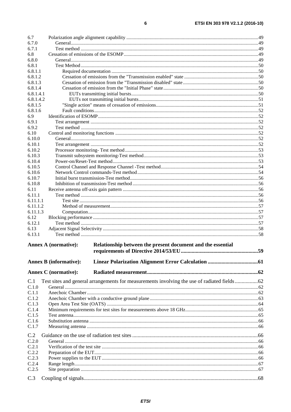| 6.7              |                                                                                             |  |
|------------------|---------------------------------------------------------------------------------------------|--|
| 6.7.0            |                                                                                             |  |
| 6.7.1            |                                                                                             |  |
| 6.8              |                                                                                             |  |
| 6.8.0            |                                                                                             |  |
| 6.8.1            |                                                                                             |  |
| 6.8.1.1          |                                                                                             |  |
| 6.8.1.2          |                                                                                             |  |
| 6.8.1.3          |                                                                                             |  |
| 6.8.1.4          |                                                                                             |  |
| 6.8.1.4.1        |                                                                                             |  |
| 6.8.1.4.2        |                                                                                             |  |
| 6.8.1.5          |                                                                                             |  |
| 6.8.1.6          |                                                                                             |  |
| 6.9              |                                                                                             |  |
| 6.9.1            |                                                                                             |  |
| 6.9.2            |                                                                                             |  |
| 6.10             |                                                                                             |  |
| 6.10.0           |                                                                                             |  |
| 6.10.1           |                                                                                             |  |
| 6.10.2<br>6.10.3 |                                                                                             |  |
| 6.10.4           |                                                                                             |  |
| 6.10.5           |                                                                                             |  |
| 6.10.6           |                                                                                             |  |
| 6.10.7           |                                                                                             |  |
| 6.10.8           |                                                                                             |  |
| 6.11             |                                                                                             |  |
| 6.11.1           |                                                                                             |  |
| 6.11.1.1         |                                                                                             |  |
| 6.11.1.2         |                                                                                             |  |
| 6.11.1.3         |                                                                                             |  |
| 6.12             |                                                                                             |  |
| 6.12.1           |                                                                                             |  |
| 6.13             |                                                                                             |  |
| 6.13.1           |                                                                                             |  |
|                  | Relationship between the present document and the essential<br>Annex A (normative):         |  |
|                  | <b>Annex B</b> (informative):                                                               |  |
|                  |                                                                                             |  |
|                  | <b>Annex C</b> (normative):                                                                 |  |
| C.1              | Test sites and general arrangements for measurements involving the use of radiated fields62 |  |
| C.1.0            |                                                                                             |  |
| C.1.1            |                                                                                             |  |
| C.1.2            |                                                                                             |  |
| C.1.3            |                                                                                             |  |
| C.1.4            |                                                                                             |  |
| C.1.5            |                                                                                             |  |
| C.1.6            |                                                                                             |  |
| C.1.7            |                                                                                             |  |
|                  |                                                                                             |  |
| C.2              |                                                                                             |  |
| C.2.0            |                                                                                             |  |
| C.2.1            |                                                                                             |  |
| C.2.2            |                                                                                             |  |
| C.2.3            |                                                                                             |  |
| C.2.4<br>C.2.5   |                                                                                             |  |
|                  |                                                                                             |  |
|                  |                                                                                             |  |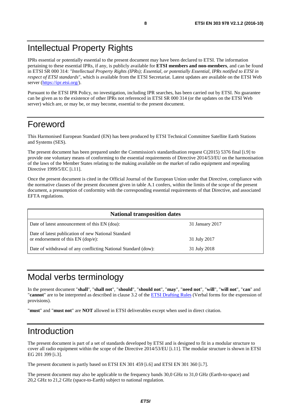## <span id="page-7-0"></span>Intellectual Property Rights

IPRs essential or potentially essential to the present document may have been declared to ETSI. The information pertaining to these essential IPRs, if any, is publicly available for **ETSI members and non-members**, and can be found in ETSI SR 000 314: *"Intellectual Property Rights (IPRs); Essential, or potentially Essential, IPRs notified to ETSI in respect of ETSI standards"*, which is available from the ETSI Secretariat. Latest updates are available on the ETSI Web server [\(https://ipr.etsi.org/](https://ipr.etsi.org/)).

Pursuant to the ETSI IPR Policy, no investigation, including IPR searches, has been carried out by ETSI. No guarantee can be given as to the existence of other IPRs not referenced in ETSI SR 000 314 (or the updates on the ETSI Web server) which are, or may be, or may become, essential to the present document.

## Foreword

This Harmonised European Standard (EN) has been produced by ETSI Technical Committee Satellite Earth Stations and Systems (SES).

The present document has been prepared under the Commission's standardisation request C(2015) 5376 final [\[i.9](#page-11-0)] to provide one voluntary means of conforming to the essential requirements of Directive 2014/53/EU on the harmonisation of the laws of the Member States relating to the making available on the market of radio equipment and repealing Directive 1999/5/EC [\[i.11](#page-11-0)].

Once the present document is cited in the Official Journal of the European Union under that Directive, compliance with the normative clauses of the present document given in table A.1 confers, within the limits of the scope of the present document, a presumption of conformity with the corresponding essential requirements of that Directive, and associated EFTA regulations.

| <b>National transposition dates</b>                                                         |                 |  |
|---------------------------------------------------------------------------------------------|-----------------|--|
| Date of latest announcement of this EN (doa):                                               | 31 January 2017 |  |
| Date of latest publication of new National Standard<br>or endorsement of this $EN$ (dop/e): | 31 July 2017    |  |
| Date of withdrawal of any conflicting National Standard (dow):                              | 31 July 2018    |  |

## Modal verbs terminology

In the present document "**shall**", "**shall not**", "**should**", "**should not**", "**may**", "**need not**", "**will**", "**will not**", "**can**" and "**cannot**" are to be interpreted as described in clause 3.2 of the [ETSI Drafting Rules](https://portal.etsi.org/Services/editHelp!/Howtostart/ETSIDraftingRules.aspx) (Verbal forms for the expression of provisions).

"**must**" and "**must not**" are **NOT** allowed in ETSI deliverables except when used in direct citation.

## Introduction

The present document is part of a set of standards developed by ETSI and is designed to fit in a modular structure to cover all radio equipment within the scope of the Directive 2014/53/EU [\[i.11](#page-11-0)]. The modular structure is shown in ETSI EG 201 399 [\[i.3](#page-11-0)].

The present document is partly based on ETSI EN 301 459 [\[i.6](#page-11-0)] and ETSI EN 301 360 [\[i.7](#page-11-0)].

The present document may also be applicable to the frequency bands 30,0 GHz to 31,0 GHz (Earth-to-space) and 20,2 GHz to 21,2 GHz (space-to-Earth) subject to national regulation.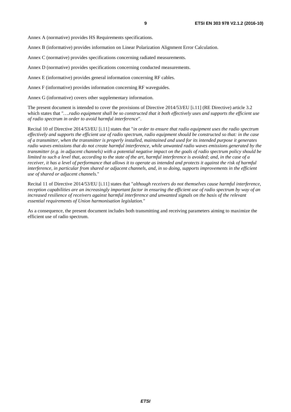Annex A (normative) provides HS Requirements specifications.

Annex B (informative) provides information on Linear Polarization Alignment Error Calculation.

Annex C (normative) provides specifications concerning radiated measurements.

Annex D (normative) provides specifications concerning conducted measurements.

Annex E (informative) provides general information concerning RF cables.

Annex F (informative) provides information concerning RF waveguides.

Annex G (informative) covers other supplementary information.

The present document is intended to cover the provisions of Directive 2014/53/EU [\[i.11](#page-11-0)] (RE Directive) article 3.2 which states that "*….radio equipment shall be so constructed that it both effectively uses and supports the efficient use of radio spectrum in order to avoid harmful interference*".

Recital 10 of Directive 2014/53/EU [\[i.11](#page-11-0)] states that "*in order to ensure that radio equipment uses the radio spectrum effectively and supports the efficient use of radio spectrum, radio equipment should be constructed so that: in the case of a transmitter, when the transmitter is properly installed, maintained and used for its intended purpose it generates radio waves emissions that do not create harmful interference, while unwanted radio waves emissions generated by the transmitter (e.g. in adjacent channels) with a potential negative impact on the goals of radio spectrum policy should be limited to such a level that, according to the state of the art, harmful interference is avoided; and, in the case of a receiver, it has a level of performance that allows it to operate as intended and protects it against the risk of harmful interference, in particular from shared or adjacent channels, and, in so doing, supports improvements in the efficient use of shared or adjacent channels.*"

Recital 11 of Directive 2014/53/EU [\[i.11](#page-11-0)] states that "*although receivers do not themselves cause harmful interference, reception capabilities are an increasingly important factor in ensuring the efficient use of radio spectrum by way of an increased resilience of receivers against harmful interference and unwanted signals on the basis of the relevant essential requirements of Union harmonisation legislation.*"

As a consequence, the present document includes both transmitting and receiving parameters aiming to maximize the efficient use of radio spectrum.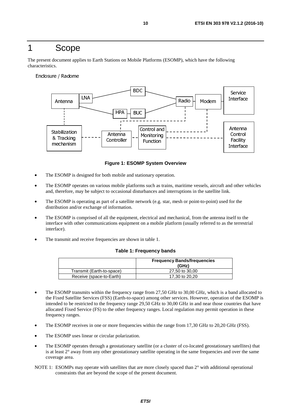### <span id="page-9-0"></span>1 Scope

The present document applies to Earth Stations on Mobile Platforms (ESOMP), which have the following characteristics.

Enclosure / Radome



**Figure 1: ESOMP System Overview** 

- The ESOMP is designed for both mobile and stationary operation.
- The ESOMP operates on various mobile platforms such as trains, maritime vessels, aircraft and other vehicles and, therefore, may be subject to occasional disturbances and interruptions in the satellite link.
- The ESOMP is operating as part of a satellite network (e.g. star, mesh or point-to-point) used for the distribution and/or exchange of information.
- The ESOMP is comprised of all the equipment, electrical and mechanical, from the antenna itself to the interface with other communications equipment on a mobile platform (usually referred to as the terrestrial interface).
- The transmit and receive frequencies are shown in table 1.

#### **Table 1: Frequency bands**

|                           | <b>Frequency Bands/frequencies</b><br>(GHz) |
|---------------------------|---------------------------------------------|
| Transmit (Earth-to-space) | 27,50 to 30,00                              |
| Receive (space-to-Earth)  | 17.30 to 20.20                              |

- The ESOMP transmits within the frequency range from 27,50 GHz to 30,00 GHz, which is a band allocated to the Fixed Satellite Services (FSS) (Earth-to-space) among other services. However, operation of the ESOMP is intended to be restricted to the frequency range 29,50 GHz to 30,00 GHz in and near those countries that have allocated Fixed Service (FS) to the other frequency ranges. Local regulation may permit operation in these frequency ranges.
- The ESOMP receives in one or more frequencies within the range from 17,30 GHz to 20,20 GHz (FSS).
- The ESOMP uses linear or circular polarization.
- The ESOMP operates through a geostationary satellite (or a cluster of co-located geostationary satellites) that is at least  $2^\circ$  away from any other geostationary satellite operating in the same frequencies and over the same coverage area.
- NOTE 1: ESOMPs may operate with satellites that are more closely spaced than 2° with additional operational constraints that are beyond the scope of the present document.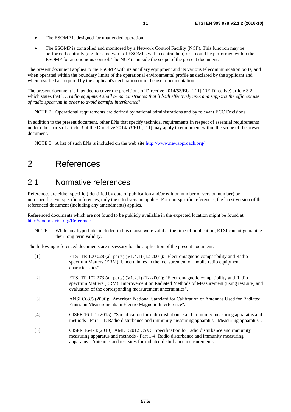- <span id="page-10-0"></span>• The ESOMP is designed for unattended operation.
- The ESOMP is controlled and monitored by a Network Control Facility (NCF). This function may be performed centrally (e.g. for a network of ESOMPs with a central hub) or it could be performed within the ESOMP for autonomous control. The NCF is outside the scope of the present document.

The present document applies to the ESOMP with its ancillary equipment and its various telecommunication ports, and when operated within the boundary limits of the operational environmental profile as declared by the applicant and when installed as required by the applicant's declaration or in the user documentation.

The present document is intended to cover the provisions of Directive 2014/53/EU [\[i.11](#page-11-0)] (RE Directive) article 3.2, which states that "*… radio equipment shall be so constructed that it both effectively uses and supports the efficient use of radio spectrum in order to avoid harmful interference*".

NOTE 2: Operational requirements are defined by national administrations and by relevant ECC Decisions.

In addition to the present document, other ENs that specify technical requirements in respect of essential requirements under other parts of article 3 of the Directive 2014/53/EU [\[i.11](#page-11-0)] may apply to equipment within the scope of the present document.

NOTE 3: A list of such ENs is included on the web site [http://www.newapproach.org/.](http://www.newapproach.org/)

## 2 References

### 2.1 Normative references

References are either specific (identified by date of publication and/or edition number or version number) or non-specific. For specific references, only the cited version applies. For non-specific references, the latest version of the referenced document (including any amendments) applies.

Referenced documents which are not found to be publicly available in the expected location might be found at <http://docbox.etsi.org/Reference>.

NOTE: While any hyperlinks included in this clause were valid at the time of publication, ETSI cannot guarantee their long term validity.

The following referenced documents are necessary for the application of the present document.

| $\lceil 1 \rceil$ | ETSI TR 100 028 (all parts) (V1.4.1) (12-2001): "Electromagnetic compatibility and Radio<br>spectrum Matters (ERM); Uncertainties in the measurement of mobile radio equipment<br>characteristics".                                                         |
|-------------------|-------------------------------------------------------------------------------------------------------------------------------------------------------------------------------------------------------------------------------------------------------------|
| $[2]$             | ETSI TR 102 273 (all parts) (V1.2.1) (12-2001): "Electromagnetic compatibility and Radio<br>spectrum Matters (ERM); Improvement on Radiated Methods of Measurement (using test site) and<br>evaluation of the corresponding measurement uncertainties".     |
| $\lceil 3 \rceil$ | ANSI C63.5 (2006): "American National Standard for Calibration of Antennas Used for Radiated<br>Emission Measurements in Electro Magnetic Interference".                                                                                                    |
| [4]               | CISPR 16-1-1 (2015): "Specification for radio disturbance and immunity measuring apparatus and<br>methods - Part 1-1: Radio disturbance and immunity measuring apparatus - Measuring apparatus".                                                            |
| $[5]$             | CISPR 16-1-4:(2010)+AMD1:2012 CSV: "Specification for radio disturbance and immunity<br>measuring apparatus and methods - Part 1-4: Radio disturbance and immunity measuring<br>apparatus - Antennas and test sites for radiated disturbance measurements". |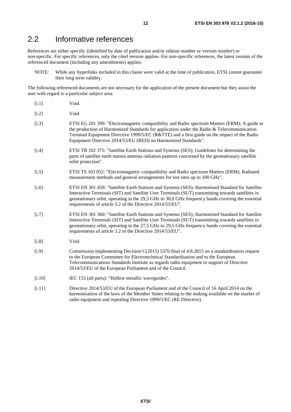## <span id="page-11-0"></span>2.2 Informative references

References are either specific (identified by date of publication and/or edition number or version number) or non-specific. For specific references, only the cited version applies. For non-specific references, the latest version of the referenced document (including any amendments) applies.

NOTE: While any hyperlinks included in this clause were valid at the time of publication, ETSI cannot guarantee their long term validity.

The following referenced documents are not necessary for the application of the present document but they assist the user with regard to a particular subject area.

- [i.1] Void.
- [i.2] Void.
- [i.3] ETSI EG 201 399: "Electromagnetic compatibility and Radio spectrum Matters (ERM); A guide to the production of Harmonized Standards for application under the Radio & Telecommunication Terminal Equipment Directive 1999/5/EC (R&TTE) and a first guide on the impact of the Radio Equipment Directive 2014/53/EU (RED) on Harmonized Standards".
- [i.4] ETSI TR 102 375: "Satellite Earth Stations and Systems (SES); Guidelines for determining the parts of satellite earth station antenna radiation patterns concerned by the geostationary satellite orbit protection".
- [i.5] ETSI TS 103 052: "Electromagnetic compatibility and Radio spectrum Matters (ERM); Radiated measurement methods and general arrangements for test sites up to 100 GHz".
- [i.6] ETSI EN 301 459: "Satellite Earth Stations and Systems (SES); Harmonised Standard for Satellite Interactive Terminals (SIT) and Satellite User Terminals (SUT) transmitting towards satellites in geostationary orbit, operating in the 29,5 GHz to 30,0 GHz frequency bands covering the essential requirements of article 3.2 of the Directive 2014/53/EU".
- [i.7] ETSI EN 301 360: "Satellite Earth Stations and Systems (SES); Harmonised Standard for Satellite Interactive Terminals (SIT) and Satellite User Terminals (SUT) transmitting towards satellites in geostationary orbit, operating in the 27,5 GHz to 29,5 GHz frequency bands covering the essential requirements of article 3.2 of the Directive 2014/53/EU".
- [i.8] Void.
- [i.9] Commission Implementing Decision C(2015) 5376 final of 4.8.2015 on a standardisation request to the European Committee for Electrotechnical Standardisation and to the European Telecommunications Standards Institute as regards radio equipment in support of Directive 2014/53/EU of the European Parliament and of the Council.
- [i.10] IEC 153 (all parts): "Hollow metallic waveguides".
- [i.11] Directive 2014/53/EU of the European Parliament and of the Council of 16 April 2014 on the harmonisation of the laws of the Member States relating to the making available on the market of radio equipment and repealing Directive 1999/5/EC (RE Directive).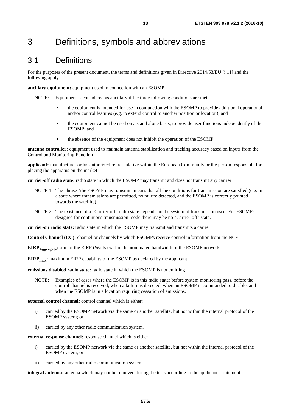## <span id="page-12-0"></span>3 Definitions, symbols and abbreviations

### 3.1 Definitions

For the purposes of the present document, the terms and definitions given in Directive 2014/53/EU [\[i.11](#page-11-0)] and the following apply:

**ancillary equipment:** equipment used in connection with an ESOMP

NOTE: Equipment is considered as ancillary if the three following conditions are met:

- the equipment is intended for use in conjunction with the ESOMP to provide additional operational and/or control features (e.g. to extend control to another position or location); and
- the equipment cannot be used on a stand alone basis, to provide user functions independently of the ESOMP; and
- the absence of the equipment does not inhibit the operation of the ESOMP.

**antenna controller:** equipment used to maintain antenna stabilization and tracking accuracy based on inputs from the Control and Monitoring Function

**applicant:** manufacturer or his authorized representative within the European Community or the person responsible for placing the apparatus on the market

**carrier-off radio state:** radio state in which the ESOMP may transmit and does not transmit any carrier

- NOTE 1: The phrase "the ESOMP may transmit" means that all the conditions for transmission are satisfied (e.g. in a state where transmissions are permitted, no failure detected, and the ESOMP is correctly pointed towards the satellite).
- NOTE 2: The existence of a "Carrier-off" radio state depends on the system of transmission used. For ESOMPs designed for continuous transmission mode there may be no "Carrier-off" state.

**carrier-on radio state:** radio state in which the ESOMP may transmit and transmits a carrier

**Control Channel (CC):** channel or channels by which ESOMPs receive control information from the NCF

**EIRP** Aggregate: sum of the EIRP (Watts) within the nominated bandwidth of the ESOMP network

**EIRP<sub>max</sub>:** maximum EIRP capability of the ESOMP as declared by the applicant

**emissions disabled radio state:** radio state in which the ESOMP is not emitting

NOTE: Examples of cases where the ESOMP is in this radio state: before system monitoring pass, before the control channel is received, when a failure is detected, when an ESOMP is commanded to disable, and when the ESOMP is in a location requiring cessation of emissions.

**external control channel:** control channel which is either:

- i) carried by the ESOMP network via the same or another satellite, but not within the internal protocol of the ESOMP system; or
- ii) carried by any other radio communication system.

**external response channel:** response channel which is either:

- i) carried by the ESOMP network via the same or another satellite, but not within the internal protocol of the ESOMP system; or
- ii) carried by any other radio communication system.

**integral antenna:** antenna which may not be removed during the tests according to the applicant's statement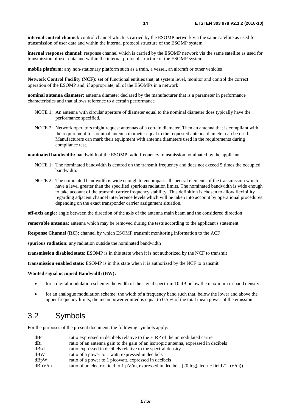<span id="page-13-0"></span>**internal control channel:** control channel which is carried by the ESOMP network via the same satellite as used for transmission of user data and within the internal protocol structure of the ESOMP system

**internal response channel:** response channel which is carried by the ESOMP network via the same satellite as used for transmission of user data and within the internal protocol structure of the ESOMP system

**mobile platform:** any non-stationary platform such as a train, a vessel, an aircraft or other vehicles

**Network Control Facility (NCF):** set of functional entities that, at system level, monitor and control the correct operation of the ESOMP and, if appropriate, all of the ESOMPs in a network

**nominal antenna diameter:** antenna diameter declared by the manufacturer that is a parameter in performance characteristics and that allows reference to a certain performance

- NOTE 1: An antenna with circular aperture of diameter equal to the nominal diameter does typically have the performance specified.
- NOTE 2: Network operators might request antennas of a certain diameter. Then an antenna that is compliant with the requirement for nominal antenna diameter equal to the requested antenna diameter can be used. Manufacturers can mark their equipment with antenna diameters used in the requirements during compliance test.

**nominated bandwidth:** bandwidth of the ESOMP radio frequency transmission nominated by the applicant

- NOTE 1: The nominated bandwidth is centred on the transmit frequency and does not exceed 5 times the occupied bandwidth.
- NOTE 2: The nominated bandwidth is wide enough to encompass all spectral elements of the transmission which have a level greater than the specified spurious radiation limits. The nominated bandwidth is wide enough to take account of the transmit carrier frequency stability. This definition is chosen to allow flexibility regarding adjacent channel interference levels which will be taken into account by operational procedures depending on the exact transponder carrier assignment situation.

**off-axis angle:** angle between the direction of the axis of the antenna main beam and the considered direction

**removable antenna:** antenna which may be removed during the tests according to the applicant's statement

**Response Channel (RC):** channel by which ESOMP transmit monitoring information to the ACF

**spurious radiation:** any radiation outside the nominated bandwidth

**transmission disabled state:** ESOMP is in this state when it is not authorized by the NCF to transmit

**transmission enabled state:** ESOMP is in this state when it is authorized by the NCF to transmit

#### **Wanted signal occupied Bandwidth (BW):**

- for a digital modulation scheme: the width of the signal spectrum 10 dB below the maximum in-band density;
- for an analogue modulation scheme: the width of a frequency band such that, below the lower and above the upper frequency limits, the mean power emitted is equal to 0,5 % of the total mean power of the emission.

### 3.2 Symbols

For the purposes of the present document, the following symbols apply:

| dBc         | ratio expressed in decibels relative to the EIRP of the unmodulated carrier                            |
|-------------|--------------------------------------------------------------------------------------------------------|
| dBi         | ratio of an antenna gain to the gain of an isotropic antenna, expressed in decibels                    |
| dBsd        | ratio expressed in decibels relative to the spectral density                                           |
| dBW         | ratio of a power to 1 watt, expressed in decibels                                                      |
| dBpW        | ratio of a power to 1 picowatt, expressed in decibels                                                  |
| $dB\mu V/m$ | ratio of an electric field to 1 $\mu$ V/m, expressed in decibels (20 log(electric field /1 $\mu$ V/m)) |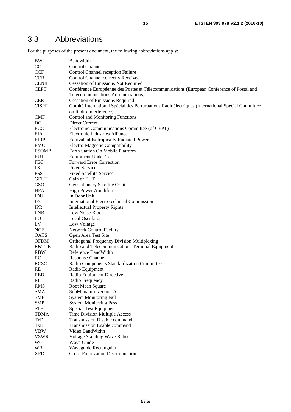## <span id="page-14-0"></span>3.3 Abbreviations

For the purposes of the present document, the following abbreviations apply:

| CC<br>Control Channel<br><b>CCF</b><br>Control Channel reception Failure<br><b>CCR</b><br>Control Channel correctly Received<br><b>CENR</b><br><b>Cessation of Emissions Not Required</b><br><b>CEPT</b><br>Conférence Européenne des Postes et Télécommunications (European Conference of Postal and<br>Telecommunications Administrations)<br><b>CER</b><br><b>Cessation of Emissions Required</b><br><b>CISPR</b><br>Comité International Spécial des Perturbations Radioélectriques (International Special Committee<br>on Radio Interference)<br><b>CMF</b><br><b>Control and Monitoring Functions</b><br>DC<br>Direct Current<br>ECC<br>Electronic Communications Committee (of CEPT)<br>EIA<br><b>Electronic Industries Alliance</b><br><b>EIRP</b><br>Equivalent Isotropically Radiated Power<br><b>EMC</b><br>Electro-Magnetic Compatibility<br>Earth Station On Mobile Platform<br><b>ESOMP</b><br><b>EUT</b><br><b>Equipment Under Test</b><br><b>FEC</b><br><b>Forward Error Correction</b><br>FS<br><b>Fixed Service</b><br><b>FSS</b><br><b>Fixed Satellite Service</b><br><b>GEUT</b><br>Gain of EUT<br>GSO<br>Geostationary Satellite Orbit<br>High Power Amplifier<br><b>HPA</b><br>IDU<br>In Door Unit<br><b>IEC</b><br>International Electrotechnical Commission<br><b>IPR</b><br><b>Intellectual Property Rights</b><br><b>LNB</b><br>Low Noise Block<br>LO<br><b>Local Oscillator</b><br>LV<br>Low Voltage<br><b>NCF</b><br><b>Network Control Facility</b><br><b>OATS</b><br>Open Area Test Site<br><b>OFDM</b><br>Orthogonal Frequency Division Multiplexing<br>R&TTE<br>Radio and Telecommunications Terminal Equipment<br><b>RBW</b><br>Reference BandWidth<br>RC<br><b>Response Channel</b><br><b>RCSC</b><br>Radio Components Standardization Committee<br>RE<br>Radio Equipment<br><b>RED</b><br>Radio Equipment Directive<br>RF<br>Radio Frequency<br><b>RMS</b><br>Root Mean Square<br>SubMiniature version A<br><b>SMA</b><br><b>SMF</b><br><b>System Monitoring Fail</b><br><b>SMP</b><br><b>System Monitoring Pass</b><br><b>STE</b><br>Special Test Equipment<br>Time Division Multiple Access<br><b>TDMA</b><br>TxD<br>Transmission Disable command<br>TxE<br>Transmission Enable command<br><b>VBW</b><br>Video BandWidth<br><b>VSWR</b><br>Voltage Standing Wave Ratio<br>WG<br>Wave Guide<br><b>WR</b><br>Waveguide Rectangular | BW         | Bandwidth                         |
|-----------------------------------------------------------------------------------------------------------------------------------------------------------------------------------------------------------------------------------------------------------------------------------------------------------------------------------------------------------------------------------------------------------------------------------------------------------------------------------------------------------------------------------------------------------------------------------------------------------------------------------------------------------------------------------------------------------------------------------------------------------------------------------------------------------------------------------------------------------------------------------------------------------------------------------------------------------------------------------------------------------------------------------------------------------------------------------------------------------------------------------------------------------------------------------------------------------------------------------------------------------------------------------------------------------------------------------------------------------------------------------------------------------------------------------------------------------------------------------------------------------------------------------------------------------------------------------------------------------------------------------------------------------------------------------------------------------------------------------------------------------------------------------------------------------------------------------------------------------------------------------------------------------------------------------------------------------------------------------------------------------------------------------------------------------------------------------------------------------------------------------------------------------------------------------------------------------------------------------------------------------------------------------------------------------------------------------------------------------------------|------------|-----------------------------------|
|                                                                                                                                                                                                                                                                                                                                                                                                                                                                                                                                                                                                                                                                                                                                                                                                                                                                                                                                                                                                                                                                                                                                                                                                                                                                                                                                                                                                                                                                                                                                                                                                                                                                                                                                                                                                                                                                                                                                                                                                                                                                                                                                                                                                                                                                                                                                                                       |            |                                   |
|                                                                                                                                                                                                                                                                                                                                                                                                                                                                                                                                                                                                                                                                                                                                                                                                                                                                                                                                                                                                                                                                                                                                                                                                                                                                                                                                                                                                                                                                                                                                                                                                                                                                                                                                                                                                                                                                                                                                                                                                                                                                                                                                                                                                                                                                                                                                                                       |            |                                   |
|                                                                                                                                                                                                                                                                                                                                                                                                                                                                                                                                                                                                                                                                                                                                                                                                                                                                                                                                                                                                                                                                                                                                                                                                                                                                                                                                                                                                                                                                                                                                                                                                                                                                                                                                                                                                                                                                                                                                                                                                                                                                                                                                                                                                                                                                                                                                                                       |            |                                   |
|                                                                                                                                                                                                                                                                                                                                                                                                                                                                                                                                                                                                                                                                                                                                                                                                                                                                                                                                                                                                                                                                                                                                                                                                                                                                                                                                                                                                                                                                                                                                                                                                                                                                                                                                                                                                                                                                                                                                                                                                                                                                                                                                                                                                                                                                                                                                                                       |            |                                   |
|                                                                                                                                                                                                                                                                                                                                                                                                                                                                                                                                                                                                                                                                                                                                                                                                                                                                                                                                                                                                                                                                                                                                                                                                                                                                                                                                                                                                                                                                                                                                                                                                                                                                                                                                                                                                                                                                                                                                                                                                                                                                                                                                                                                                                                                                                                                                                                       |            |                                   |
|                                                                                                                                                                                                                                                                                                                                                                                                                                                                                                                                                                                                                                                                                                                                                                                                                                                                                                                                                                                                                                                                                                                                                                                                                                                                                                                                                                                                                                                                                                                                                                                                                                                                                                                                                                                                                                                                                                                                                                                                                                                                                                                                                                                                                                                                                                                                                                       |            |                                   |
|                                                                                                                                                                                                                                                                                                                                                                                                                                                                                                                                                                                                                                                                                                                                                                                                                                                                                                                                                                                                                                                                                                                                                                                                                                                                                                                                                                                                                                                                                                                                                                                                                                                                                                                                                                                                                                                                                                                                                                                                                                                                                                                                                                                                                                                                                                                                                                       |            |                                   |
|                                                                                                                                                                                                                                                                                                                                                                                                                                                                                                                                                                                                                                                                                                                                                                                                                                                                                                                                                                                                                                                                                                                                                                                                                                                                                                                                                                                                                                                                                                                                                                                                                                                                                                                                                                                                                                                                                                                                                                                                                                                                                                                                                                                                                                                                                                                                                                       |            |                                   |
|                                                                                                                                                                                                                                                                                                                                                                                                                                                                                                                                                                                                                                                                                                                                                                                                                                                                                                                                                                                                                                                                                                                                                                                                                                                                                                                                                                                                                                                                                                                                                                                                                                                                                                                                                                                                                                                                                                                                                                                                                                                                                                                                                                                                                                                                                                                                                                       |            |                                   |
|                                                                                                                                                                                                                                                                                                                                                                                                                                                                                                                                                                                                                                                                                                                                                                                                                                                                                                                                                                                                                                                                                                                                                                                                                                                                                                                                                                                                                                                                                                                                                                                                                                                                                                                                                                                                                                                                                                                                                                                                                                                                                                                                                                                                                                                                                                                                                                       |            |                                   |
|                                                                                                                                                                                                                                                                                                                                                                                                                                                                                                                                                                                                                                                                                                                                                                                                                                                                                                                                                                                                                                                                                                                                                                                                                                                                                                                                                                                                                                                                                                                                                                                                                                                                                                                                                                                                                                                                                                                                                                                                                                                                                                                                                                                                                                                                                                                                                                       |            |                                   |
|                                                                                                                                                                                                                                                                                                                                                                                                                                                                                                                                                                                                                                                                                                                                                                                                                                                                                                                                                                                                                                                                                                                                                                                                                                                                                                                                                                                                                                                                                                                                                                                                                                                                                                                                                                                                                                                                                                                                                                                                                                                                                                                                                                                                                                                                                                                                                                       |            |                                   |
|                                                                                                                                                                                                                                                                                                                                                                                                                                                                                                                                                                                                                                                                                                                                                                                                                                                                                                                                                                                                                                                                                                                                                                                                                                                                                                                                                                                                                                                                                                                                                                                                                                                                                                                                                                                                                                                                                                                                                                                                                                                                                                                                                                                                                                                                                                                                                                       |            |                                   |
|                                                                                                                                                                                                                                                                                                                                                                                                                                                                                                                                                                                                                                                                                                                                                                                                                                                                                                                                                                                                                                                                                                                                                                                                                                                                                                                                                                                                                                                                                                                                                                                                                                                                                                                                                                                                                                                                                                                                                                                                                                                                                                                                                                                                                                                                                                                                                                       |            |                                   |
|                                                                                                                                                                                                                                                                                                                                                                                                                                                                                                                                                                                                                                                                                                                                                                                                                                                                                                                                                                                                                                                                                                                                                                                                                                                                                                                                                                                                                                                                                                                                                                                                                                                                                                                                                                                                                                                                                                                                                                                                                                                                                                                                                                                                                                                                                                                                                                       |            |                                   |
|                                                                                                                                                                                                                                                                                                                                                                                                                                                                                                                                                                                                                                                                                                                                                                                                                                                                                                                                                                                                                                                                                                                                                                                                                                                                                                                                                                                                                                                                                                                                                                                                                                                                                                                                                                                                                                                                                                                                                                                                                                                                                                                                                                                                                                                                                                                                                                       |            |                                   |
|                                                                                                                                                                                                                                                                                                                                                                                                                                                                                                                                                                                                                                                                                                                                                                                                                                                                                                                                                                                                                                                                                                                                                                                                                                                                                                                                                                                                                                                                                                                                                                                                                                                                                                                                                                                                                                                                                                                                                                                                                                                                                                                                                                                                                                                                                                                                                                       |            |                                   |
|                                                                                                                                                                                                                                                                                                                                                                                                                                                                                                                                                                                                                                                                                                                                                                                                                                                                                                                                                                                                                                                                                                                                                                                                                                                                                                                                                                                                                                                                                                                                                                                                                                                                                                                                                                                                                                                                                                                                                                                                                                                                                                                                                                                                                                                                                                                                                                       |            |                                   |
|                                                                                                                                                                                                                                                                                                                                                                                                                                                                                                                                                                                                                                                                                                                                                                                                                                                                                                                                                                                                                                                                                                                                                                                                                                                                                                                                                                                                                                                                                                                                                                                                                                                                                                                                                                                                                                                                                                                                                                                                                                                                                                                                                                                                                                                                                                                                                                       |            |                                   |
|                                                                                                                                                                                                                                                                                                                                                                                                                                                                                                                                                                                                                                                                                                                                                                                                                                                                                                                                                                                                                                                                                                                                                                                                                                                                                                                                                                                                                                                                                                                                                                                                                                                                                                                                                                                                                                                                                                                                                                                                                                                                                                                                                                                                                                                                                                                                                                       |            |                                   |
|                                                                                                                                                                                                                                                                                                                                                                                                                                                                                                                                                                                                                                                                                                                                                                                                                                                                                                                                                                                                                                                                                                                                                                                                                                                                                                                                                                                                                                                                                                                                                                                                                                                                                                                                                                                                                                                                                                                                                                                                                                                                                                                                                                                                                                                                                                                                                                       |            |                                   |
|                                                                                                                                                                                                                                                                                                                                                                                                                                                                                                                                                                                                                                                                                                                                                                                                                                                                                                                                                                                                                                                                                                                                                                                                                                                                                                                                                                                                                                                                                                                                                                                                                                                                                                                                                                                                                                                                                                                                                                                                                                                                                                                                                                                                                                                                                                                                                                       |            |                                   |
|                                                                                                                                                                                                                                                                                                                                                                                                                                                                                                                                                                                                                                                                                                                                                                                                                                                                                                                                                                                                                                                                                                                                                                                                                                                                                                                                                                                                                                                                                                                                                                                                                                                                                                                                                                                                                                                                                                                                                                                                                                                                                                                                                                                                                                                                                                                                                                       |            |                                   |
|                                                                                                                                                                                                                                                                                                                                                                                                                                                                                                                                                                                                                                                                                                                                                                                                                                                                                                                                                                                                                                                                                                                                                                                                                                                                                                                                                                                                                                                                                                                                                                                                                                                                                                                                                                                                                                                                                                                                                                                                                                                                                                                                                                                                                                                                                                                                                                       |            |                                   |
|                                                                                                                                                                                                                                                                                                                                                                                                                                                                                                                                                                                                                                                                                                                                                                                                                                                                                                                                                                                                                                                                                                                                                                                                                                                                                                                                                                                                                                                                                                                                                                                                                                                                                                                                                                                                                                                                                                                                                                                                                                                                                                                                                                                                                                                                                                                                                                       |            |                                   |
|                                                                                                                                                                                                                                                                                                                                                                                                                                                                                                                                                                                                                                                                                                                                                                                                                                                                                                                                                                                                                                                                                                                                                                                                                                                                                                                                                                                                                                                                                                                                                                                                                                                                                                                                                                                                                                                                                                                                                                                                                                                                                                                                                                                                                                                                                                                                                                       |            |                                   |
|                                                                                                                                                                                                                                                                                                                                                                                                                                                                                                                                                                                                                                                                                                                                                                                                                                                                                                                                                                                                                                                                                                                                                                                                                                                                                                                                                                                                                                                                                                                                                                                                                                                                                                                                                                                                                                                                                                                                                                                                                                                                                                                                                                                                                                                                                                                                                                       |            |                                   |
|                                                                                                                                                                                                                                                                                                                                                                                                                                                                                                                                                                                                                                                                                                                                                                                                                                                                                                                                                                                                                                                                                                                                                                                                                                                                                                                                                                                                                                                                                                                                                                                                                                                                                                                                                                                                                                                                                                                                                                                                                                                                                                                                                                                                                                                                                                                                                                       |            |                                   |
|                                                                                                                                                                                                                                                                                                                                                                                                                                                                                                                                                                                                                                                                                                                                                                                                                                                                                                                                                                                                                                                                                                                                                                                                                                                                                                                                                                                                                                                                                                                                                                                                                                                                                                                                                                                                                                                                                                                                                                                                                                                                                                                                                                                                                                                                                                                                                                       |            |                                   |
|                                                                                                                                                                                                                                                                                                                                                                                                                                                                                                                                                                                                                                                                                                                                                                                                                                                                                                                                                                                                                                                                                                                                                                                                                                                                                                                                                                                                                                                                                                                                                                                                                                                                                                                                                                                                                                                                                                                                                                                                                                                                                                                                                                                                                                                                                                                                                                       |            |                                   |
|                                                                                                                                                                                                                                                                                                                                                                                                                                                                                                                                                                                                                                                                                                                                                                                                                                                                                                                                                                                                                                                                                                                                                                                                                                                                                                                                                                                                                                                                                                                                                                                                                                                                                                                                                                                                                                                                                                                                                                                                                                                                                                                                                                                                                                                                                                                                                                       |            |                                   |
|                                                                                                                                                                                                                                                                                                                                                                                                                                                                                                                                                                                                                                                                                                                                                                                                                                                                                                                                                                                                                                                                                                                                                                                                                                                                                                                                                                                                                                                                                                                                                                                                                                                                                                                                                                                                                                                                                                                                                                                                                                                                                                                                                                                                                                                                                                                                                                       |            |                                   |
|                                                                                                                                                                                                                                                                                                                                                                                                                                                                                                                                                                                                                                                                                                                                                                                                                                                                                                                                                                                                                                                                                                                                                                                                                                                                                                                                                                                                                                                                                                                                                                                                                                                                                                                                                                                                                                                                                                                                                                                                                                                                                                                                                                                                                                                                                                                                                                       |            |                                   |
|                                                                                                                                                                                                                                                                                                                                                                                                                                                                                                                                                                                                                                                                                                                                                                                                                                                                                                                                                                                                                                                                                                                                                                                                                                                                                                                                                                                                                                                                                                                                                                                                                                                                                                                                                                                                                                                                                                                                                                                                                                                                                                                                                                                                                                                                                                                                                                       |            |                                   |
|                                                                                                                                                                                                                                                                                                                                                                                                                                                                                                                                                                                                                                                                                                                                                                                                                                                                                                                                                                                                                                                                                                                                                                                                                                                                                                                                                                                                                                                                                                                                                                                                                                                                                                                                                                                                                                                                                                                                                                                                                                                                                                                                                                                                                                                                                                                                                                       |            |                                   |
|                                                                                                                                                                                                                                                                                                                                                                                                                                                                                                                                                                                                                                                                                                                                                                                                                                                                                                                                                                                                                                                                                                                                                                                                                                                                                                                                                                                                                                                                                                                                                                                                                                                                                                                                                                                                                                                                                                                                                                                                                                                                                                                                                                                                                                                                                                                                                                       |            |                                   |
|                                                                                                                                                                                                                                                                                                                                                                                                                                                                                                                                                                                                                                                                                                                                                                                                                                                                                                                                                                                                                                                                                                                                                                                                                                                                                                                                                                                                                                                                                                                                                                                                                                                                                                                                                                                                                                                                                                                                                                                                                                                                                                                                                                                                                                                                                                                                                                       |            |                                   |
|                                                                                                                                                                                                                                                                                                                                                                                                                                                                                                                                                                                                                                                                                                                                                                                                                                                                                                                                                                                                                                                                                                                                                                                                                                                                                                                                                                                                                                                                                                                                                                                                                                                                                                                                                                                                                                                                                                                                                                                                                                                                                                                                                                                                                                                                                                                                                                       |            |                                   |
|                                                                                                                                                                                                                                                                                                                                                                                                                                                                                                                                                                                                                                                                                                                                                                                                                                                                                                                                                                                                                                                                                                                                                                                                                                                                                                                                                                                                                                                                                                                                                                                                                                                                                                                                                                                                                                                                                                                                                                                                                                                                                                                                                                                                                                                                                                                                                                       |            |                                   |
|                                                                                                                                                                                                                                                                                                                                                                                                                                                                                                                                                                                                                                                                                                                                                                                                                                                                                                                                                                                                                                                                                                                                                                                                                                                                                                                                                                                                                                                                                                                                                                                                                                                                                                                                                                                                                                                                                                                                                                                                                                                                                                                                                                                                                                                                                                                                                                       |            |                                   |
|                                                                                                                                                                                                                                                                                                                                                                                                                                                                                                                                                                                                                                                                                                                                                                                                                                                                                                                                                                                                                                                                                                                                                                                                                                                                                                                                                                                                                                                                                                                                                                                                                                                                                                                                                                                                                                                                                                                                                                                                                                                                                                                                                                                                                                                                                                                                                                       |            |                                   |
|                                                                                                                                                                                                                                                                                                                                                                                                                                                                                                                                                                                                                                                                                                                                                                                                                                                                                                                                                                                                                                                                                                                                                                                                                                                                                                                                                                                                                                                                                                                                                                                                                                                                                                                                                                                                                                                                                                                                                                                                                                                                                                                                                                                                                                                                                                                                                                       |            |                                   |
|                                                                                                                                                                                                                                                                                                                                                                                                                                                                                                                                                                                                                                                                                                                                                                                                                                                                                                                                                                                                                                                                                                                                                                                                                                                                                                                                                                                                                                                                                                                                                                                                                                                                                                                                                                                                                                                                                                                                                                                                                                                                                                                                                                                                                                                                                                                                                                       |            |                                   |
|                                                                                                                                                                                                                                                                                                                                                                                                                                                                                                                                                                                                                                                                                                                                                                                                                                                                                                                                                                                                                                                                                                                                                                                                                                                                                                                                                                                                                                                                                                                                                                                                                                                                                                                                                                                                                                                                                                                                                                                                                                                                                                                                                                                                                                                                                                                                                                       |            |                                   |
|                                                                                                                                                                                                                                                                                                                                                                                                                                                                                                                                                                                                                                                                                                                                                                                                                                                                                                                                                                                                                                                                                                                                                                                                                                                                                                                                                                                                                                                                                                                                                                                                                                                                                                                                                                                                                                                                                                                                                                                                                                                                                                                                                                                                                                                                                                                                                                       |            |                                   |
|                                                                                                                                                                                                                                                                                                                                                                                                                                                                                                                                                                                                                                                                                                                                                                                                                                                                                                                                                                                                                                                                                                                                                                                                                                                                                                                                                                                                                                                                                                                                                                                                                                                                                                                                                                                                                                                                                                                                                                                                                                                                                                                                                                                                                                                                                                                                                                       |            |                                   |
|                                                                                                                                                                                                                                                                                                                                                                                                                                                                                                                                                                                                                                                                                                                                                                                                                                                                                                                                                                                                                                                                                                                                                                                                                                                                                                                                                                                                                                                                                                                                                                                                                                                                                                                                                                                                                                                                                                                                                                                                                                                                                                                                                                                                                                                                                                                                                                       |            |                                   |
|                                                                                                                                                                                                                                                                                                                                                                                                                                                                                                                                                                                                                                                                                                                                                                                                                                                                                                                                                                                                                                                                                                                                                                                                                                                                                                                                                                                                                                                                                                                                                                                                                                                                                                                                                                                                                                                                                                                                                                                                                                                                                                                                                                                                                                                                                                                                                                       |            |                                   |
|                                                                                                                                                                                                                                                                                                                                                                                                                                                                                                                                                                                                                                                                                                                                                                                                                                                                                                                                                                                                                                                                                                                                                                                                                                                                                                                                                                                                                                                                                                                                                                                                                                                                                                                                                                                                                                                                                                                                                                                                                                                                                                                                                                                                                                                                                                                                                                       |            |                                   |
|                                                                                                                                                                                                                                                                                                                                                                                                                                                                                                                                                                                                                                                                                                                                                                                                                                                                                                                                                                                                                                                                                                                                                                                                                                                                                                                                                                                                                                                                                                                                                                                                                                                                                                                                                                                                                                                                                                                                                                                                                                                                                                                                                                                                                                                                                                                                                                       |            |                                   |
|                                                                                                                                                                                                                                                                                                                                                                                                                                                                                                                                                                                                                                                                                                                                                                                                                                                                                                                                                                                                                                                                                                                                                                                                                                                                                                                                                                                                                                                                                                                                                                                                                                                                                                                                                                                                                                                                                                                                                                                                                                                                                                                                                                                                                                                                                                                                                                       |            |                                   |
|                                                                                                                                                                                                                                                                                                                                                                                                                                                                                                                                                                                                                                                                                                                                                                                                                                                                                                                                                                                                                                                                                                                                                                                                                                                                                                                                                                                                                                                                                                                                                                                                                                                                                                                                                                                                                                                                                                                                                                                                                                                                                                                                                                                                                                                                                                                                                                       |            |                                   |
|                                                                                                                                                                                                                                                                                                                                                                                                                                                                                                                                                                                                                                                                                                                                                                                                                                                                                                                                                                                                                                                                                                                                                                                                                                                                                                                                                                                                                                                                                                                                                                                                                                                                                                                                                                                                                                                                                                                                                                                                                                                                                                                                                                                                                                                                                                                                                                       | <b>XPD</b> | Cross-Polarization Discrimination |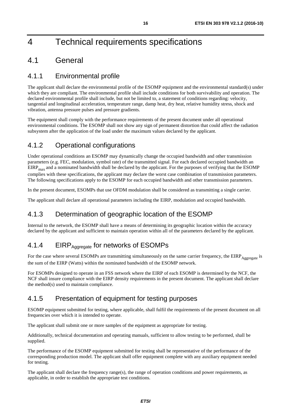## <span id="page-15-0"></span>4 Technical requirements specifications

## 4.1 General

### 4.1.1 Environmental profile

The applicant shall declare the environmental profile of the ESOMP equipment and the environmental standard(s) under which they are compliant. The environmental profile shall include conditions for both survivability and operation. The declared environmental profile shall include, but not be limited to, a statement of conditions regarding: velocity, tangential and longitudinal acceleration, temperature range, damp heat, dry heat, relative humidity stress, shock and vibration, antenna pressure pulses and pressure gradients.

The equipment shall comply with the performance requirements of the present document under all operational environmental conditions. The ESOMP shall not show any sign of permanent distortion that could affect the radiation subsystem after the application of the load under the maximum values declared by the applicant.

### 4.1.2 Operational configurations

Under operational conditions an ESOMP may dynamically change the occupied bandwidth and other transmission parameters (e.g. FEC, modulation, symbol rate) of the transmitted signal. For each declared occupied bandwidth an  $EIRP<sub>max</sub>$  and a nominated bandwidth shall be declared by the applicant. For the purposes of verifying that the ESOMP complies with these specifications, the applicant may declare the worst case combination of transmission parameters. The following specifications apply to the ESOMP for each occupied bandwidth and other transmission parameters.

In the present document, ESOMPs that use OFDM modulation shall be considered as transmitting a single carrier.

The applicant shall declare all operational parameters including the EIRP, modulation and occupied bandwidth.

### 4.1.3 Determination of geographic location of the ESOMP

Internal to the network, the ESOMP shall have a means of determining its geographic location within the accuracy declared by the applicant and sufficient to maintain operation within all of the parameters declared by the applicant.

### 4.1.4 EIRP Aggregate for networks of ESOMPs

For the case where several ESOMPs are transmitting simultaneously on the same carrier frequency, the  $EIRP_{Aggregate}$  is the sum of the EIRP (Watts) within the nominated bandwidth of the ESOMP network.

For ESOMPs designed to operate in an FSS network where the EIRP of each ESOMP is determined by the NCF, the NCF shall insure compliance with the EIRP density requirements in the present document. The applicant shall declare the method(s) used to maintain compliance.

### 4.1.5 Presentation of equipment for testing purposes

ESOMP equipment submitted for testing, where applicable, shall fulfil the requirements of the present document on all frequencies over which it is intended to operate.

The applicant shall submit one or more samples of the equipment as appropriate for testing.

Additionally, technical documentation and operating manuals, sufficient to allow testing to be performed, shall be supplied.

The performance of the ESOMP equipment submitted for testing shall be representative of the performance of the corresponding production model. The applicant shall offer equipment complete with any auxiliary equipment needed for testing.

The applicant shall declare the frequency range(s), the range of operation conditions and power requirements, as applicable, in order to establish the appropriate test conditions.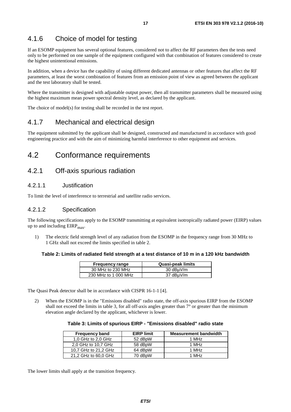### <span id="page-16-0"></span>4.1.6 Choice of model for testing

If an ESOMP equipment has several optional features, considered not to affect the RF parameters then the tests need only to be performed on one sample of the equipment configured with that combination of features considered to create the highest unintentional emissions.

In addition, when a device has the capability of using different dedicated antennas or other features that affect the RF parameters, at least the worst combination of features from an emission point of view as agreed between the applicant and the test laboratory shall be tested.

Where the transmitter is designed with adjustable output power, then all transmitter parameters shall be measured using the highest maximum mean power spectral density level, as declared by the applicant.

The choice of model(s) for testing shall be recorded in the test report.

### 4.1.7 Mechanical and electrical design

The equipment submitted by the applicant shall be designed, constructed and manufactured in accordance with good engineering practice and with the aim of minimizing harmful interference to other equipment and services.

### 4.2 Conformance requirements

### 4.2.1 Off-axis spurious radiation

### 4.2.1.1 Justification

To limit the level of interference to terrestrial and satellite radio services.

### 4.2.1.2 Specification

The following specifications apply to the ESOMP transmitting at equivalent isotropically radiated power (EIRP) values up to and including  $EIRP<sub>max</sub>$ .

1) The electric field strength level of any radiation from the ESOMP in the frequency range from 30 MHz to 1 GHz shall not exceed the limits specified in table 2.

#### **Table 2: Limits of radiated field strength at a test distance of 10 m in a 120 kHz bandwidth**

| <b>Frequency range</b> | <b>Quasi-peak limits</b> |
|------------------------|--------------------------|
| 30 MHz to 230 MHz      | 30 dBµV/m                |
| 230 MHz to 1 000 MHz   | 37 dBµV/m                |

The Quasi Peak detector shall be in accordance with CISPR 16-1-1 [\[4](#page-10-0)].

2) When the ESOMP is in the "Emissions disabled" radio state, the off-axis spurious EIRP from the ESOMP shall not exceed the limits in table 3, for all off-axis angles greater than  $7^\circ$  or greater than the minimum elevation angle declared by the applicant, whichever is lower.

### **Table 3: Limits of spurious EIRP - "Emissions disabled" radio state**

| <b>Frequency band</b> | <b>EIRP limit</b> | <b>Measurement bandwidth</b> |
|-----------------------|-------------------|------------------------------|
| 1,0 GHz to 2,0 GHz    | 52 dBpW           | 1 MHz                        |
| 2.0 GHz to 10.7 GHz   | 58 dBpW           | 1 MHz                        |
| 10.7 GHz to 21.2 GHz  | 64 dBpW           | 1 MH <sub>z</sub>            |
| 21,2 GHz to 60,0 GHz  | 70 dBpW           | 1 MH <sub>z</sub>            |

The lower limits shall apply at the transition frequency.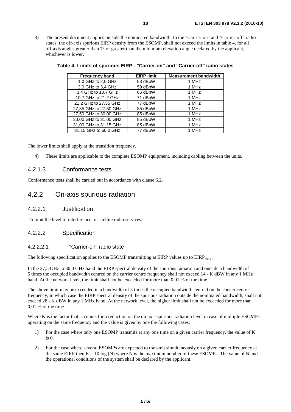<span id="page-17-0"></span>3) The present document applies outside the nominated bandwidth. In the "Carrier-on" and "Carrier-off" radio states, the off-axis spurious EIRP density from the ESOMP, shall not exceed the limits in table 4, for all off-axis angles greater than 7° or greater than the minimum elevation angle declared by the applicant, whichever is lower.

| <b>Frequency band</b>  | <b>EIRP limit</b> | <b>Measurement bandwidth</b> |
|------------------------|-------------------|------------------------------|
| 1,0 GHz to 2,0 GHz     | 53 dBpW           | 1 MHz                        |
| 2,0 GHz to 3,4 GHz     | 59 dBpW           | 1 MHz                        |
| 3,4 GHz to 10,7 GHz    | 65 dBpW           | 1 MHz                        |
| 10,7 GHz to 21,2 GHz   | 71 dBpW           | 1 MHz                        |
| 21,2 GHz to 27,35 GHz  | 77 dBpW           | 1 MHz                        |
| 27,35 GHz to 27,50 GHz | 85 dBpW           | 1 MHz                        |
| 27,50 GHz to 30,00 GHz | 85 dBpW           | 1 MHz                        |
| 30,00 GHz to 31,00 GHz | 85 dBpW           | 1 MHz                        |
| 31,00 GHz to 31,15 GHz | 85 dBpW           | 1 MHz                        |
| 31,15 GHz to 60,0 GHz  | 77 dBpW           | 1 MHz                        |

**Table 4: Limits of spurious EIRP - "Carrier-on" and "Carrier-off" radio states** 

The lower limits shall apply at the transition frequency.

4) These limits are applicable to the complete ESOMP equipment, including cabling between the units.

### 4.2.1.3 Conformance tests

Conformance tests shall be carried out in accordance with clause 6.2.

### 4.2.2 On-axis spurious radiation

### 4.2.2.1 Justification

To limit the level of interference to satellite radio services.

### 4.2.2.2 Specification

### 4.2.2.2.1 "Carrier-on" radio state

The following specification applies to the ESOMP transmitting at EIRP values up to EIRP<sub>max</sub>.

In the 27,5 GHz to 30,0 GHz band the EIRP spectral density of the spurious radiation and outside a bandwidth of 5 times the occupied bandwidth centred on the carrier centre frequency shall not exceed 14 - K dBW in any 1 MHz band. At the network level, the limit shall not be exceeded for more than 0,01 % of the time.

The above limit may be exceeded in a bandwidth of 5 times the occupied bandwidth centred on the carrier centre frequency, in which case the EIRP spectral density of the spurious radiation outside the nominated bandwidth, shall not exceed 28 - K dBW in any 1 MHz band. At the network level, the higher limit shall not be exceeded for more than 0,01 % of the time.

Where K is the factor that accounts for a reduction on the on-axis spurious radiation level in case of multiple ESOMPs operating on the same frequency and the value is given by one the following cases:

- 1) For the case where only one ESOMP transmits at any one time on a given carrier frequency, the value of K is 0.
- 2) For the case where several ESOMPs are expected to transmit simultaneously on a given carrier frequency at the same EIRP then  $K = 10 \log(N)$  where N is the maximum number of these ESOMPs. The value of N and the operational conditions of the system shall be declared by the applicant.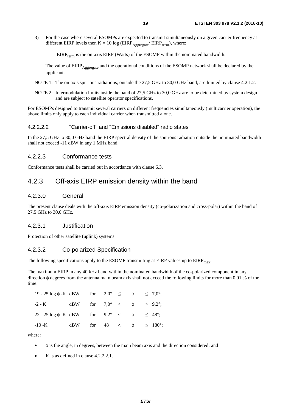- <span id="page-18-0"></span>3) For the case where several ESOMPs are expected to transmit simultaneously on a given carrier frequency at different EIRP levels then  $K = 10 \log (EIRP_{Aggregate}/EIRP_{term})$ , where:
	- $EIRP_{term}$  is the on-axis EIRP (Watts) of the ESOMP within the nominated bandwidth.

The value of EIRP<sub>Aggregate</sub> and the operational conditions of the ESOMP network shall be declared by the applicant.

- NOTE 1: The on-axis spurious radiations, outside the 27,5 GHz to 30,0 GHz band, are limited by clause 4.2.1.2.
- NOTE 2: Intermodulation limits inside the band of 27,5 GHz to 30,0 GHz are to be determined by system design and are subject to satellite operator specifications.

For ESOMPs designed to transmit several carriers on different frequencies simultaneously (multicarrier operation), the above limits only apply to each individual carrier when transmitted alone.

### 4.2.2.2.2 "Carrier-off" and "Emissions disabled" radio states

In the 27,5 GHz to 30,0 GHz band the EIRP spectral density of the spurious radiation outside the nominated bandwidth shall not exceed -11 dBW in any 1 MHz band.

### 4.2.2.3 Conformance tests

Conformance tests shall be carried out in accordance with clause 6.3.

### 4.2.3 Off-axis EIRP emission density within the band

### 4.2.3.0 General

The present clause deals with the off-axis EIRP emission density (co-polarization and cross-polar) within the band of 27,5 GHz to 30,0 GHz.

### 4.2.3.1 Justification

Protection of other satellite (uplink) systems.

### 4.2.3.2 Co-polarized Specification

The following specifications apply to the ESOMP transmitting at EIRP values up to  $EIRP<sub>mav</sub>$ .

The maximum EIRP in any 40 kHz band within the nominated bandwidth of the co-polarized component in any direction φ degrees from the antenna main beam axis shall not exceed the following limits for more than 0,01 % of the time:

|  |  | $\leq 7.0^{\circ}$ ;                                                                                                                                                                                                 |
|--|--|----------------------------------------------------------------------------------------------------------------------------------------------------------------------------------------------------------------------|
|  |  |                                                                                                                                                                                                                      |
|  |  | $\leq 48^{\circ}$ ;                                                                                                                                                                                                  |
|  |  |                                                                                                                                                                                                                      |
|  |  | $19 - 25 \log \phi - K dBW$ for $2.0^{\circ} \le \phi$<br>$-2-K$ dBW for $7.0^{\circ} < \phi \le 9.2^{\circ}$ ;<br>$22 - 25 \log \phi - K dBW$ for $9,2^{\circ} < \phi$<br>dBW for $48 \leq \phi \leq 180^{\circ}$ ; |

where:

- φ is the angle, in degrees, between the main beam axis and the direction considered; and
- $K$  is as defined in clause 4.2.2.2.1.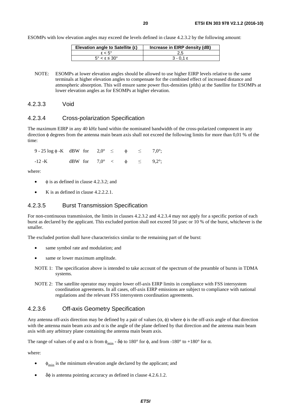<span id="page-19-0"></span>ESOMPs with low elevation angles may exceed the levels defined in clause 4.2.3.2 by the following amount:

| Elevation angle to Satellite $(\epsilon)$ | Increase in EIRP density (dB) |
|-------------------------------------------|-------------------------------|
| $s < 5^{\circ}$                           |                               |
| $5^\circ < \epsilon \leq 30^\circ$        | $3 - 0.1 \epsilon$            |
|                                           |                               |

NOTE: ESOMPs at lower elevation angles should be allowed to use higher EIRP levels relative to the same terminals at higher elevation angles to compensate for the combined effect of increased distance and atmospheric absorption. This will ensure same power flux-densities (pfds) at the Satellite for ESOMPs at lower elevation angles as for ESOMPs at higher elevation.

4.2.3.3 Void

### 4.2.3.4 Cross-polarization Specification

The maximum EIRP in any 40 kHz band within the nominated bandwidth of the cross-polarized component in any direction φ degrees from the antenna main beam axis shall not exceed the following limits for more than 0,01 % of the time:

| $9 - 25 \log \phi$ -K dBW for $2.0^{\circ} \le \phi \le 7.0^{\circ}$ ; |                                                 |  |  |  |
|------------------------------------------------------------------------|-------------------------------------------------|--|--|--|
| $-12 - K$                                                              | dBW for $7.0^{\circ} < \phi \leq 9.2^{\circ}$ ; |  |  |  |

where:

- $\phi$  is as defined in clause 4.2.3.2; and
- $K$  is as defined in clause 4.2.2.2.1.

#### 4.2.3.5 Burst Transmission Specification

For non-continuous transmission, the limits in clauses 4.2.3.2 and 4.2.3.4 may not apply for a specific portion of each burst as declared by the applicant. This excluded portion shall not exceed 50 µsec or 10 % of the burst, whichever is the smaller.

The excluded portion shall have characteristics similar to the remaining part of the burst:

- same symbol rate and modulation; and
- same or lower maximum amplitude.
- NOTE 1: The specification above is intended to take account of the spectrum of the preamble of bursts in TDMA systems.
- NOTE 2: The satellite operator may require lower off-axis EIRP limits in compliance with FSS intersystem coordination agreements. In all cases, off-axis EIRP emissions are subject to compliance with national regulations and the relevant FSS intersystem coordination agreements.

#### 4.2.3.6 Off-axis Geometry Specification

Any antenna off-axis direction may be defined by a pair of values  $(\alpha, \phi)$  where  $\phi$  is the off-axis angle of that direction with the antenna main beam axis and  $\alpha$  is the angle of the plane defined by that direction and the antenna main beam axis with any arbitrary plane containing the antenna main beam axis.

The range of values of  $\varphi$  and  $\alpha$  is from  $\phi_{\text{min}}$  -  $\delta\varphi$  to 180° for  $\varphi$ , and from -180° to +180° for  $\alpha$ .

where:

- $\phi_{\text{min}}$  is the minimum elevation angle declared by the applicant; and
- δφ is antenna pointing accuracy as defined in clause 4.2.6.1.2.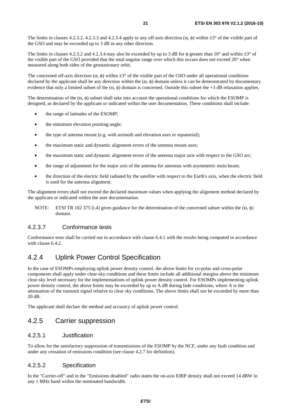<span id="page-20-0"></span>The limits in clauses 4.2.3.2, 4.2.3.3 and 4.2.3.4 apply to any off-axis direction  $(\alpha, \phi)$  within  $\pm 3^{\circ}$  of the visible part of the GSO and may be exceeded up to 3 dB in any other direction.

The limits in clauses 4.2.3.2 and 4.2.3.4 may also be exceeded by up to 3 dB for  $\phi$  greater than 10° and within  $\pm 3^{\circ}$  of the visible part of the GSO provided that the total angular range over which this occurs does not exceed 20° when measured along both sides of the geostationary orbit.

The concerned off-axis direction ( $\alpha$ ,  $\phi$ ) within  $\pm 3^{\circ}$  of the visible part of the GSO under all operational conditions declared by the applicant shall be any direction within the  $(\alpha, \phi)$  domain unless it can be demonstrated by documentary evidence that only a limited subset of the  $(\alpha, \phi)$  domain is concerned. Outside this subset the +3 dB relaxation applies.

The determination of the  $(\alpha, \phi)$  subset shall take into account the operational conditions for which the ESOMP is designed, as declared by the applicant or indicated within the user documentation. These conditions shall include:

- the range of latitudes of the ESOMP;
- the minimum elevation pointing angle;
- the type of antenna mount (e.g. with azimuth and elevation axes or equatorial);
- the maximum static and dynamic alignment errors of the antenna mount axes;
- the maximum static and dynamic alignment errors of the antenna major axis with respect to the GSO arc;
- the range of adjustment for the major axis of the antenna for antennas with asymmetric main beam;
- the direction of the electric field radiated by the satellite with respect to the Earth's axis, when the electric field is used for the antenna alignment.

The alignment errors shall not exceed the declared maximum values when applying the alignment method declared by the applicant or indicated within the user documentation.

NOTE: ETSI TR 102 375 [\[i.4](#page-11-0)] gives guidance for the determination of the concerned subset within the  $(\alpha, \phi)$ domain.

### 4.2.3.7 Conformance tests

Conformance tests shall be carried out in accordance with clause 6.4.1 with the results being computed in accordance with clause 6.4.2.

### 4.2.4 Uplink Power Control Specification

In the case of ESOMPs employing uplink power density control, the above limits for co-polar and cross-polar components shall apply under clear-sky conditions and these limits include all additional margins above the minimum clear-sky level necessary for the implementations of uplink power density control. For ESOMPs implementing uplink power density control, the above limits may be exceeded by up to A dB during fade conditions, where A is the attenuation of the transmit signal relative to clear sky conditions. The above limits shall not be exceeded by more than 20 dB.

The applicant shall declare the method and accuracy of uplink power control.

### 4.2.5 Carrier suppression

### 4.2.5.1 Justification

To allow for the satisfactory suppression of transmissions of the ESOMP by the NCF, under any fault condition and under any cessation of emissions condition (see clause 4.2.7 for definition).

### 4.2.5.2 Specification

In the "Carrier-off" and in the "Emissions disabled" radio states the on-axis EIRP density shall not exceed 14 dBW in any 1 MHz band within the nominated bandwidth.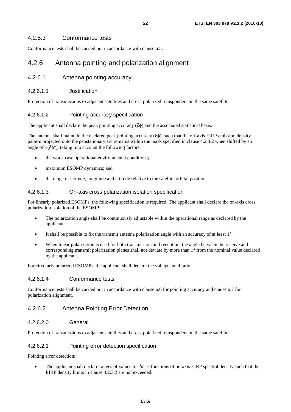### <span id="page-21-0"></span>4.2.5.3 Conformance tests

Conformance tests shall be carried out in accordance with clause 6.5.

### 4.2.6 Antenna pointing and polarization alignment

### 4.2.6.1 Antenna pointing accuracy

### 4.2.6.1.1 Justification

Protection of transmissions to adjacent satellites and cross-polarized transponders on the same satellite.

### 4.2.6.1.2 Pointing accuracy specification

The applicant shall declare the peak pointing accuracy  $(\delta \phi)$  and the associated statistical basis.

The antenna shall maintain the declared peak pointing accuracy  $(\delta\phi)$ , such that the off-axis EIRP emission density pattern projected onto the geostationary arc remains within the mask specified in clause 4.2.3.2 when shifted by an angle of  $\pm(\delta\phi^\circ)$ , taking into account the following factors:

- the worst case operational environmental conditions;
- maximum ESOMP dynamics; and
- the range of latitude, longitude and altitude relative to the satellite orbital position.

### 4.2.6.1.3 On-axis cross polarization isolation specification

For linearly polarized ESOMPs, the following specification is required. The applicant shall declare the on-axis cross polarization isolation of the ESOMP:

- The polarization angle shall be continuously adjustable within the operational range as declared by the applicant.
- It shall be possible to fix the transmit antenna polarization angle with an accuracy of at least 1°.
- When linear polarization is used for both transmission and reception, the angle between the receive and corresponding transmit polarization planes shall not deviate by more than 1° from the nominal value declared by the applicant.

For circularly polarized ESOMPs, the applicant shall declare the voltage axial ratio.

### 4.2.6.1.4 Conformance tests

Conformance tests shall be carried out in accordance with clause 6.6 for pointing accuracy and clause 6.7 for polarization alignment.

### 4.2.6.2 Antenna Pointing Error Detection

#### 4.2.6.2.0 General

Protection of transmissions to adjacent satellites and cross-polarized transponders on the same satellite.

#### 4.2.6.2.1 Pointing error detection specification

Pointing error detection:

The applicant shall declare ranges of values for  $\delta\phi$  as functions of on-axis EIRP spectral density such that the EIRP density limits in clause 4.2.3.2 are not exceeded.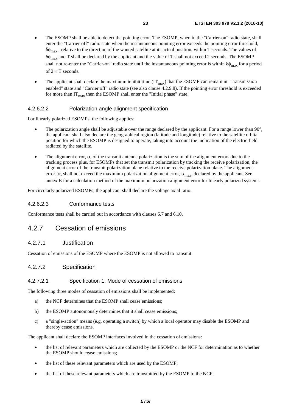- <span id="page-22-0"></span>• The ESOMP shall be able to detect the pointing error. The ESOMP, when in the "Carrier-on" radio state, shall enter the "Carrier-off" radio state when the instantaneous pointing error exceeds the pointing error threshold,  $\delta\phi_{\text{max}}$ , relative to the direction of the wanted satellite at its actual position, within T seconds. The values of δφmax and T shall be declared by the applicant and the value of T shall not exceed 2 seconds. The ESOMP shall not re-enter the "Carrier-on" radio state until the instantaneous pointing error is within  $\delta\phi_{\text{max}}$  for a period of  $2 \times T$  seconds.
- The applicant shall declare the maximum inhibit time  $(IT<sub>max</sub>)$  that the ESOMP can remain in "Transmission enabled" state and "Carrier off" radio state (see also clause 4.2.9.8). If the pointing error threshold is exceeded for more than  $IT_{\text{max}}$  then the ESOMP shall enter the "Initial phase" state.

### 4.2.6.2.2 Polarization angle alignment specification

For linearly polarized ESOMPs, the following applies:

- The polarization angle shall be adjustable over the range declared by the applicant. For a range lower than 90°, the applicant shall also declare the geographical region (latitude and longitude) relative to the satellite orbital position for which the ESOMP is designed to operate, taking into account the inclination of the electric field radiated by the satellite.
- The alignment error, α, of the transmit antenna polarization is the sum of the alignment errors due to the tracking process plus, for ESOMPs that set the transmit polarization by tracking the receive polarization, the alignment error of the transmit polarization plane relative to the receive polarization plane. The alignment error,  $\alpha$ , shall not exceed the maximum polarization alignment error,  $\alpha_{\text{max}}$ , declared by the applicant. See annex B for a calculation method of the maximum polarization alignment error for linearly polarized systems.

For circularly polarized ESOMPs, the applicant shall declare the voltage axial ratio.

### 4.2.6.2.3 Conformance tests

Conformance tests shall be carried out in accordance with clauses 6.7 and 6.10.

### 4.2.7 Cessation of emissions

### 4.2.7.1 Justification

Cessation of emissions of the ESOMP where the ESOMP is not allowed to transmit.

### 4.2.7.2 Specification

#### 4.2.7.2.1 Specification 1: Mode of cessation of emissions

The following three modes of cessation of emissions shall be implemented:

- a) the NCF determines that the ESOMP shall cease emissions;
- b) the ESOMP autonomously determines that it shall cease emissions;
- c) a "single-action" means (e.g. operating a switch) by which a local operator may disable the ESOMP and thereby cease emissions.

The applicant shall declare the ESOMP interfaces involved in the cessation of emissions:

- the list of relevant parameters which are collected by the ESOMP or the NCF for determination as to whether the ESOMP should cease emissions;
- the list of these relevant parameters which are used by the ESOMP;
- the list of these relevant parameters which are transmitted by the ESOMP to the NCF;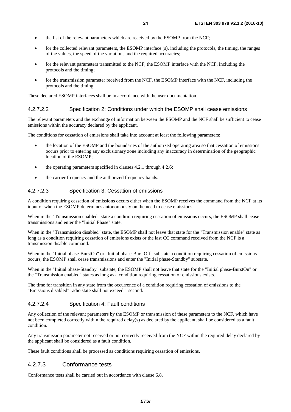- <span id="page-23-0"></span>the list of the relevant parameters which are received by the ESOMP from the NCF;
- for the collected relevant parameters, the ESOMP interface (s), including the protocols, the timing, the ranges of the values, the speed of the variations and the required accuracies;
- for the relevant parameters transmitted to the NCF, the ESOMP interface with the NCF, including the protocols and the timing;
- for the transmission parameter received from the NCF, the ESOMP interface with the NCF, including the protocols and the timing.

These declared ESOMP interfaces shall be in accordance with the user documentation.

#### 4.2.7.2.2 Specification 2: Conditions under which the ESOMP shall cease emissions

The relevant parameters and the exchange of information between the ESOMP and the NCF shall be sufficient to cease emissions within the accuracy declared by the applicant.

The conditions for cessation of emissions shall take into account at least the following parameters:

- the location of the ESOMP and the boundaries of the authorized operating area so that cessation of emissions occurs prior to entering any exclusionary zone including any inaccuracy in determination of the geographic location of the ESOMP;
- the operating parameters specified in clauses 4.2.1 through 4.2.6;
- the carrier frequency and the authorized frequency bands.

### 4.2.7.2.3 Specification 3: Cessation of emissions

A condition requiring cessation of emissions occurs either when the ESOMP receives the command from the NCF at its input or when the ESOMP determines autonomously on the need to cease emissions.

When in the "Transmission enabled" state a condition requiring cessation of emissions occurs, the ESOMP shall cease transmissions and enter the "Initial Phase" state.

When in the "Transmission disabled" state, the ESOMP shall not leave that state for the "Transmission enable" state as long as a condition requiring cessation of emissions exists or the last CC command received from the NCF is a transmission disable command.

When in the "Initial phase-BurstOn" or "Initial phase-BurstOff" substate a condition requiring cessation of emissions occurs, the ESOMP shall cease transmissions and enter the "Initial phase-Standby" substate.

When in the "Initial phase-Standby" substate, the ESOMP shall not leave that state for the "Initial phase-BurstOn" or the "Transmission enabled" states as long as a condition requiring cessation of emissions exists.

The time for transition in any state from the occurrence of a condition requiring cessation of emissions to the "Emissions disabled" radio state shall not exceed 1 second.

#### 4.2.7.2.4 Specification 4: Fault conditions

Any collection of the relevant parameters by the ESOMP or transmission of these parameters to the NCF, which have not been completed correctly within the required delay(s) as declared by the applicant, shall be considered as a fault condition.

Any transmission parameter not received or not correctly received from the NCF within the required delay declared by the applicant shall be considered as a fault condition.

These fault conditions shall be processed as conditions requiring cessation of emissions.

### 4.2.7.3 Conformance tests

Conformance tests shall be carried out in accordance with clause 6.8.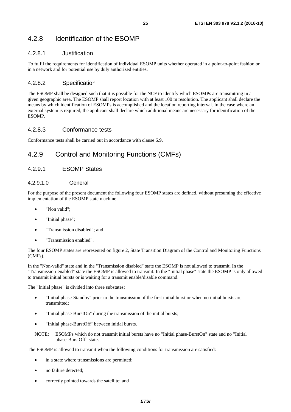### <span id="page-24-0"></span>4.2.8 Identification of the ESOMP

### 4.2.8.1 Justification

To fulfil the requirements for identification of individual ESOMP units whether operated in a point-to-point fashion or in a network and for potential use by duly authorized entities.

### 4.2.8.2 Specification

The ESOMP shall be designed such that it is possible for the NCF to identify which ESOMPs are transmitting in a given geographic area. The ESOMP shall report location with at least 100 m resolution. The applicant shall declare the means by which identification of ESOMPs is accomplished and the location reporting interval. In the case where an external system is required, the applicant shall declare which additional means are necessary for identification of the **ESOMP** 

### 4.2.8.3 Conformance tests

Conformance tests shall be carried out in accordance with clause 6.9.

### 4.2.9 Control and Monitoring Functions (CMFs)

### 4.2.9.1 ESOMP States

### 4.2.9.1.0 General

For the purpose of the present document the following four ESOMP states are defined, without presuming the effective implementation of the ESOMP state machine:

- "Non valid":
- "Initial phase";
- "Transmission disabled"; and
- "Transmission enabled".

The four ESOMP states are represented on figure 2, State Transition Diagram of the Control and Monitoring Functions (CMFs).

In the "Non-valid" state and in the "Transmission disabled" state the ESOMP is not allowed to transmit. In the "Transmission-enabled" state the ESOMP is allowed to transmit. In the "Initial phase" state the ESOMP is only allowed to transmit initial bursts or is waiting for a transmit enable/disable command.

The "Initial phase" is divided into three substates:

- "Initial phase-Standby" prior to the transmission of the first initial burst or when no initial bursts are transmitted;
- "Initial phase-BurstOn" during the transmission of the initial bursts;
- "Initial phase-BurstOff" between initial bursts.
- NOTE: ESOMPs which do not transmit initial bursts have no "Initial phase-BurstOn" state and no "Initial phase-BurstOff" state.

The ESOMP is allowed to transmit when the following conditions for transmission are satisfied:

- in a state where transmissions are permitted;
- no failure detected;
- correctly pointed towards the satellite; and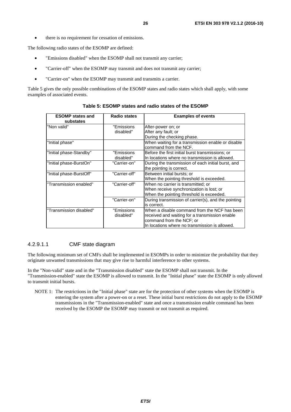<span id="page-25-0"></span>• there is no requirement for cessation of emissions.

The following radio states of the ESOMP are defined:

- "Emissions disabled" when the ESOMP shall not transmit any carrier;
- "Carrier-off" when the ESOMP may transmit and does not transmit any carrier;
- "Carrier-on" when the ESOMP may transmit and transmits a carrier.

Table 5 gives the only possible combinations of the ESOMP states and radio states which shall apply, with some examples of associated events.

| <b>ESOMP</b> states and<br>substates | <b>Radio states</b>      | <b>Examples of events</b>                                                                                                                                                    |
|--------------------------------------|--------------------------|------------------------------------------------------------------------------------------------------------------------------------------------------------------------------|
| "Non valid"                          | "Emissions"<br>disabled" | After-power on; or<br>After any fault; or                                                                                                                                    |
|                                      |                          | During the checking phase.                                                                                                                                                   |
| "Initial phase"                      |                          | When waiting for a transmission enable or disable<br>command from the NCF.                                                                                                   |
| "Initial phase-Standby"              | "Emissions<br>disabled"  | Before the first initial burst transmissions; or<br>In locations where no transmission is allowed.                                                                           |
| "Initial phase-BurstOn"              | "Carrier-on"             | During the transmission of each initial burst, and<br>the pointing is correct.                                                                                               |
| "Initial phase-BurstOff"             | "Carrier-off"            | Between initial bursts; or<br>When the pointing threshold is exceeded.                                                                                                       |
| "Transmission enabled"               | "Carrier-off"            | When no carrier is transmitted; or<br>When receive synchronization is lost; or<br>When the pointing threshold is exceeded.                                                   |
|                                      | "Carrier-on"             | During transmission of carrier(s), and the pointing<br>is correct.                                                                                                           |
| "Transmission disabled"              | "Emissions<br>disabled"  | When a disable command from the NCF has been<br>received and waiting for a transmission enable<br>command from the NCF; or<br>In locations where no transmission is allowed. |

**Table 5: ESOMP states and radio states of the ESOMP** 

### 4.2.9.1.1 CMF state diagram

The following minimum set of CMFs shall be implemented in ESOMPs in order to minimize the probability that they originate unwanted transmissions that may give rise to harmful interference to other systems.

In the "Non-valid" state and in the "Transmission disabled" state the ESOMP shall not transmit. In the "Transmission-enabled" state the ESOMP is allowed to transmit. In the "Initial phase" state the ESOMP is only allowed to transmit initial bursts.

NOTE 1: The restrictions in the "Initial phase" state are for the protection of other systems when the ESOMP is entering the system after a power-on or a reset. These initial burst restrictions do not apply to the ESOMP transmissions in the "Transmission-enabled" state and once a transmission enable command has been received by the ESOMP the ESOMP may transmit or not transmit as required.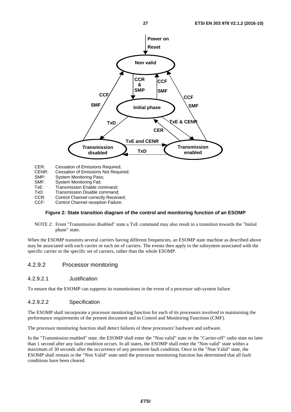<span id="page-26-0"></span>

CER: Cessation of Emissions Required;<br>CENR: Cessation of Emissions Not Requi

- Cessation of Emissions Not Required;
- SMP: System Monitoring Pass;
- SMF: System Monitoring Fail;
- 
- TxE: Transmission Enable command;<br>TxD: Transmission Disable command: Transmission Disable command:
- CCR: Control Channel correctly Received;<br>CCF: Control Channel reception Failure.
- Control Channel reception Failure.

#### **Figure 2: State transition diagram of the control and monitoring function of an ESOMP**

NOTE 2: From "Transmission disabled" state a TxE command may also result in a transition towards the "Initial phase" state.

When the ESOMP transmits several carriers having different frequencies, an ESOMP state machine as described above may be associated with each carrier or each set of carriers. The events then apply to the subsystem associated with the specific carrier or the specific set of carriers, rather than the whole ESOMP.

### 4.2.9.2 Processor monitoring

### 4.2.9.2.1 Justification

To ensure that the ESOMP can suppress its transmissions in the event of a processor sub-system failure.

### 4.2.9.2.2 Specification

The ESOMP shall incorporate a processor monitoring function for each of its processors involved in maintaining the performance requirements of the present document and in Control and Monitoring Functions (CMF).

The processor monitoring function shall detect failures of these processors' hardware and software.

In the "Transmission enabled" state, the ESOMP shall enter the "Non valid" state or the "Carrier-off" radio state no later than 1 second after any fault condition occurs. In all states, the ESOMP shall enter the "Non valid" state within a maximum of 30 seconds after the occurrence of any persistent fault condition. Once in the "Non Valid" state, the ESOMP shall remain in the "Non Valid" state until the processor monitoring function has determined that all fault conditions have been cleared.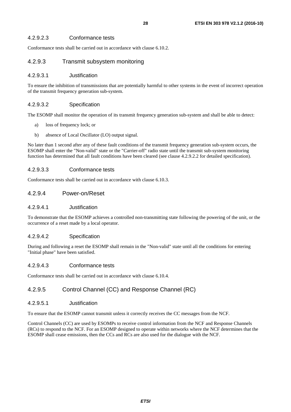### <span id="page-27-0"></span>4.2.9.2.3 Conformance tests

Conformance tests shall be carried out in accordance with clause 6.10.2.

### 4.2.9.3 Transmit subsystem monitoring

#### 4.2.9.3.1 Justification

To ensure the inhibition of transmissions that are potentially harmful to other systems in the event of incorrect operation of the transmit frequency generation sub-system.

### 4.2.9.3.2 Specification

The ESOMP shall monitor the operation of its transmit frequency generation sub-system and shall be able to detect:

- a) loss of frequency lock; or
- b) absence of Local Oscillator (LO) output signal.

No later than 1 second after any of these fault conditions of the transmit frequency generation sub-system occurs, the ESOMP shall enter the "Non-valid" state or the "Carrier-off" radio state until the transmit sub-system monitoring function has determined that all fault conditions have been cleared (see clause 4.2.9.2.2 for detailed specification).

### 4.2.9.3.3 Conformance tests

Conformance tests shall be carried out in accordance with clause 6.10.3.

### 4.2.9.4 Power-on/Reset

### 4.2.9.4.1 Justification

To demonstrate that the ESOMP achieves a controlled non-transmitting state following the powering of the unit, or the occurrence of a reset made by a local operator.

### 4.2.9.4.2 Specification

During and following a reset the ESOMP shall remain in the "Non-valid" state until all the conditions for entering "Initial phase" have been satisfied.

### 4.2.9.4.3 Conformance tests

Conformance tests shall be carried out in accordance with clause 6.10.4.

### 4.2.9.5 Control Channel (CC) and Response Channel (RC)

### 4.2.9.5.1 Justification

To ensure that the ESOMP cannot transmit unless it correctly receives the CC messages from the NCF.

Control Channels (CC) are used by ESOMPs to receive control information from the NCF and Response Channels (RCs) to respond to the NCF. For an ESOMP designed to operate within networks where the NCF determines that the ESOMP shall cease emissions, then the CCs and RCs are also used for the dialogue with the NCF.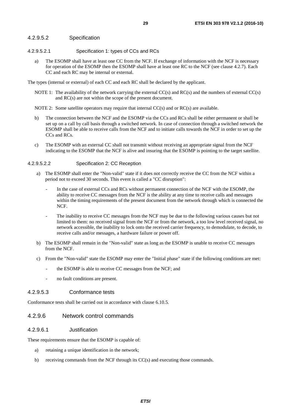#### <span id="page-28-0"></span>4.2.9.5.2 Specification

- 4.2.9.5.2.1 Specification 1: types of CCs and RCs
	- a) The ESOMP shall have at least one CC from the NCF. If exchange of information with the NCF is necessary for operation of the ESOMP then the ESOMP shall have at least one RC to the NCF (see clause 4.2.7). Each CC and each RC may be internal or external.

The types (internal or external) of each CC and each RC shall be declared by the applicant.

- NOTE 1: The availability of the network carrying the external CC(s) and RC(s) and the numbers of external CC(s) and RC(s) are not within the scope of the present document.
- NOTE 2: Some satellite operators may require that internal CC(s) and or RC(s) are available.
- b) The connection between the NCF and the ESOMP via the CCs and RCs shall be either permanent or shall be set up on a call by call basis through a switched network. In case of connection through a switched network the ESOMP shall be able to receive calls from the NCF and to initiate calls towards the NCF in order to set up the CCs and RCs.
- c) The ESOMP with an external CC shall not transmit without receiving an appropriate signal from the NCF indicating to the ESOMP that the NCF is alive and insuring that the ESOMP is pointing to the target satellite.

#### 4.2.9.5.2.2 Specification 2: CC Reception

- a) The ESOMP shall enter the "Non-valid" state if it does not correctly receive the CC from the NCF within a period not to exceed 30 seconds. This event is called a "CC disruption":
	- In the case of external CCs and RCs without permanent connection of the NCF with the ESOMP, the ability to receive CC messages from the NCF is the ability at any time to receive calls and messages within the timing requirements of the present document from the network through which is connected the NCF.
	- The inability to receive CC messages from the NCF may be due to the following various causes but not limited to them: no received signal from the NCF or from the network, a too low level received signal, no network accessible, the inability to lock onto the received carrier frequency, to demodulate, to decode, to receive calls and/or messages, a hardware failure or power off.
- b) The ESOMP shall remain in the "Non-valid" state as long as the ESOMP is unable to receive CC messages from the NCF.
- c) From the "Non-valid" state the ESOMP may enter the "Initial phase" state if the following conditions are met:
	- the ESOMP is able to receive CC messages from the NCF; and
	- no fault conditions are present.

#### 4.2.9.5.3 Conformance tests

Conformance tests shall be carried out in accordance with clause 6.10.5.

#### 4.2.9.6 Network control commands

#### 4.2.9.6.1 Justification

These requirements ensure that the ESOMP is capable of:

- a) retaining a unique identification in the network;
- b) receiving commands from the NCF through its CC(s) and executing those commands.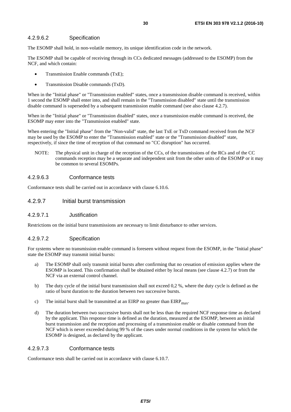### <span id="page-29-0"></span>4.2.9.6.2 Specification

The ESOMP shall hold, in non-volatile memory, its unique identification code in the network.

The ESOMP shall be capable of receiving through its CCs dedicated messages (addressed to the ESOMP) from the NCF, and which contain:

- Transmission Enable commands (TxE);
- Transmission Disable commands (TxD).

When in the "Initial phase" or "Transmission enabled" states, once a transmission disable command is received, within 1 second the ESOMP shall enter into, and shall remain in the "Transmission disabled" state until the transmission disable command is superseded by a subsequent transmission enable command (see also clause 4.2.7).

When in the "Initial phase" or "Transmission disabled" states, once a transmission enable command is received, the ESOMP may enter into the "Transmission enabled" state.

When entering the "Initial phase" from the "Non-valid" state, the last TxE or TxD command received from the NCF may be used by the ESOMP to enter the "Transmission enabled" state or the "Transmission disabled" state, respectively, if since the time of reception of that command no "CC disruption" has occurred.

NOTE: The physical unit in charge of the reception of the CCs, of the transmissions of the RCs and of the CC commands reception may be a separate and independent unit from the other units of the ESOMP or it may be common to several ESOMPs.

#### 4.2.9.6.3 Conformance tests

Conformance tests shall be carried out in accordance with clause 6.10.6.

### 4.2.9.7 Initial burst transmission

#### 4.2.9.7.1 Justification

Restrictions on the initial burst transmissions are necessary to limit disturbance to other services.

#### 4.2.9.7.2 Specification

For systems where no transmission enable command is foreseen without request from the ESOMP, in the "Initial phase" state the ESOMP may transmit initial bursts:

- a) The ESOMP shall only transmit initial bursts after confirming that no cessation of emission applies where the ESOMP is located. This confirmation shall be obtained either by local means (see clause 4.2.7) or from the NCF via an external control channel.
- b) The duty cycle of the initial burst transmission shall not exceed 0,2 %, where the duty cycle is defined as the ratio of burst duration to the duration between two successive bursts.
- c) The initial burst shall be transmitted at an EIRP no greater than  $EIRP<sub>max</sub>$ .
- d) The duration between two successive bursts shall not be less than the required NCF response time as declared by the applicant. This response time is defined as the duration, measured at the ESOMP, between an initial burst transmission and the reception and processing of a transmission enable or disable command from the NCF which is never exceeded during 99 % of the cases under normal conditions in the system for which the ESOMP is designed, as declared by the applicant.

#### 4.2.9.7.3 Conformance tests

Conformance tests shall be carried out in accordance with clause 6.10.7.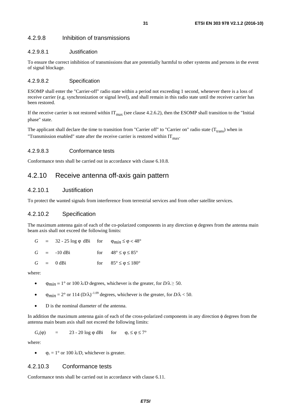### <span id="page-30-0"></span>4.2.9.8 Inhibition of transmissions

### 4.2.9.8.1 Justification

To ensure the correct inhibition of transmissions that are potentially harmful to other systems and persons in the event of signal blockage.

#### 4.2.9.8.2 Specification

ESOMP shall enter the "Carrier-off" radio state within a period not exceeding 1 second, whenever there is a loss of receive carrier (e.g. synchronization or signal level), and shall remain in this radio state until the receiver carrier has been restored.

If the receive carrier is not restored within  $IT_{max}$  (see clause 4.2.6.2), then the ESOMP shall transition to the "Initial phase" state.

The applicant shall declare the time to transition from "Carrier off" to "Carrier on" radio state  $(T_{trans})$  when in "Transmission enabled" state after the receive carrier is restored within  $IT<sub>max</sub>$ .

#### 4.2.9.8.3 Conformance tests

Conformance tests shall be carried out in accordance with clause 6.10.8.

### 4.2.10 Receive antenna off-axis gain pattern

### 4.2.10.1 Justification

To protect the wanted signals from interference from terrestrial services and from other satellite services.

### 4.2.10.2 Specification

The maximum antenna gain of each of the co-polarized components in any direction  $\varphi$  degrees from the antenna main beam axis shall not exceed the following limits:

|  | $G = 32 - 25 \log \varphi \, dB$ for $\varphi_{min} \le \varphi < 48^{\circ}$ |                                              |
|--|-------------------------------------------------------------------------------|----------------------------------------------|
|  | $G = -10$ dBi                                                                 | for $48^{\circ} \le \phi \le 85^{\circ}$     |
|  | $G = 0$ dBi                                                                   | for $85^{\circ} \le \varphi \le 180^{\circ}$ |

where:

- $\varphi_{min} = 1^{\circ}$  or 100  $\lambda/D$  degrees, whichever is the greater, for  $D/\lambda \ge 50$ .
- $\varphi_{\text{min}} = 2^{\circ}$  or 114 (D/ $\lambda$ )<sup>-1.09</sup> degrees, whichever is the greater, for  $D/\lambda < 50$ .
- D is the nominal diameter of the antenna.

In addition the maximum antenna gain of each of the cross-polarized components in any direction φ degrees from the antenna main beam axis shall not exceed the following limits:

$$
G_x(\varphi) = 23 - 20 \log \varphi \, \text{dBi} \quad \text{for} \quad \varphi_r \le \varphi \le 7^\circ
$$

where:

 $\Phi_r = 1^\circ$  or 100  $\lambda/D$ , whichever is greater.

### 4.2.10.3 Conformance tests

Conformance tests shall be carried out in accordance with clause 6.11.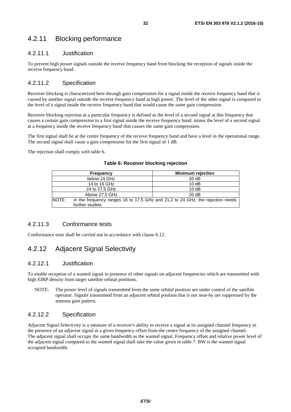### <span id="page-31-0"></span>4.2.11 Blocking performance

### 4.2.11.1 Justification

To prevent high power signals outside the receive frequency band from blocking the reception of signals inside the receive frequency band.

### 4.2.11.2 Specification

Receiver blocking is characterized here through gain compression for a signal inside the receive frequency band that is caused by another signal outside the receive frequency band at high power. The level of the other signal is compared to the level of a signal inside the receive frequency band that would cause the same gain compression.

Receiver blocking rejection at a particular frequency is defined as the level of a second signal at this frequency that causes a certain gain compression to a first signal inside the receive frequency band, minus the level of a second signal at a frequency inside the receive frequency band that causes the same gain compression.

The first signal shall be at the centre frequency of the receive frequency band and have a level in the operational range. The second signal shall cause a gain compression for the first signal of 1 dB.

The rejection shall comply with table 6.

|       | <b>Frequency</b> | <b>Minimum rejection</b>                                                       |
|-------|------------------|--------------------------------------------------------------------------------|
|       | below 14 GHz     | 20dB                                                                           |
|       | 14 to 16 GHz     | 10dB                                                                           |
|       | 24 to 27,5 GHz   | 10dB                                                                           |
|       | Above 27,5 GHz   | 20dB                                                                           |
| NOTE: |                  | In the frequency ranges 16 to 17,5 GHz and 21,2 to 24 GHz, the rejection needs |
|       | further studies. |                                                                                |

#### **Table 6: Receiver blocking rejection**

### 4.2.11.3 Conformance tests

Conformance tests shall be carried out in accordance with clause 6.12.

### 4.2.12 Adjacent Signal Selectivity

### 4.2.12.1 Justification

To enable reception of a wanted signal in presence of other signals on adjacent frequencies which are transmitted with high EIRP density from target satellite orbital positions.

NOTE: The power level of signals transmitted from the same orbital position are under control of the satellite operator. Signals transmitted from an adjacent orbital position that is not near-by are suppressed by the antenna gain pattern.

### 4.2.12.2 Specification

Adjacent Signal Selectivity is a measure of a receiver's ability to receive a signal at its assigned channel frequency in the presence of an adjacent signal at a given frequency offset from the centre frequency of the assigned channel. The adjacent signal shall occupy the same bandwidth as the wanted signal. Frequency offset and relative power level of the adjacent signal compared to the wanted signal shall take the value given in table 7. BW is the wanted signal occupied bandwidth.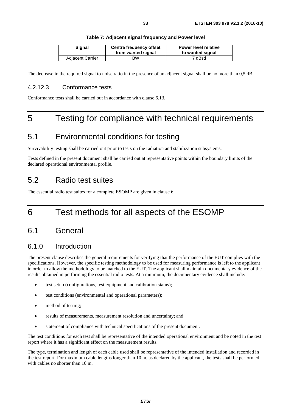<span id="page-32-0"></span>

| Signal                  | <b>Centre frequency offset</b><br>from wanted signal | <b>Power level relative</b><br>to wanted signal |
|-------------------------|------------------------------------------------------|-------------------------------------------------|
| <b>Adjacent Carrier</b> | <b>BW</b>                                            | 7 dBsd                                          |

The decrease in the required signal to noise ratio in the presence of an adjacent signal shall be no more than 0,5 dB.

### 4.2.12.3 Conformance tests

Conformance tests shall be carried out in accordance with clause 6.13.

## 5 Testing for compliance with technical requirements

### 5.1 Environmental conditions for testing

Survivability testing shall be carried out prior to tests on the radiation and stabilization subsystems.

Tests defined in the present document shall be carried out at representative points within the boundary limits of the declared operational environmental profile.

## 5.2 Radio test suites

The essential radio test suites for a complete ESOMP are given in clause 6.

## 6 Test methods for all aspects of the ESOMP

### 6.1 General

### 6.1.0 Introduction

The present clause describes the general requirements for verifying that the performance of the EUT complies with the specifications. However, the specific testing methodology to be used for measuring performance is left to the applicant in order to allow the methodology to be matched to the EUT. The applicant shall maintain documentary evidence of the results obtained in performing the essential radio tests. At a minimum, the documentary evidence shall include:

- test setup (configurations, test equipment and calibration status);
- test conditions (environmental and operational parameters);
- method of testing;
- results of measurements, measurement resolution and uncertainty; and
- statement of compliance with technical specifications of the present document.

The test conditions for each test shall be representative of the intended operational environment and be noted in the test report where it has a significant effect on the measurement results.

The type, termination and length of each cable used shall be representative of the intended installation and recorded in the test report. For maximum cable lengths longer than 10 m, as declared by the applicant, the tests shall be performed with cables no shorter than 10 m.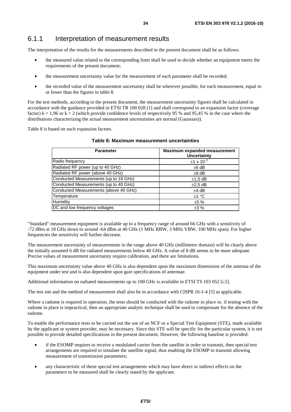### <span id="page-33-0"></span>6.1.1 Interpretation of measurement results

The interpretation of the results for the measurements described in the present document shall be as follows:

- the measured value related to the corresponding limit shall be used to decide whether an equipment meets the requirements of the present document;
- the measurement uncertainty value for the measurement of each parameter shall be recorded;
- the recorded value of the measurement uncertainty shall be wherever possible, for each measurement, equal to or lower than the figures in table 8.

For the test methods, according to the present document, the measurement uncertainty figures shall be calculated in accordance with the guidance provided in ETSI TR 100 028 [\[1](#page-10-0)] and shall correspond to an expansion factor (coverage factor)  $k = 1,96$  or  $k = 2$  (which provide confidence levels of respectively 95 % and 95,45 % in the case where the distributions characterizing the actual measurement uncertainties are normal (Gaussian)).

Table 8 is based on such expansion factors.

| <b>Parameter</b>                      | Maximum expanded measurement<br>Uncertainty |
|---------------------------------------|---------------------------------------------|
| Radio frequency                       | $±1 \times 10^{-7}$                         |
| Radiated RF power (up to 40 GHz)      | $±6$ dB                                     |
| Radiated RF power (above 40 GHz)      | $±8$ dB                                     |
| Conducted Measurements (up to 18 GHz) | $±1,5$ dB                                   |
| Conducted Measurements (up to 40 GHz) | $\pm 2.5$ dB                                |
| Conducted Measurements (above 40 GHz) | $±4$ dB                                     |
| Temperature                           | ±1 °C                                       |
| Humidity                              | ±5%                                         |
| DC and low frequency voltages         | ±3%                                         |

#### **Table 8: Maximum measurement uncertainties**

"Standard" measurement equipment is available up to a frequency range of around 66 GHz with a sensitivity of -72 dBm at 18 GHz down to around -64 dBm at 40 GHz (1 MHz RBW, 3 MHz VBW, 100 MHz span). For higher frequencies the sensitivity will further decrease.

The measurement uncertainty of measurements in the range above 40 GHz (millimetre domain) will be clearly above the initially assumed 6 dB for radiated measurements below 40 GHz. A value of 8 dB seems to be more adequate. Precise values of measurement uncertainty require calibration, and there are limitations.

This maximum uncertainty value above 40 GHz is also dependent upon the maximum dimensions of the antenna of the equipment under test and is also dependent upon gain specifications of antennae.

Additional information on radiated measurements up to 100 GHz is available in ETSI TS 103 052 [\[i.5](#page-11-0)].

The test site and the method of measurement shall also be in accordance with CISPR 16-1-4 [\[5](#page-10-0)] as applicable.

Where a radome is required in operation, the tests should be conducted with the radome in place or, if testing with the radome in place is impractical, then an appropriate analytic technique shall be used to compensate for the absence of the radome.

To enable the performance tests to be carried out the use of an NCF or a Special Test Equipment (STE), made available by the applicant or system provider, may be necessary. Since this STE will be specific for the particular system, it is not possible to provide detailed specifications in the present document. However, the following baseline is provided:

- if the ESOMP requires to receive a modulated carrier from the satellite in order to transmit, then special test arrangements are required to simulate the satellite signal, thus enabling the ESOMP to transmit allowing measurement of transmission parameters;
- any characteristic of these special test arrangements which may have direct or indirect effects on the parameters to be measured shall be clearly stated by the applicant.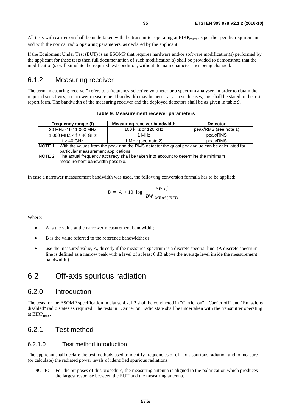<span id="page-34-0"></span>All tests with carrier-on shall be undertaken with the transmitter operating at  $EIRP<sub>max</sub>$ , as per the specific requirement, and with the normal radio operating parameters, as declared by the applicant.

If the Equipment Under Test (EUT) is an ESOMP that requires hardware and/or software modification(s) performed by the applicant for these tests then full documentation of such modification(s) shall be provided to demonstrate that the modification(s) will simulate the required test condition, without its main characteristics being changed.

### 6.1.2 Measuring receiver

The term "measuring receiver" refers to a frequency-selective voltmeter or a spectrum analyser. In order to obtain the required sensitivity, a narrower measurement bandwidth may be necessary. In such cases, this shall be stated in the test report form. The bandwidth of the measuring receiver and the deployed detectors shall be as given in table 9.

#### **Table 9: Measurement receiver parameters**

| Frequency range: (f)                                                                       | Measuring receiver bandwidth                                                                          | <b>Detector</b>       |  |  |
|--------------------------------------------------------------------------------------------|-------------------------------------------------------------------------------------------------------|-----------------------|--|--|
| 30 MHz $\leq$ f $\leq$ 1 000 MHz                                                           | 100 kHz or 120 kHz                                                                                    | peak/RMS (see note 1) |  |  |
| 1 000 MHZ < $f \le 40$ GHz                                                                 | 1 MHz                                                                                                 | peak/RMS              |  |  |
| $f > 40$ GHz                                                                               | 1 MHz (see note 2)                                                                                    | peak/RMS              |  |  |
|                                                                                            | NOTE 1: With the values from the peak and the RMS detector the quasi peak value can be calculated for |                       |  |  |
| particular measurement applications.                                                       |                                                                                                       |                       |  |  |
| NOTE 2: The actual frequency accuracy shall be taken into account to determine the minimum |                                                                                                       |                       |  |  |
| measurement bandwidth possible.                                                            |                                                                                                       |                       |  |  |

In case a narrower measurement bandwidth was used, the following conversion formula has to be applied:

$$
B = A + 10 \log \frac{BWref}{BW \text{ MEASURED}}
$$

Where:

- A is the value at the narrower measurement bandwidth;
- B is the value referred to the reference bandwidth; or
- use the measured value, A, directly if the measured spectrum is a discrete spectral line. (A discrete spectrum line is defined as a narrow peak with a level of at least 6 dB above the average level inside the measurement bandwidth.)

### 6.2 Off-axis spurious radiation

### 6.2.0 Introduction

The tests for the ESOMP specification in clause 4.2.1.2 shall be conducted in "Carrier on", "Carrier off" and "Emissions disabled" radio states as required. The tests in "Carrier on" radio state shall be undertaken with the transmitter operating at  $EIRP<sub>max</sub>$ .

### 6.2.1 Test method

### 6.2.1.0 Test method introduction

The applicant shall declare the test methods used to identify frequencies of off-axis spurious radiation and to measure (or calculate) the radiated power levels of identified spurious radiations.

NOTE: For the purposes of this procedure, the measuring antenna is aligned to the polarization which produces the largest response between the EUT and the measuring antenna.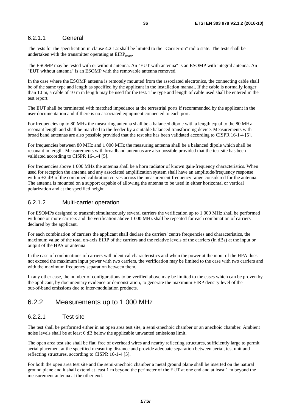### <span id="page-35-0"></span>6.2.1.1 General

The tests for the specification in clause 4.2.1.2 shall be limited to the "Carrier-on" radio state. The tests shall be undertaken with the transmitter operating at  $EIRP<sub>max</sub>$ .

The ESOMP may be tested with or without antenna. An "EUT with antenna" is an ESOMP with integral antenna. An "EUT without antenna" is an ESOMP with the removable antenna removed.

In the case where the ESOMP antenna is remotely mounted from the associated electronics, the connecting cable shall be of the same type and length as specified by the applicant in the installation manual. If the cable is normally longer than 10 m, a cable of 10 m in length may be used for the test. The type and length of cable used shall be entered in the test report.

The EUT shall be terminated with matched impedance at the terrestrial ports if recommended by the applicant in the user documentation and if there is no associated equipment connected to each port.

For frequencies up to 80 MHz the measuring antenna shall be a balanced dipole with a length equal to the 80 MHz resonant length and shall be matched to the feeder by a suitable balanced transforming device. Measurements with broad band antennas are also possible provided that the test site has been validated according to CISPR 16-1-4 [\[5](#page-10-0)].

For frequencies between 80 MHz and 1 000 MHz the measuring antenna shall be a balanced dipole which shall be resonant in length. Measurements with broadband antennas are also possible provided that the test site has been validated according to CISPR 16-1-4 [\[5](#page-10-0)].

For frequencies above 1 000 MHz the antenna shall be a horn radiator of known gain/frequency characteristics. When used for reception the antenna and any associated amplification system shall have an amplitude/frequency response within  $\pm 2$  dB of the combined calibration curves across the measurement frequency range considered for the antenna. The antenna is mounted on a support capable of allowing the antenna to be used in either horizontal or vertical polarization and at the specified height.

### 6.2.1.2 Multi-carrier operation

For ESOMPs designed to transmit simultaneously several carriers the verification up to 1 000 MHz shall be performed with one or more carriers and the verification above 1 000 MHz shall be repeated for each combination of carriers declared by the applicant.

For each combination of carriers the applicant shall declare the carriers' centre frequencies and characteristics, the maximum value of the total on-axis EIRP of the carriers and the relative levels of the carriers (in dBs) at the input or output of the HPA or antenna.

In the case of combinations of carriers with identical characteristics and when the power at the input of the HPA does not exceed the maximum input power with two carriers, the verification may be limited to the case with two carriers and with the maximum frequency separation between them.

In any other case, the number of configurations to be verified above may be limited to the cases which can be proven by the applicant, by documentary evidence or demonstration, to generate the maximum EIRP density level of the out-of-band emissions due to inter-modulation products.

### 6.2.2 Measurements up to 1 000 MHz

### 6.2.2.1 Test site

The test shall be performed either in an open area test site, a semi-anechoic chamber or an anechoic chamber. Ambient noise levels shall be at least 6 dB below the applicable unwanted emissions limit.

The open area test site shall be flat, free of overhead wires and nearby reflecting structures, sufficiently large to permit aerial placement at the specified measuring distance and provide adequate separation between aerial, test unit and reflecting structures, according to CISPR 16-1-4 [\[5](#page-10-0)].

For both the open area test site and the semi-anechoic chamber a metal ground plane shall be inserted on the natural ground plane and it shall extend at least 1 m beyond the perimeter of the EUT at one end and at least 1 m beyond the measurement antenna at the other end.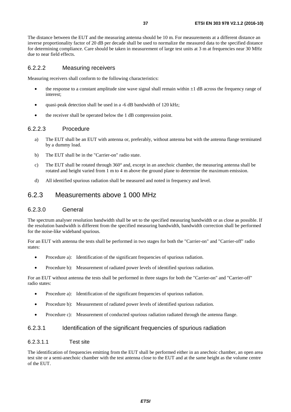The distance between the EUT and the measuring antenna should be 10 m. For measurements at a different distance an inverse proportionality factor of 20 dB per decade shall be used to normalize the measured data to the specified distance for determining compliance. Care should be taken in measurement of large test units at 3 m at frequencies near 30 MHz due to near field effects.

### 6.2.2.2 Measuring receivers

Measuring receivers shall conform to the following characteristics:

- the response to a constant amplitude sine wave signal shall remain within  $\pm 1$  dB across the frequency range of interest;
- quasi-peak detection shall be used in a -6 dB bandwidth of 120 kHz;
- the receiver shall be operated below the 1 dB compression point.

### 6.2.2.3 Procedure

- a) The EUT shall be an EUT with antenna or, preferably, without antenna but with the antenna flange terminated by a dummy load.
- b) The EUT shall be in the "Carrier-on" radio state.
- c) The EUT shall be rotated through 360° and, except in an anechoic chamber, the measuring antenna shall be rotated and height varied from 1 m to 4 m above the ground plane to determine the maximum emission.
- d) All identified spurious radiation shall be measured and noted in frequency and level.

### 6.2.3 Measurements above 1 000 MHz

### 6.2.3.0 General

The spectrum analyser resolution bandwidth shall be set to the specified measuring bandwidth or as close as possible. If the resolution bandwidth is different from the specified measuring bandwidth, bandwidth correction shall be performed for the noise-like wideband spurious.

For an EUT with antenna the tests shall be performed in two stages for both the "Carrier-on" and "Carrier-off" radio states:

- Procedure a): Identification of the significant frequencies of spurious radiation.
- Procedure b): Measurement of radiated power levels of identified spurious radiation.

For an EUT without antenna the tests shall be performed in three stages for both the "Carrier-on" and "Carrier-off" radio states:

- Procedure a): Identification of the significant frequencies of spurious radiation.
- Procedure b): Measurement of radiated power levels of identified spurious radiation.
- Procedure c): Measurement of conducted spurious radiation radiated through the antenna flange.

### 6.2.3.1 Identification of the significant frequencies of spurious radiation

#### 6.2.3.1.1 Test site

The identification of frequencies emitting from the EUT shall be performed either in an anechoic chamber, an open area test site or a semi-anechoic chamber with the test antenna close to the EUT and at the same height as the volume centre of the EUT.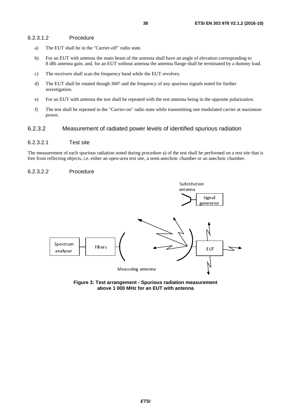### 6.2.3.1.2 Procedure

- a) The EUT shall be in the "Carrier-off" radio state.
- b) For an EUT with antenna the main beam of the antenna shall have an angle of elevation corresponding to 8 dBi antenna gain, and, for an EUT without antenna the antenna flange shall be terminated by a dummy load.
- c) The receivers shall scan the frequency band while the EUT revolves.
- d) The EUT shall be rotated though 360° and the frequency of any spurious signals noted for further investigation.
- e) For an EUT with antenna the test shall be repeated with the test antenna being in the opposite polarization.
- f) The test shall be repeated in the "Carrier-on" radio state while transmitting one modulated carrier at maximum power.

### 6.2.3.2 Measurement of radiated power levels of identified spurious radiation

### 6.2.3.2.1 Test site

The measurement of each spurious radiation noted during procedure a) of the test shall be performed on a test site that is free from reflecting objects, i.e. either an open-area test site, a semi-anechoic chamber or an anechoic chamber.

#### 6.2.3.2.2 Procedure



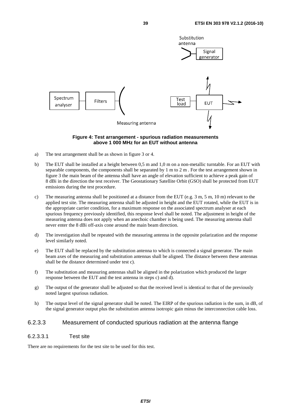

#### **Figure 4: Test arrangement - spurious radiation measurements above 1 000 MHz for an EUT without antenna**

- a) The test arrangement shall be as shown in figure 3 or 4.
- b) The EUT shall be installed at a height between 0,5 m and 1,0 m on a non-metallic turntable. For an EUT with separable components, the components shall be separated by 1 m to 2 m . For the test arrangement shown in figure 3 the main beam of the antenna shall have an angle of elevation sufficient to achieve a peak gain of 8 dBi in the direction the test receiver. The Geostationary Satellite Orbit (GSO) shall be protected from EUT emissions during the test procedure.
- c) The measuring antenna shall be positioned at a distance from the EUT (e.g. 3 m, 5 m, 10 m) relevant to the applied test site. The measuring antenna shall be adjusted in height and the EUT rotated, while the EUT is in the appropriate carrier condition, for a maximum response on the associated spectrum analyser at each spurious frequency previously identified, this response level shall be noted. The adjustment in height of the measuring antenna does not apply when an anechoic chamber is being used. The measuring antenna shall never enter the 8 dBi off-axis cone around the main beam direction.
- d) The investigation shall be repeated with the measuring antenna in the opposite polarization and the response level similarly noted.
- e) The EUT shall be replaced by the substitution antenna to which is connected a signal generator. The main beam axes of the measuring and substitution antennas shall be aligned. The distance between these antennas shall be the distance determined under test c).
- f) The substitution and measuring antennas shall be aligned in the polarization which produced the larger response between the EUT and the test antenna in steps c) and d).
- g) The output of the generator shall be adjusted so that the received level is identical to that of the previously noted largest spurious radiation.
- h) The output level of the signal generator shall be noted. The EIRP of the spurious radiation is the sum, in dB, of the signal generator output plus the substitution antenna isotropic gain minus the interconnection cable loss.

### 6.2.3.3 Measurement of conducted spurious radiation at the antenna flange

### 6.2.3.3.1 Test site

There are no requirements for the test site to be used for this test.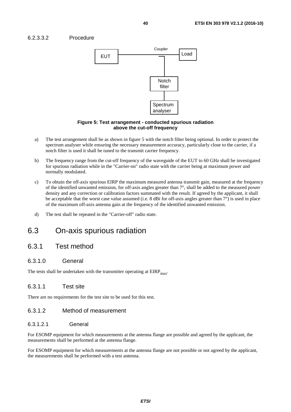### 6.2.3.3.2 Procedure



#### **Figure 5: Test arrangement - conducted spurious radiation above the cut-off frequency**

- a) The test arrangement shall be as shown in figure 5 with the notch filter being optional. In order to protect the spectrum analyser while ensuring the necessary measurement accuracy, particularly close to the carrier, if a notch filter is used it shall be tuned to the transmit carrier frequency.
- b) The frequency range from the cut-off frequency of the waveguide of the EUT to 60 GHz shall be investigated for spurious radiation while in the "Carrier-on" radio state with the carrier being at maximum power and normally modulated.
- c) To obtain the off-axis spurious EIRP the maximum measured antenna transmit gain, measured at the frequency of the identified unwanted emission, for off-axis angles greater than 7°, shall be added to the measured power density and any correction or calibration factors summated with the result. If agreed by the applicant, it shall be acceptable that the worst case value assumed (i.e. 8 dBi for off-axis angles greater than 7°) is used in place of the maximum off-axis antenna gain at the frequency of the identified unwanted emission.
- d) The test shall be repeated in the "Carrier-off" radio state.

## 6.3 On-axis spurious radiation

## 6.3.1 Test method

### 6.3.1.0 General

The tests shall be undertaken with the transmitter operating at  $EIRP<sub>max</sub>$ .

### 6.3.1.1 Test site

There are no requirements for the test site to be used for this test.

### 6.3.1.2 Method of measurement

### 6.3.1.2.1 General

For ESOMP equipment for which measurements at the antenna flange are possible and agreed by the applicant, the measurements shall be performed at the antenna flange.

For ESOMP equipment for which measurements at the antenna flange are not possible or not agreed by the applicant, the measurements shall be performed with a test antenna.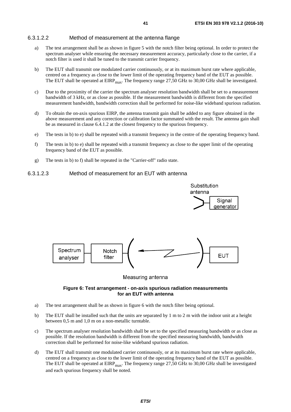### 6.3.1.2.2 Method of measurement at the antenna flange

- a) The test arrangement shall be as shown in figure 5 with the notch filter being optional. In order to protect the spectrum analyser while ensuring the necessary measurement accuracy, particularly close to the carrier, if a notch filter is used it shall be tuned to the transmit carrier frequency.
- b) The EUT shall transmit one modulated carrier continuously, or at its maximum burst rate where applicable, centred on a frequency as close to the lower limit of the operating frequency band of the EUT as possible. The EUT shall be operated at  $EIRP<sub>max</sub>$ . The frequency range 27,50 GHz to 30,00 GHz shall be investigated.
- c) Due to the proximity of the carrier the spectrum analyser resolution bandwidth shall be set to a measurement bandwidth of 3 kHz, or as close as possible. If the measurement bandwidth is different from the specified measurement bandwidth, bandwidth correction shall be performed for noise-like wideband spurious radiation.
- d) To obtain the on-axis spurious EIRP, the antenna transmit gain shall be added to any figure obtained in the above measurement and any correction or calibration factor summated with the result. The antenna gain shall be as measured in clause 6.4.1.2 at the closest frequency to the spurious frequency.
- e) The tests in b) to e) shall be repeated with a transmit frequency in the centre of the operating frequency band.
- f) The tests in b) to e) shall be repeated with a transmit frequency as close to the upper limit of the operating frequency band of the EUT as possible.
- g) The tests in b) to f) shall be repeated in the "Carrier-off" radio state.

### 6.3.1.2.3 Method of measurement for an EUT with antenna



#### Measuring antenna

#### **Figure 6: Test arrangement - on-axis spurious radiation measurements for an EUT with antenna**

- a) The test arrangement shall be as shown in figure 6 with the notch filter being optional.
- b) The EUT shall be installed such that the units are separated by 1 m to 2 m with the indoor unit at a height between 0,5 m and 1,0 m on a non-metallic turntable.
- c) The spectrum analyser resolution bandwidth shall be set to the specified measuring bandwidth or as close as possible. If the resolution bandwidth is different from the specified measuring bandwidth, bandwidth correction shall be performed for noise-like wideband spurious radiation.
- d) The EUT shall transmit one modulated carrier continuously, or at its maximum burst rate where applicable, centred on a frequency as close to the lower limit of the operating frequency band of the EUT as possible. The EUT shall be operated at  $EIRP<sub>max</sub>$ . The frequency range 27,50 GHz to 30,00 GHz shall be investigated and each spurious frequency shall be noted.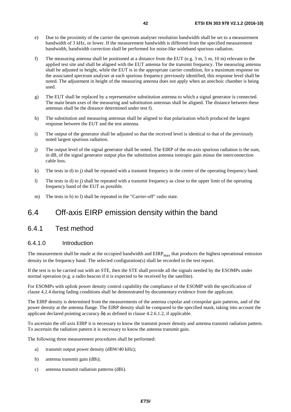- e) Due to the proximity of the carrier the spectrum analyser resolution bandwidth shall be set to a measurement bandwidth of 3 kHz, or lower. If the measurement bandwidth is different from the specified measurement bandwidth, bandwidth correction shall be performed for noise-like wideband spurious radiation.
- f) The measuring antenna shall be positioned at a distance from the EUT (e.g. 3 m, 5 m, 10 m) relevant to the applied test site and shall be aligned with the EUT antenna for the transmit frequency. The measuring antenna shall be adjusted in height, while the EUT is in the appropriate carrier condition, for a maximum response on the associated spectrum analyser at each spurious frequency previously identified, this response level shall be noted. The adjustment in height of the measuring antenna does not apply when an anechoic chamber is being used.
- g) The EUT shall be replaced by a representative substitution antenna to which a signal generator is connected. The main beam axes of the measuring and substitution antennas shall be aligned. The distance between these antennas shall be the distance determined under test f).
- h) The substitution and measuring antennas shall be aligned to that polarization which produced the largest response between the EUT and the test antenna.
- i) The output of the generator shall be adjusted so that the received level is identical to that of the previously noted largest spurious radiation.
- j) The output level of the signal generator shall be noted. The EIRP of the on-axis spurious radiation is the sum, in dB, of the signal generator output plus the substitution antenna isotropic gain minus the interconnection cable loss.
- k) The tests in d) to j) shall be repeated with a transmit frequency in the centre of the operating frequency band.
- l) The tests in d) to j) shall be repeated with a transmit frequency as close to the upper limit of the operating frequency band of the EUT as possible.
- m) The tests in b) to l) shall be repeated in the "Carrier-off" radio state.

## 6.4 Off-axis EIRP emission density within the band

### 6.4.1 Test method

### 6.4.1.0 Introduction

The measurement shall be made at the occupied bandwidth and  $EIRP<sub>max</sub>$  that produces the highest operational emission density in the frequency band. The selected configuration(s) shall be recorded in the test report.

If the test is to be carried out with an STE, then the STE shall provide all the signals needed by the ESOMPs under normal operation (e.g. a radio beacon if it is expected to be received by the satellite).

For ESOMPs with uplink power density control capability the compliance of the ESOMP with the specification of clause 4.2.4 during fading conditions shall be demonstrated by documentary evidence from the applicant.

The EIRP density is determined from the measurements of the antenna copolar and crosspolar gain patterns, and of the power density at the antenna flange. The EIRP density shall be compared to the specified mask, taking into account the applicant declared pointing accuracy  $\delta \phi$  as defined in clause 4.2.6.1.2, if applicable.

To ascertain the off-axis EIRP it is necessary to know the transmit power density and antenna transmit radiation pattern. To ascertain the radiation pattern it is necessary to know the antenna transmit gain.

The following three measurement procedures shall be performed:

- a) transmit output power density (dBW/40 kHz);
- b) antenna transmit gain (dBi);
- c) antenna transmit radiation patterns (dBi).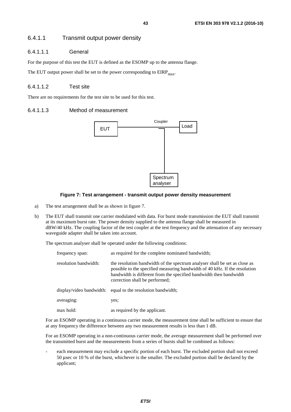### 6.4.1.1 Transmit output power density

### 6.4.1.1.1 General

For the purpose of this test the EUT is defined as the ESOMP up to the antenna flange.

The EUT output power shall be set to the power corresponding to  $EIRP<sub>max</sub>$ .

### 6.4.1.1.2 Test site

There are no requirements for the test site to be used for this test.

### 6.4.1.1.3 Method of measurement



### **Figure 7: Test arrangement - transmit output power density measurement**

- a) The test arrangement shall be as shown in figure 7.
- b) The EUT shall transmit one carrier modulated with data. For burst mode transmission the EUT shall transmit at its maximum burst rate. The power density supplied to the antenna flange shall be measured in dBW/40 kHz. The coupling factor of the test coupler at the test frequency and the attenuation of any necessary waveguide adapter shall be taken into account.

The spectrum analyser shall be operated under the following conditions:

| frequency span:       | as required for the complete nominated bandwidth;                                                                                                                                                                                                                |  |  |  |
|-----------------------|------------------------------------------------------------------------------------------------------------------------------------------------------------------------------------------------------------------------------------------------------------------|--|--|--|
| resolution bandwidth: | the resolution bandwidth of the spectrum analyser shall be set as close as<br>possible to the specified measuring bandwidth of 40 kHz. If the resolution<br>bandwidth is different from the specified bandwidth then bandwidth<br>correction shall be performed; |  |  |  |
|                       | display/video bandwidth: equal to the resolution bandwidth;                                                                                                                                                                                                      |  |  |  |
| averaging:            | yes;                                                                                                                                                                                                                                                             |  |  |  |
| max hold:             | as required by the applicant.                                                                                                                                                                                                                                    |  |  |  |

For an ESOMP operating in a continuous carrier mode, the measurement time shall be sufficient to ensure that at any frequency the difference between any two measurement results is less than 1 dB.

For an ESOMP operating in a non-continuous carrier mode, the average measurement shall be performed over the transmitted burst and the measurements from a series of bursts shall be combined as follows:

each measurement may exclude a specific portion of each burst. The excluded portion shall not exceed 50 μsec or 10 % of the burst, whichever is the smaller. The excluded portion shall be declared by the applicant;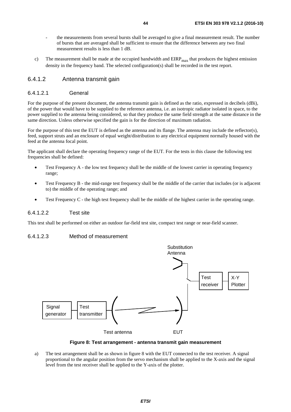- the measurements from several bursts shall be averaged to give a final measurement result. The number of bursts that are averaged shall be sufficient to ensure that the difference between any two final measurement results is less than 1 dB.
- c) The measurement shall be made at the occupied bandwidth and  $EIRP<sub>max</sub>$  that produces the highest emission density in the frequency band. The selected configuration(s) shall be recorded in the test report.

### 6.4.1.2 Antenna transmit gain

#### 6.4.1.2.1 General

For the purpose of the present document, the antenna transmit gain is defined as the ratio, expressed in decibels (dBi), of the power that would have to be supplied to the reference antenna, i.e. an isotropic radiator isolated in space, to the power supplied to the antenna being considered, so that they produce the same field strength at the same distance in the same direction. Unless otherwise specified the gain is for the direction of maximum radiation.

For the purpose of this test the EUT is defined as the antenna and its flange. The antenna may include the reflector(s), feed, support struts and an enclosure of equal weight/distribution to any electrical equipment normally housed with the feed at the antenna focal point.

The applicant shall declare the operating frequency range of the EUT. For the tests in this clause the following test frequencies shall be defined:

- Test Frequency A the low test frequency shall be the middle of the lowest carrier in operating frequency range;
- Test Frequency B the mid-range test frequency shall be the middle of the carrier that includes (or is adjacent to) the middle of the operating range; and
- Test Frequency C the high test frequency shall be the middle of the highest carrier in the operating range.

### 6.4.1.2.2 Test site

This test shall be performed on either an outdoor far-field test site, compact test range or near-field scanner.

### 6.4.1.2.3 Method of measurement



**Figure 8: Test arrangement - antenna transmit gain measurement** 

a) The test arrangement shall be as shown in figure 8 with the EUT connected to the test receiver. A signal proportional to the angular position from the servo mechanism shall be applied to the X-axis and the signal level from the test receiver shall be applied to the Y-axis of the plotter.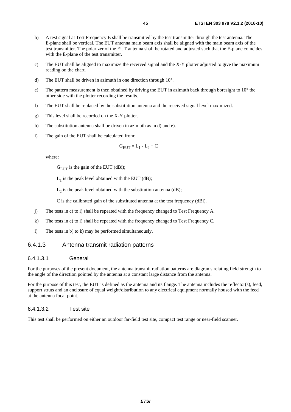- b) A test signal at Test Frequency B shall be transmitted by the test transmitter through the test antenna. The E-plane shall be vertical. The EUT antenna main beam axis shall be aligned with the main beam axis of the test transmitter. The polarizer of the EUT antenna shall be rotated and adjusted such that the E-plane coincides with the E-plane of the test transmitter.
- c) The EUT shall be aligned to maximize the received signal and the X-Y plotter adjusted to give the maximum reading on the chart.
- d) The EUT shall be driven in azimuth in one direction through 10°.
- e) The pattern measurement is then obtained by driving the EUT in azimuth back through boresight to  $10^{\circ}$  the other side with the plotter recording the results.
- f) The EUT shall be replaced by the substitution antenna and the received signal level maximized.
- g) This level shall be recorded on the X-Y plotter.
- h) The substitution antenna shall be driven in azimuth as in d) and e).
- i) The gain of the EUT shall be calculated from:

$$
G_{EUT} = L_1 - L_2 + C
$$

where:

 $G<sub>EUT</sub>$  is the gain of the EUT (dBi);

 $L_1$  is the peak level obtained with the EUT (dB);

 $L<sub>2</sub>$  is the peak level obtained with the substitution antenna (dB);

C is the calibrated gain of the substituted antenna at the test frequency (dBi).

- j) The tests in c) to i) shall be repeated with the frequency changed to Test Frequency A.
- k) The tests in c) to i) shall be repeated with the frequency changed to Test Frequency C.
- l) The tests in b) to k) may be performed simultaneously.

### 6.4.1.3 Antenna transmit radiation patterns

### 6.4.1.3.1 General

For the purposes of the present document, the antenna transmit radiation patterns are diagrams relating field strength to the angle of the direction pointed by the antenna at a constant large distance from the antenna.

For the purpose of this test, the EUT is defined as the antenna and its flange. The antenna includes the reflector(s), feed, support struts and an enclosure of equal weight/distribution to any electrical equipment normally housed with the feed at the antenna focal point.

#### 6.4.1.3.2 Test site

This test shall be performed on either an outdoor far-field test site, compact test range or near-field scanner.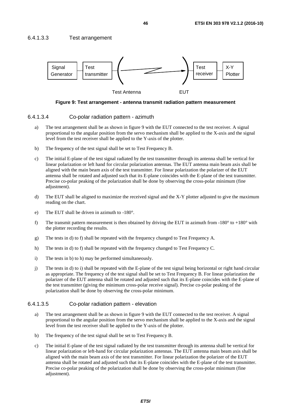



#### **Figure 9: Test arrangement - antenna transmit radiation pattern measurement**

#### 6.4.1.3.4 Co-polar radiation pattern - azimuth

- a) The test arrangement shall be as shown in figure 9 with the EUT connected to the test receiver. A signal proportional to the angular position from the servo mechanism shall be applied to the X-axis and the signal level from the test receiver shall be applied to the Y-axis of the plotter.
- b) The frequency of the test signal shall be set to Test Frequency B.
- c) The initial E-plane of the test signal radiated by the test transmitter through its antenna shall be vertical for linear polarization or left hand for circular polarization antennas. The EUT antenna main beam axis shall be aligned with the main beam axis of the test transmitter. For linear polarization the polarizer of the EUT antenna shall be rotated and adjusted such that its E-plane coincides with the E-plane of the test transmitter. Precise co-polar peaking of the polarization shall be done by observing the cross-polar minimum (fine adjustment).
- d) The EUT shall be aligned to maximize the received signal and the X-Y plotter adjusted to give the maximum reading on the chart.
- e) The EUT shall be driven in azimuth to -180°.
- f) The transmit pattern measurement is then obtained by driving the EUT in azimuth from  $-180^\circ$  to  $+180^\circ$  with the plotter recording the results.
- g) The tests in d) to f) shall be repeated with the frequency changed to Test Frequency A.
- h) The tests in d) to f) shall be repeated with the frequency changed to Test Frequency C.
- i) The tests in b) to h) may be performed simultaneously.
- j) The tests in d) to i) shall be repeated with the E-plane of the test signal being horizontal or right hand circular as appropriate. The frequency of the test signal shall be set to Test Frequency B. For linear polarization the polarizer of the EUT antenna shall be rotated and adjusted such that its E-plane coincides with the E-plane of the test transmitter (giving the minimum cross-polar receive signal). Precise co-polar peaking of the polarization shall be done by observing the cross-polar minimum.

#### 6.4.1.3.5 Co-polar radiation pattern - elevation

- a) The test arrangement shall be as shown in figure 9 with the EUT connected to the test receiver. A signal proportional to the angular position from the servo mechanism shall be applied to the X-axis and the signal level from the test receiver shall be applied to the Y-axis of the plotter.
- b) The frequency of the test signal shall be set to Test Frequency B.
- c) The initial E-plane of the test signal radiated by the test transmitter through its antenna shall be vertical for linear polarization or left-hand for circular polarization antennas. The EUT antenna main beam axis shall be aligned with the main beam axis of the test transmitter. For linear polarization the polarizer of the EUT antenna shall be rotated and adjusted such that its E-plane coincides with the E-plane of the test transmitter. Precise co-polar peaking of the polarization shall be done by observing the cross-polar minimum (fine adjustment).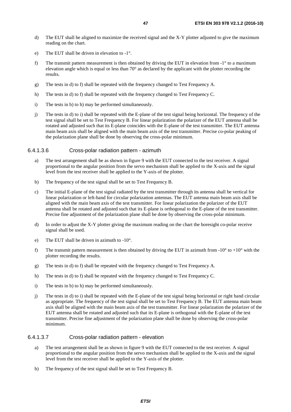- d) The EUT shall be aligned to maximize the received signal and the X-Y plotter adjusted to give the maximum reading on the chart.
- e) The EUT shall be driven in elevation to -1°.
- f) The transmit pattern measurement is then obtained by driving the EUT in elevation from  $-1^\circ$  to a maximum elevation angle which is equal or less than 70° as declared by the applicant with the plotter recording the results.
- g) The tests in d) to f) shall be repeated with the frequency changed to Test Frequency A.
- h) The tests in d) to f) shall be repeated with the frequency changed to Test Frequency C.
- i) The tests in b) to h) may be performed simultaneously.
- j) The tests in d) to i) shall be repeated with the E-plane of the test signal being horizontal. The frequency of the test signal shall be set to Test Frequency B. For linear polarization the polarizer of the EUT antenna shall be rotated and adjusted such that its E-plane coincides with the E-plane of the test transmitter. The EUT antenna main beam axis shall be aligned with the main beam axis of the test transmitter. Precise co-polar peaking of the polarization plane shall be done by observing the cross-polar minimum.

#### 6.4.1.3.6 Cross-polar radiation pattern - azimuth

- a) The test arrangement shall be as shown in figure 9 with the EUT connected to the test receiver. A signal proportional to the angular position from the servo mechanism shall be applied to the X-axis and the signal level from the test receiver shall be applied to the Y-axis of the plotter.
- b) The frequency of the test signal shall be set to Test Frequency B.
- c) The initial E-plane of the test signal radiated by the test transmitter through its antenna shall be vertical for linear polarization or left-hand for circular polarization antennas. The EUT antenna main beam axis shall be aligned with the main beam axis of the test transmitter. For linear polarization the polarizer of the EUT antenna shall be rotated and adjusted such that its E-plane is orthogonal to the E-plane of the test transmitter. Precise fine adjustment of the polarization plane shall be done by observing the cross-polar minimum.
- d) In order to adjust the X-Y plotter giving the maximum reading on the chart the boresight co-polar receive signal shall be used.
- e) The EUT shall be driven in azimuth to  $-10^{\circ}$ .
- f) The transmit pattern measurement is then obtained by driving the EUT in azimuth from  $-10^{\circ}$  to  $+10^{\circ}$  with the plotter recording the results.
- g) The tests in d) to f) shall be repeated with the frequency changed to Test Frequency A.
- h) The tests in d) to f) shall be repeated with the frequency changed to Test Frequency C.
- i) The tests in b) to h) may be performed simultaneously.
- j) The tests in d) to i) shall be repeated with the E-plane of the test signal being horizontal or right hand circular as appropriate. The frequency of the test signal shall be set to Test Frequency B. The EUT antenna main beam axis shall be aligned with the main beam axis of the test transmitter. For linear polarization the polarizer of the EUT antenna shall be rotated and adjusted such that its E-plane is orthogonal with the E-plane of the test transmitter. Precise fine adjustment of the polarization plane shall be done by observing the cross-polar minimum.

### 6.4.1.3.7 Cross-polar radiation pattern - elevation

- a) The test arrangement shall be as shown in figure 9 with the EUT connected to the test receiver. A signal proportional to the angular position from the servo mechanism shall be applied to the X-axis and the signal level from the test receiver shall be applied to the Y-axis of the plotter.
- b) The frequency of the test signal shall be set to Test Frequency B.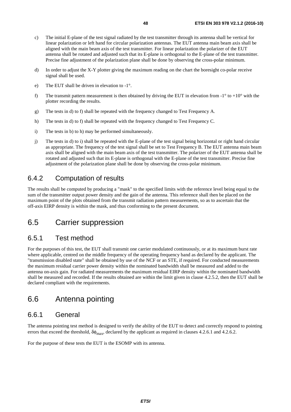- c) The initial E-plane of the test signal radiated by the test transmitter through its antenna shall be vertical for linear polarization or left hand for circular polarization antennas. The EUT antenna main beam axis shall be aligned with the main beam axis of the test transmitter. For linear polarization the polarizer of the EUT antenna shall be rotated and adjusted such that its E-plane is orthogonal to the E-plane of the test transmitter. Precise fine adjustment of the polarization plane shall be done by observing the cross-polar minimum.
- d) In order to adjust the X-Y plotter giving the maximum reading on the chart the boresight co-polar receive signal shall be used.
- e) The EUT shall be driven in elevation to -1°.
- f) The transmit pattern measurement is then obtained by driving the EUT in elevation from  $-1^\circ$  to  $+10^\circ$  with the plotter recording the results.
- g) The tests in d) to f) shall be repeated with the frequency changed to Test Frequency A.
- h) The tests in d) to f) shall be repeated with the frequency changed to Test Frequency C.
- i) The tests in b) to h) may be performed simultaneously.
- j) The tests in d) to i) shall be repeated with the E-plane of the test signal being horizontal or right hand circular as appropriate. The frequency of the test signal shall be set to Test Frequency B. The EUT antenna main beam axis shall be aligned with the main beam axis of the test transmitter. The polarizer of the EUT antenna shall be rotated and adjusted such that its E-plane is orthogonal with the E-plane of the test transmitter. Precise fine adjustment of the polarization plane shall be done by observing the cross-polar minimum.

## 6.4.2 Computation of results

The results shall be computed by producing a "mask" to the specified limits with the reference level being equal to the sum of the transmitter output power density and the gain of the antenna. This reference shall then be placed on the maximum point of the plots obtained from the transmit radiation pattern measurements, so as to ascertain that the off-axis EIRP density is within the mask, and thus conforming to the present document.

## 6.5 Carrier suppression

## 6.5.1 Test method

For the purposes of this test, the EUT shall transmit one carrier modulated continuously, or at its maximum burst rate where applicable, centred on the middle frequency of the operating frequency band as declared by the applicant. The "transmission disabled state" shall be obtained by use of the NCF or an STE, if required. For conducted measurements the maximum residual carrier power density within the nominated bandwidth shall be measured and added to the antenna on-axis gain. For radiated measurements the maximum residual EIRP density within the nominated bandwidth shall be measured and recorded. If the results obtained are within the limit given in clause 4.2.5.2, then the EUT shall be declared compliant with the requirements.

## 6.6 Antenna pointing

### 6.6.1 General

The antenna pointing test method is designed to verify the ability of the EUT to detect and correctly respond to pointing errors that exceed the threshold,  $\delta\phi_{\rm max}$ , declared by the applicant as required in clauses 4.2.6.1 and 4.2.6.2.

For the purpose of these tests the EUT is the ESOMP with its antenna.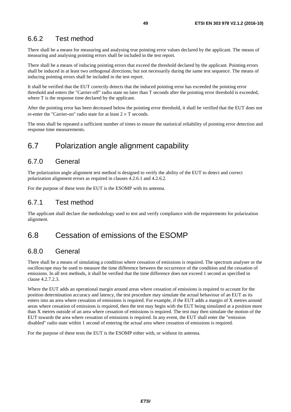## 6.6.2 Test method

There shall be a means for measuring and analysing true pointing error values declared by the applicant. The means of measuring and analysing pointing errors shall be included in the test report.

There shall be a means of inducing pointing errors that exceed the threshold declared by the applicant. Pointing errors shall be induced in at least two orthogonal directions; but not necessarily during the same test sequence. The means of inducing pointing errors shall be included in the test report.

It shall be verified that the EUT correctly detects that the induced pointing error has exceeded the pointing error threshold and enters the "Carrier-off" radio state no later than T seconds after the pointing error threshold is exceeded, where T is the response time declared by the applicant.

After the pointing error has been decreased below the pointing error threshold, it shall be verified that the EUT does not re-enter the "Carrier-on" radio state for at least  $2 \times T$  seconds.

The tests shall be repeated a sufficient number of times to ensure the statistical reliability of pointing error detection and response time measurements.

## 6.7 Polarization angle alignment capability

### 6.7.0 General

The polarization angle alignment test method is designed to verify the ability of the EUT to detect and correct polarization alignment errors as required in clauses 4.2.6.1 and 4.2.6.2.

For the purpose of these tests the EUT is the ESOMP with its antenna.

## 6.7.1 Test method

The applicant shall declare the methodology used to test and verify compliance with the requirements for polarization alignment.

## 6.8 Cessation of emissions of the ESOMP

## 6.8.0 General

There shall be a means of simulating a condition where cessation of emissions is required. The spectrum analyser or the oscilloscope may be used to measure the time difference between the occurrence of the condition and the cessation of emissions. In all test methods, it shall be verified that the time difference does not exceed 1 second as specified in clause 4.2.7.2.3.

Where the EUT adds an operational margin around areas where cessation of emissions is required to account for the position determination accuracy and latency, the test procedure may simulate the actual behaviour of an EUT as its enters into an area where cessation of emissions is required. For example, if the EUT adds a margin of X metres around areas where cessation of emissions is required, then the test may begin with the EUT being simulated at a position more than X metres outside of an area where cessation of emissions is required. The test may then simulate the motion of the EUT towards the area where cessation of emissions is required. In any event, the EUT shall enter the "emission disabled" radio state within 1 second of entering the actual area where cessation of emissions is required.

For the purpose of these tests the EUT is the ESOMP either with, or without its antenna.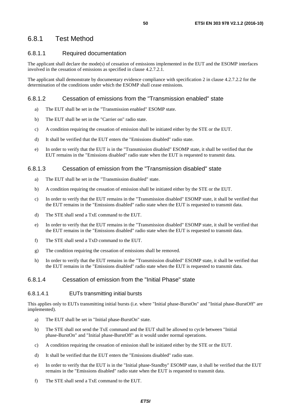## 6.8.1 Test Method

### 6.8.1.1 Required documentation

The applicant shall declare the mode(s) of cessation of emissions implemented in the EUT and the ESOMP interfaces involved in the cessation of emissions as specified in clause 4.2.7.2.1.

The applicant shall demonstrate by documentary evidence compliance with specification 2 in clause 4.2.7.2.2 for the determination of the conditions under which the ESOMP shall cease emissions.

### 6.8.1.2 Cessation of emissions from the "Transmission enabled" state

- a) The EUT shall be set in the "Transmission enabled" ESOMP state.
- b) The EUT shall be set in the "Carrier on" radio state.
- c) A condition requiring the cessation of emission shall be initiated either by the STE or the EUT.
- d) It shall be verified that the EUT enters the "Emissions disabled" radio state.
- e) In order to verify that the EUT is in the "Transmission disabled" ESOMP state, it shall be verified that the EUT remains in the "Emissions disabled" radio state when the EUT is requested to transmit data.

### 6.8.1.3 Cessation of emission from the "Transmission disabled" state

- a) The EUT shall be set in the "Transmission disabled" state.
- b) A condition requiring the cessation of emission shall be initiated either by the STE or the EUT.
- c) In order to verify that the EUT remains in the "Transmission disabled" ESOMP state, it shall be verified that the EUT remains in the "Emissions disabled" radio state when the EUT is requested to transmit data.
- d) The STE shall send a TxE command to the EUT.
- e) In order to verify that the EUT remains in the "Transmission disabled" ESOMP state, it shall be verified that the EUT remains in the "Emissions disabled" radio state when the EUT is requested to transmit data.
- f) The STE shall send a TxD command to the EUT.
- g) The condition requiring the cessation of emissions shall be removed.
- h) In order to verify that the EUT remains in the "Transmission disabled" ESOMP state, it shall be verified that the EUT remains in the "Emissions disabled" radio state when the EUT is requested to transmit data.

### 6.8.1.4 Cessation of emission from the "Initial Phase" state

### 6.8.1.4.1 EUTs transmitting initial bursts

This applies only to EUTs transmitting initial bursts (i.e. where "Initial phase-BurstOn" and "Initial phase-BurstOff" are implemented).

- a) The EUT shall be set in "Initial phase-BurstOn" state.
- b) The STE shall not send the TxE command and the EUT shall be allowed to cycle between "Initial phase-BurstOn" and "Initial phase-BurstOff" as it would under normal operations.
- c) A condition requiring the cessation of emission shall be initiated either by the STE or the EUT.
- d) It shall be verified that the EUT enters the "Emissions disabled" radio state.
- e) In order to verify that the EUT is in the "Initial phase-Standby" ESOMP state, it shall be verified that the EUT remains in the "Emissions disabled" radio state when the EUT is requested to transmit data.
- f) The STE shall send a TxE command to the EUT.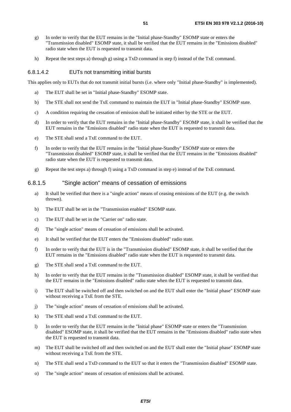- g) In order to verify that the EUT remains in the "Initial phase-Standby" ESOMP state or enters the "Transmission disabled" ESOMP state, it shall be verified that the EUT remains in the "Emissions disabled" radio state when the EUT is requested to transmit data.
- h) Repeat the test steps a) through g) using a TxD command in step f) instead of the TxE command.

#### 6.8.1.4.2 EUTs not transmitting initial bursts

This applies only to EUTs that do not transmit initial bursts (i.e. where only "Initial phase-Standby" is implemented).

- a) The EUT shall be set in "Initial phase-Standby" ESOMP state.
- b) The STE shall not send the TxE command to maintain the EUT in "Initial phase-Standby" ESOMP state.
- c) A condition requiring the cessation of emission shall be initiated either by the STE or the EUT.
- d) In order to verify that the EUT remains in the "Initial phase-Standby" ESOMP state, it shall be verified that the EUT remains in the "Emissions disabled" radio state when the EUT is requested to transmit data.
- e) The STE shall send a TxE command to the EUT.
- f) In order to verify that the EUT remains in the "Initial phase-Standby" ESOMP state or enters the "Transmission disabled" ESOMP state, it shall be verified that the EUT remains in the "Emissions disabled" radio state when the EUT is requested to transmit data.
- g) Repeat the test steps a) through f) using a TxD command in step e) instead of the TxE command.

#### 6.8.1.5 "Single action" means of cessation of emissions

- a) It shall be verified that there is a "single action" means of ceasing emissions of the EUT (e.g. the switch thrown).
- b) The EUT shall be set in the "Transmission enabled" ESOMP state.
- c) The EUT shall be set in the "Carrier on" radio state.
- d) The "single action" means of cessation of emissions shall be activated.
- e) It shall be verified that the EUT enters the "Emissions disabled" radio state.
- f) In order to verify that the EUT is in the "Transmission disabled" ESOMP state, it shall be verified that the EUT remains in the "Emissions disabled" radio state when the EUT is requested to transmit data.
- g) The STE shall send a TxE command to the EUT.
- h) In order to verify that the EUT remains in the "Transmission disabled" ESOMP state, it shall be verified that the EUT remains in the "Emissions disabled" radio state when the EUT is requested to transmit data.
- i) The EUT shall be switched off and then switched on and the EUT shall enter the "Initial phase" ESOMP state without receiving a TxE from the STE.
- j) The "single action" means of cessation of emissions shall be activated.
- k) The STE shall send a TxE command to the EUT.
- l) In order to verify that the EUT remains in the "Initial phase" ESOMP state or enters the "Transmission disabled" ESOMP state, it shall be verified that the EUT remains in the "Emissions disabled" radio state when the EUT is requested to transmit data.
- m) The EUT shall be switched off and then switched on and the EUT shall enter the "Initial phase" ESOMP state without receiving a TxE from the STE.
- n) The STE shall send a TxD command to the EUT so that it enters the "Transmission disabled" ESOMP state.
- o) The "single action" means of cessation of emissions shall be activated.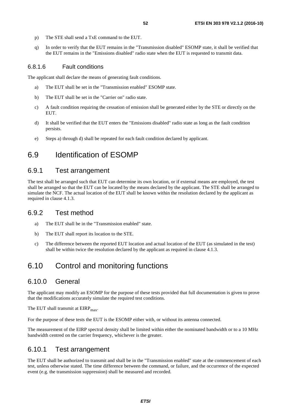- p) The STE shall send a TxE command to the EUT.
- q) In order to verify that the EUT remains in the "Transmission disabled" ESOMP state, it shall be verified that the EUT remains in the "Emissions disabled" radio state when the EUT is requested to transmit data.

### 6.8.1.6 Fault conditions

The applicant shall declare the means of generating fault conditions.

- a) The EUT shall be set in the "Transmission enabled" ESOMP state.
- b) The EUT shall be set in the "Carrier on" radio state.
- c) A fault condition requiring the cessation of emission shall be generated either by the STE or directly on the EUT.
- d) It shall be verified that the EUT enters the "Emissions disabled" radio state as long as the fault condition persists.
- e) Steps a) through d) shall be repeated for each fault condition declared by applicant.

## 6.9 Identification of ESOMP

## 6.9.1 Test arrangement

The test shall be arranged such that EUT can determine its own location, or if external means are employed, the test shall be arranged so that the EUT can be located by the means declared by the applicant. The STE shall be arranged to simulate the NCF. The actual location of the EUT shall be known within the resolution declared by the applicant as required in clause 4.1.3.

## 6.9.2 Test method

- a) The EUT shall be in the "Transmission enabled" state.
- b) The EUT shall report its location to the STE.
- c) The difference between the reported EUT location and actual location of the EUT (as simulated in the test) shall be within twice the resolution declared by the applicant as required in clause 4.1.3.

## 6.10 Control and monitoring functions

## 6.10.0 General

The applicant may modify an ESOMP for the purpose of these tests provided that full documentation is given to prove that the modifications accurately simulate the required test conditions.

The EUT shall transmit at  $EIRP<sub>max</sub>$ .

For the purpose of these tests the EUT is the ESOMP either with, or without its antenna connected.

The measurement of the EIRP spectral density shall be limited within either the nominated bandwidth or to a 10 MHz bandwidth centred on the carrier frequency, whichever is the greater.

## 6.10.1 Test arrangement

The EUT shall be authorized to transmit and shall be in the "Transmission enabled" state at the commencement of each test, unless otherwise stated. The time difference between the command, or failure, and the occurrence of the expected event (e.g. the transmission suppression) shall be measured and recorded.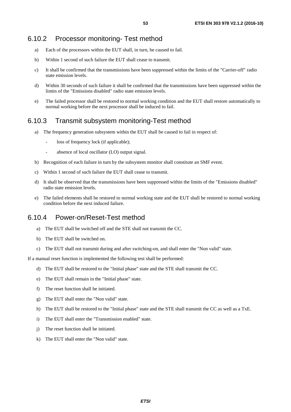### 6.10.2 Processor monitoring- Test method

- a) Each of the processors within the EUT shall, in turn, be caused to fail.
- b) Within 1 second of such failure the EUT shall cease to transmit.
- c) It shall be confirmed that the transmissions have been suppressed within the limits of the "Carrier-off" radio state emission levels.
- d) Within 30 seconds of such failure it shall be confirmed that the transmissions have been suppressed within the limits of the "Emissions disabled" radio state emission levels.
- e) The failed processor shall be restored to normal working condition and the EUT shall restore automatically to normal working before the next processor shall be induced to fail.

## 6.10.3 Transmit subsystem monitoring-Test method

- a) The frequency generation subsystem within the EUT shall be caused to fail in respect of:
	- loss of frequency lock (if applicable);
	- absence of local oscillator (LO) output signal.
- b) Recognition of each failure in turn by the subsystem monitor shall constitute an SMF event.
- c) Within 1 second of such failure the EUT shall cease to transmit.
- d) It shall be observed that the transmissions have been suppressed within the limits of the "Emissions disabled" radio state emission levels.
- e) The failed elements shall be restored to normal working state and the EUT shall be restored to normal working condition before the next induced failure.

## 6.10.4 Power-on/Reset-Test method

- a) The EUT shall be switched off and the STE shall not transmit the CC.
- b) The EUT shall be switched on.
- c) The EUT shall not transmit during and after switching-on, and shall enter the "Non valid" state.

If a manual reset function is implemented the following test shall be performed:

- d) The EUT shall be restored to the "Initial phase" state and the STE shall transmit the CC.
- e) The EUT shall remain in the "Initial phase" state.
- f) The reset function shall be initiated.
- g) The EUT shall enter the "Non valid" state.
- h) The EUT shall be restored to the "Initial phase" state and the STE shall transmit the CC as well as a TxE.
- i) The EUT shall enter the "Transmission enabled" state.
- j) The reset function shall be initiated.
- k) The EUT shall enter the "Non valid" state.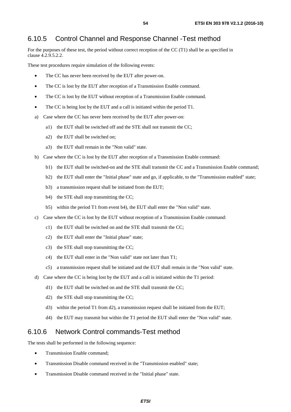## 6.10.5 Control Channel and Response Channel -Test method

For the purposes of these test, the period without correct reception of the CC (T1) shall be as specified in clause 4.2.9.5.2.2.

These test procedures require simulation of the following events:

- The CC has never been received by the EUT after power-on.
- The CC is lost by the EUT after reception of a Transmission Enable command.
- The CC is lost by the EUT without reception of a Transmission Enable command.
- The CC is being lost by the EUT and a call is initiated within the period T1.
- a) Case where the CC has never been received by the EUT after power-on:
	- a1) the EUT shall be switched off and the STE shall not transmit the CC;
	- a2) the EUT shall be switched on;
	- a3) the EUT shall remain in the "Non valid" state.
- b) Case where the CC is lost by the EUT after reception of a Transmission Enable command:
	- b1) the EUT shall be switched-on and the STE shall transmit the CC and a Transmission Enable command;
	- b2) the EUT shall enter the "Initial phase" state and go, if applicable, to the "Transmission enabled" state;
	- b3) a transmission request shall be initiated from the EUT;
	- b4) the STE shall stop transmitting the CC;
	- b5) within the period T1 from event b4), the EUT shall enter the "Non valid" state.
- c) Case where the CC is lost by the EUT without reception of a Transmission Enable command:
	- c1) the EUT shall be switched on and the STE shall transmit the CC;
	- c2) the EUT shall enter the "Initial phase" state;
	- c3) the STE shall stop transmitting the CC;
	- c4) the EUT shall enter in the "Non valid" state not later than T1;
	- c5) a transmission request shall be initiated and the EUT shall remain in the "Non valid" state.
- d) Case where the CC is being lost by the EUT and a call is initiated within the T1 period:
	- d1) the EUT shall be switched on and the STE shall transmit the CC;
	- d2) the STE shall stop transmitting the CC;
	- d3) within the period T1 from d2), a transmission request shall be initiated from the EUT;
	- d4) the EUT may transmit but within the T1 period the EUT shall enter the "Non valid" state.

### 6.10.6 Network Control commands-Test method

The tests shall be performed in the following sequence:

- Transmission Enable command;
- Transmission Disable command received in the "Transmission enabled" state:
- Transmission Disable command received in the "Initial phase" state.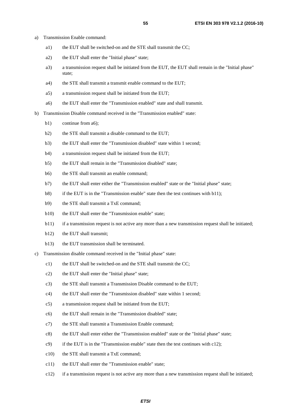- a) Transmission Enable command:
	- a1) the EUT shall be switched-on and the STE shall transmit the CC;
	- a2) the EUT shall enter the "Initial phase" state;
	- a3) a transmission request shall be initiated from the EUT, the EUT shall remain in the "Initial phase" state;
	- a4) the STE shall transmit a transmit enable command to the EUT;
	- a5) a transmission request shall be initiated from the EUT;
	- a6) the EUT shall enter the "Transmission enabled" state and shall transmit.
- b) Transmission Disable command received in the "Transmission enabled" state:
	- b1) continue from a6);
	- b2) the STE shall transmit a disable command to the EUT;
	- b3) the EUT shall enter the "Transmission disabled" state within 1 second;
	- b4) a transmission request shall be initiated from the EUT;
	- b5) the EUT shall remain in the "Transmission disabled" state;
	- b6) the STE shall transmit an enable command;
	- b7) the EUT shall enter either the "Transmission enabled" state or the "Initial phase" state;
	- b8) if the EUT is in the "Transmission enable" state then the test continues with b11);
	- b9) the STE shall transmit a TxE command;
	- b10) the EUT shall enter the "Transmission enable" state;
	- b11) if a transmission request is not active any more than a new transmission request shall be initiated;
	- b12) the EUT shall transmit;
	- b13) the EUT transmission shall be terminated.
- c) Transmission disable command received in the "Initial phase" state:
	- c1) the EUT shall be switched-on and the STE shall transmit the CC;
	- c2) the EUT shall enter the "Initial phase" state;
	- c3) the STE shall transmit a Transmission Disable command to the EUT;
	- c4) the EUT shall enter the "Transmission disabled" state within 1 second;
	- c5) a transmission request shall be initiated from the EUT;
	- c6) the EUT shall remain in the "Transmission disabled" state;
	- c7) the STE shall transmit a Transmission Enable command;
	- c8) the EUT shall enter either the "Transmission enabled" state or the "Initial phase" state;
	- $c$ 9) if the EUT is in the "Transmission enable" state then the test continues with c12);
	- c10) the STE shall transmit a TxE command;
	- c11) the EUT shall enter the "Transmission enable" state;
	- c12) if a transmission request is not active any more than a new transmission request shall be initiated;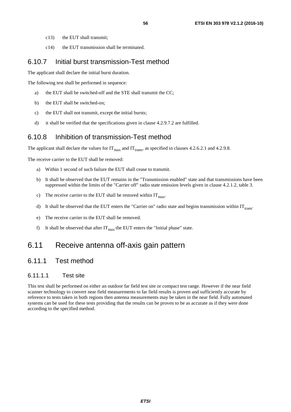- c13) the EUT shall transmit;
- c14) the EUT transmission shall be terminated.

### 6.10.7 Initial burst transmission-Test method

The applicant shall declare the initial burst duration.

The following test shall be performed in sequence:

- a) the EUT shall be switched-off and the STE shall transmit the CC;
- b) the EUT shall be switched-on;
- c) the EUT shall not transmit, except the initial bursts;
- d) it shall be verified that the specifications given in clause 4.2.9.7.2 are fulfilled.

### 6.10.8 Inhibition of transmission-Test method

The applicant shall declare the values for  $IT_{max}$  and  $IT_{trans}$ , as specified in clauses 4.2.6.2.1 and 4.2.9.8.

The receive carrier to the EUT shall be removed:

- a) Within 1 second of such failure the EUT shall cease to transmit.
- b) It shall be observed that the EUT remains in the "Transmission enabled" state and that transmissions have been suppressed within the limits of the "Carrier off" radio state emission levels given in clause 4.2.1.2, table 3.
- c) The receive carrier to the EUT shall be restored within  $IT<sub>max</sub>$ .
- d) It shall be observed that the EUT enters the "Carrier on" radio state and begins transmission within  $IT<sub>trans</sub>$ .
- e) The receive carrier to the EUT shall be removed.
- f) It shall be observed that after  $IT_{\text{max}}$  the EUT enters the "Initial phase" state.

## 6.11 Receive antenna off-axis gain pattern

## 6.11.1 Test method

### 6.11.1.1 Test site

This test shall be performed on either an outdoor far field test site or compact test range. However if the near field scanner technology to convert near field measurements to far field results is proven and sufficiently accurate by reference to tests taken in both regions then antenna measurements may be taken in the near field. Fully automated systems can be used for these tests providing that the results can be proven to be as accurate as if they were done according to the specified method.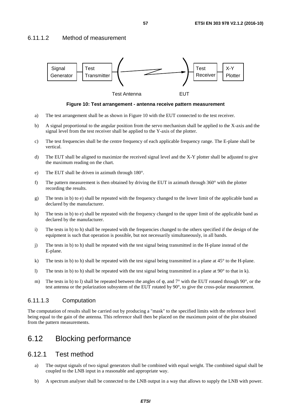### 6.11.1.2 Method of measurement



**Figure 10: Test arrangement - antenna receive pattern measurement** 

- a) The test arrangement shall be as shown in Figure 10 with the EUT connected to the test receiver.
- b) A signal proportional to the angular position from the servo mechanism shall be applied to the X-axis and the signal level from the test receiver shall be applied to the Y-axis of the plotter.
- c) The test frequencies shall be the centre frequency of each applicable frequency range. The E-plane shall be vertical.
- d) The EUT shall be aligned to maximize the received signal level and the X-Y plotter shall be adjusted to give the maximum reading on the chart.
- e) The EUT shall be driven in azimuth through 180°.
- f) The pattern measurement is then obtained by driving the EUT in azimuth through  $360^{\circ}$  with the plotter recording the results.
- g) The tests in b) to e) shall be repeated with the frequency changed to the lower limit of the applicable band as declared by the manufacturer.
- h) The tests in b) to e) shall be repeated with the frequency changed to the upper limit of the applicable band as declared by the manufacturer.
- i) The tests in b) to h) shall be repeated with the frequencies changed to the others specified if the design of the equipment is such that operation is possible, but not necessarily simultaneously, in all bands.
- j) The tests in b) to h) shall be repeated with the test signal being transmitted in the H-plane instead of the E-plane.
- k) The tests in b) to h) shall be repeated with the test signal being transmitted in a plane at  $45^{\circ}$  to the H-plane.
- l) The tests in b) to h) shall be repeated with the test signal being transmitted in a plane at  $90^\circ$  to that in k).
- m) The tests in b) to l) shall be repeated between the angles of φ, and 7° with the EUT rotated through 90°, or the test antenna or the polarization subsystem of the EUT rotated by 90°, to give the cross-polar measurement.

#### 6.11.1.3 Computation

The computation of results shall be carried out by producing a "mask" to the specified limits with the reference level being equal to the gain of the antenna. This reference shall then be placed on the maximum point of the plot obtained from the pattern measurements.

## 6.12 Blocking performance

### 6.12.1 Test method

- a) The output signals of two signal generators shall be combined with equal weight. The combined signal shall be coupled to the LNB input in a reasonable and appropriate way.
- b) A spectrum analyser shall be connected to the LNB output in a way that allows to supply the LNB with power.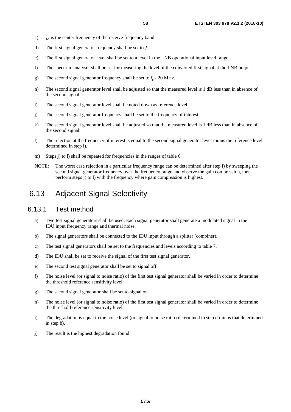- c)  $f_c$  is the center frequency of the receive frequency band.
- d) The first signal generator frequency shall be set to  $f_c$ .
- e) The first signal generator level shall be set to a level in the LNB operational input level range.
- f) The spectrum analyser shall be set for measuring the level of the converted first signal at the LNB output.
- g) The second signal generator frequency shall be set to  $f_c$  20 MHz.
- h) The second signal generator level shall be adjusted so that the measured level is 1 dB less than in absence of the second signal.
- i) The second signal generator level shall be noted down as reference level.
- j) The second signal generator frequency shall be set to the frequency of interest.
- k) The second signal generator level shall be adjusted so that the measured level is 1 dB less than in absence of the second signal.
- l) The rejection at the frequency of interest is equal to the second signal generator level minus the reference level determined in step i).
- m) Steps j to l shall be repeated for frequencies in the ranges of table 6.
- NOTE: The worst case rejection in a particular frequency range can be determined after step i) by sweeping the second signal generator frequency over the frequency range and observe the gain compression, then perform steps j) to l) with the frequency where gain compression is highest.

## 6.13 Adjacent Signal Selectivity

### 6.13.1 Test method

- a) Two test signal generators shall be used. Each signal generator shall generate a modulated signal in the IDU input frequency range and thermal noise.
- b) The signal generators shall be connected to the IDU input through a splitter (combiner).
- c) The test signal generators shall be set to the frequencies and levels according to table 7.
- d) The IDU shall be set to receive the signal of the first test signal generator.
- e) The second test signal generator shall be set to signal off.
- f) The noise level (or signal to noise ratio) of the first test signal generator shall be varied in order to determine the threshold reference sensitivity level.
- g) The second signal generator shall be set to signal on.
- h) The noise level (or signal to noise ratio) of the first test signal generator shall be varied in order to determine the threshold reference sensitivity level.
- i) The degradation is equal to the noise level (or signal to noise ratio) determined in step d minus that determined in step b).
- j) The result is the highest degradation found.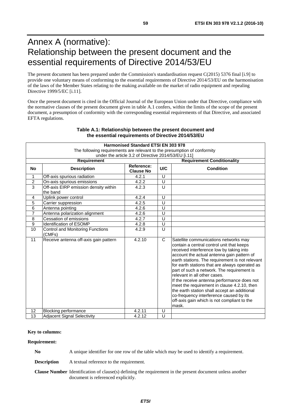# Annex A (normative): Relationship between the present document and the essential requirements of Directive 2014/53/EU

The present document has been prepared under the Commission's standardisation request C(2015) 5376 final [\[i.9](#page-11-0)] to provide one voluntary means of conforming to the essential requirements of Directive 2014/53/EU on the harmonisation of the laws of the Member States relating to the making available on the market of radio equipment and repealing Directive 1999/5/EC [\[i.11](#page-11-0)].

Once the present document is cited in the Official Journal of the European Union under that Directive, compliance with the normative clauses of the present document given in table A.1 confers, within the limits of the scope of the present document, a presumption of conformity with the corresponding essential requirements of that Directive, and associated EFTA regulations.

| <b>Harmonised Standard ETSI EN 303 978</b>                               |                                                   |                                |                                   |                                                                                                                                                                                                                                                                                                                                                                                                                                                                                                                                                                                                                  |  |  |
|--------------------------------------------------------------------------|---------------------------------------------------|--------------------------------|-----------------------------------|------------------------------------------------------------------------------------------------------------------------------------------------------------------------------------------------------------------------------------------------------------------------------------------------------------------------------------------------------------------------------------------------------------------------------------------------------------------------------------------------------------------------------------------------------------------------------------------------------------------|--|--|
| The following requirements are relevant to the presumption of conformity |                                                   |                                |                                   |                                                                                                                                                                                                                                                                                                                                                                                                                                                                                                                                                                                                                  |  |  |
| under the article 3.2 of Directive 2014/53/EU [i.11]                     |                                                   |                                |                                   |                                                                                                                                                                                                                                                                                                                                                                                                                                                                                                                                                                                                                  |  |  |
|                                                                          | <b>Requirement</b>                                |                                | <b>Requirement Conditionality</b> |                                                                                                                                                                                                                                                                                                                                                                                                                                                                                                                                                                                                                  |  |  |
| <b>No</b>                                                                | <b>Description</b>                                | Reference:<br><b>Clause No</b> | U/C                               | <b>Condition</b>                                                                                                                                                                                                                                                                                                                                                                                                                                                                                                                                                                                                 |  |  |
| 1                                                                        | Off-axis spurious radiation                       | 4.2.1                          | U                                 |                                                                                                                                                                                                                                                                                                                                                                                                                                                                                                                                                                                                                  |  |  |
| $\overline{c}$                                                           | On-axis spurious emissions                        | 4.2.2                          | $\cup$                            |                                                                                                                                                                                                                                                                                                                                                                                                                                                                                                                                                                                                                  |  |  |
| $\overline{3}$                                                           | Off-axis EIRP emission density within<br>the band | 4.2.3                          | $\cup$                            |                                                                                                                                                                                                                                                                                                                                                                                                                                                                                                                                                                                                                  |  |  |
| $\overline{4}$                                                           | Uplink power control                              | 4.2.4                          | U                                 |                                                                                                                                                                                                                                                                                                                                                                                                                                                                                                                                                                                                                  |  |  |
| $\overline{5}$                                                           | Carrier suppression                               | 4.2.5                          | U                                 |                                                                                                                                                                                                                                                                                                                                                                                                                                                                                                                                                                                                                  |  |  |
| 6                                                                        | Antenna pointing                                  | 4.2.6                          | $\cup$                            |                                                                                                                                                                                                                                                                                                                                                                                                                                                                                                                                                                                                                  |  |  |
| $\overline{7}$                                                           | Antenna polarization alignment                    | 4.2.6                          | U                                 |                                                                                                                                                                                                                                                                                                                                                                                                                                                                                                                                                                                                                  |  |  |
| 8                                                                        | Cessation of emissions                            | 4.2.7                          | U                                 |                                                                                                                                                                                                                                                                                                                                                                                                                                                                                                                                                                                                                  |  |  |
| $\overline{9}$                                                           | <b>Identification of ESOMP</b>                    | 4.2.8                          | $\overline{U}$                    |                                                                                                                                                                                                                                                                                                                                                                                                                                                                                                                                                                                                                  |  |  |
| 10                                                                       | Control and Monitoring Functions<br>(CMFs)        | 4.2.9                          | $\cup$                            |                                                                                                                                                                                                                                                                                                                                                                                                                                                                                                                                                                                                                  |  |  |
| 11                                                                       | Receive antenna off-axis gain pattern             | 4.2.10                         | $\mathsf{C}$                      | Satellite communications networks may<br>contain a central control unit that keeps<br>received interference low by taking into<br>account the actual antenna gain pattern of<br>earth stations. The requirement is not relevant<br>for earth stations that are always operated as<br>part of such a network. The requirement is<br>relevant in all other cases.<br>If the receive antenna performance does not<br>meet the requirement in clause 4.2.10, then<br>the earth station shall accept an additional<br>co-frequency interference caused by its<br>off-axis gain which is not compliant to the<br>mask. |  |  |
| 12                                                                       | <b>Blocking performance</b>                       | 4.2.11                         | U                                 |                                                                                                                                                                                                                                                                                                                                                                                                                                                                                                                                                                                                                  |  |  |
| 13                                                                       | <b>Adjacent Signal Selectivity</b>                | 4.2.12                         | U                                 |                                                                                                                                                                                                                                                                                                                                                                                                                                                                                                                                                                                                                  |  |  |

### **Table A.1: Relationship between the present document and the essential requirements of Directive 2014/53/EU**

#### **Key to columns:**

#### **Requirement:**

**No** A unique identifier for one row of the table which may be used to identify a requirement.

**Description** A textual reference to the requirement.

**Clause Number** Identification of clause(s) defining the requirement in the present document unless another document is referenced explicitly.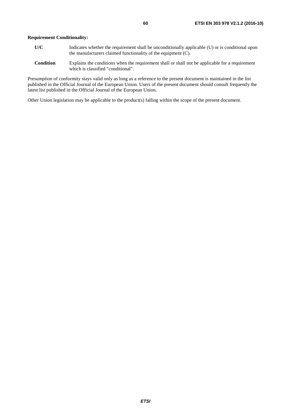- **U/C** Indicates whether the requirement shall be unconditionally applicable (U) or is conditional upon the manufacturers claimed functionality of the equipment (C).
- **Condition** Explains the conditions when the requirement shall or shall not be applicable for a requirement which is classified "conditional".

Presumption of conformity stays valid only as long as a reference to the present document is maintained in the list published in the Official Journal of the European Union. Users of the present document should consult frequently the latest list published in the Official Journal of the European Union.

Other Union legislation may be applicable to the product(s) falling within the scope of the present document.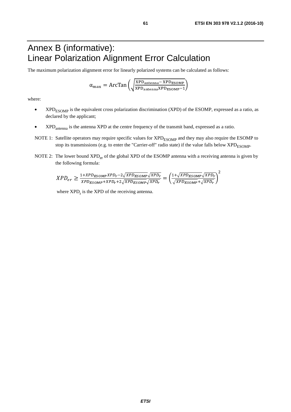# Annex B (informative): Linear Polarization Alignment Error Calculation

The maximum polarization alignment error for linearly polarized systems can be calculated as follows:

$$
\alpha_{\text{max}} = \text{ArcTan}\left(\sqrt{\frac{XPD_{\text{antenna}} - XPD_{\text{ESOMP}}}{XPD_{\text{antenna}}XPD_{\text{ESOMP}}-1}}\right)
$$

where:

- XPD<sub>ESOMP</sub> is the equivalent cross polarization discrimination (XPD) of the ESOMP, expressed as a ratio, as declared by the applicant;
- XPD<sub>antenna</sub> is the antenna XPD at the centre frequency of the transmit band, expressed as a ratio.
- NOTE 1: Satellite operators may require specific values for XPD<sub>ESOMP</sub> and they may also require the ESOMP to stop its transmissions (e.g. to enter the "Carrier-off" radio state) if the value falls below  $XPD_{\text{ESOMP}}$ .
- NOTE 2: The lower bound XPD<sub>er</sub> of the global XPD of the ESOMP antenna with a receiving antenna is given by the following formula:

$$
XPD_{er} \geq \frac{1+XPD_{ESOMP}XPD_r-2\sqrt{XPD_{ESOMP}}\sqrt{XPD_r}}{XPD_{ESOMP}+XPD_r+2\sqrt{XPD_{ESOMP}}\sqrt{XPD_r}} = \left(\frac{1+\sqrt{XPD_{ESOMP}}\sqrt{XPD_r}}{\sqrt{XPD_{ESOMP}}+\sqrt{XPD_r}}\right)^2
$$

where  $XPD_r$  is the  $XPD$  of the receiving antenna.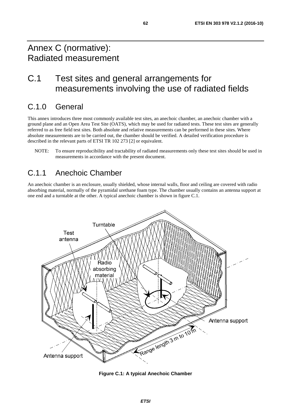# Annex C (normative): Radiated measurement

# C.1 Test sites and general arrangements for measurements involving the use of radiated fields

# C.1.0 General

This annex introduces three most commonly available test sites, an anechoic chamber, an anechoic chamber with a ground plane and an Open Area Test Site (OATS), which may be used for radiated tests. These test sites are generally referred to as free field test sites. Both absolute and relative measurements can be performed in these sites. Where absolute measurements are to be carried out, the chamber should be verified. A detailed verification procedure is described in the relevant parts of ETSI TR 102 273 [\[2](#page-10-0)] or equivalent.

NOTE: To ensure reproducibility and tractability of radiated measurements only these test sites should be used in measurements in accordance with the present document.

## C.1.1 Anechoic Chamber

An anechoic chamber is an enclosure, usually shielded, whose internal walls, floor and ceiling are covered with radio absorbing material, normally of the pyramidal urethane foam type. The chamber usually contains an antenna support at one end and a turntable at the other. A typical anechoic chamber is shown in figure C.1.



**Figure C.1: A typical Anechoic Chamber**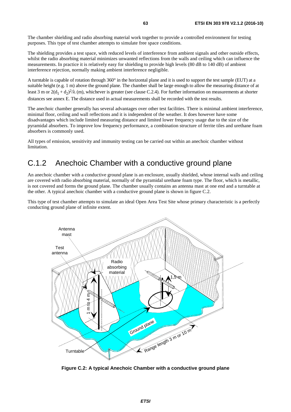The chamber shielding and radio absorbing material work together to provide a controlled environment for testing purposes. This type of test chamber attempts to simulate free space conditions.

The shielding provides a test space, with reduced levels of interference from ambient signals and other outside effects, whilst the radio absorbing material minimizes unwanted reflections from the walls and ceiling which can influence the measurements. In practice it is relatively easy for shielding to provide high levels (80 dB to 140 dB) of ambient interference rejection, normally making ambient interference negligible.

A turntable is capable of rotation through 360° in the horizontal plane and it is used to support the test sample (EUT) at a suitable height (e.g. 1 m) above the ground plane. The chamber shall be large enough to allow the measuring distance of at least 3 m or  $2(d_1 + d_2)^2/\lambda$  (m), whichever is greater (see clause C.2.4). For further information on measurements at shorter distances see annex E. The distance used in actual measurements shall be recorded with the test results.

The anechoic chamber generally has several advantages over other test facilities. There is minimal ambient interference, minimal floor, ceiling and wall reflections and it is independent of the weather. It does however have some disadvantages which include limited measuring distance and limited lower frequency usage due to the size of the pyramidal absorbers. To improve low frequency performance, a combination structure of ferrite tiles and urethane foam absorbers is commonly used.

All types of emission, sensitivity and immunity testing can be carried out within an anechoic chamber without limitation.

## C.1.2 Anechoic Chamber with a conductive ground plane

An anechoic chamber with a conductive ground plane is an enclosure, usually shielded, whose internal walls and ceiling are covered with radio absorbing material, normally of the pyramidal urethane foam type. The floor, which is metallic, is not covered and forms the ground plane. The chamber usually contains an antenna mast at one end and a turntable at the other. A typical anechoic chamber with a conductive ground plane is shown in figure C.2.

This type of test chamber attempts to simulate an ideal Open Area Test Site whose primary characteristic is a perfectly conducting ground plane of infinite extent.



**Figure C.2: A typical Anechoic Chamber with a conductive ground plane**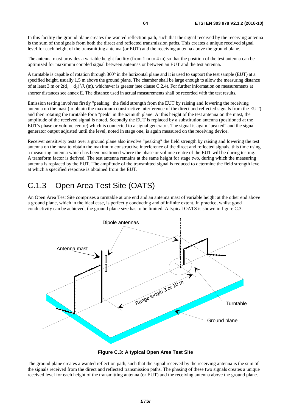In this facility the ground plane creates the wanted reflection path, such that the signal received by the receiving antenna is the sum of the signals from both the direct and reflected transmission paths. This creates a unique received signal level for each height of the transmitting antenna (or EUT) and the receiving antenna above the ground plane.

The antenna mast provides a variable height facility (from 1 m to 4 m) so that the position of the test antenna can be optimized for maximum coupled signal between antennas or between an EUT and the test antenna.

A turntable is capable of rotation through 360° in the horizontal plane and it is used to support the test sample (EUT) at a specified height, usually 1,5 m above the ground plane. The chamber shall be large enough to allow the measuring distance of at least 3 m or  $2(d_1 + d_2)^2/\lambda$  (m), whichever is greater (see clause C.2.4). For further information on measurements at shorter distances see annex E. The distance used in actual measurements shall be recorded with the test results.

Emission testing involves firstly "peaking" the field strength from the EUT by raising and lowering the receiving antenna on the mast (to obtain the maximum constructive interference of the direct and reflected signals from the EUT) and then rotating the turntable for a "peak" in the azimuth plane. At this height of the test antenna on the mast, the amplitude of the received signal is noted. Secondly the EUT is replaced by a substitution antenna (positioned at the EUT's phase or volume centre) which is connected to a signal generator. The signal is again "peaked" and the signal generator output adjusted until the level, noted in stage one, is again measured on the receiving device.

Receiver sensitivity tests over a ground plane also involve "peaking" the field strength by raising and lowering the test antenna on the mast to obtain the maximum constructive interference of the direct and reflected signals, this time using a measuring antenna which has been positioned where the phase or volume centre of the EUT will be during testing. A transform factor is derived. The test antenna remains at the same height for stage two, during which the measuring antenna is replaced by the EUT. The amplitude of the transmitted signal is reduced to determine the field strength level at which a specified response is obtained from the EUT.

# C.1.3 Open Area Test Site (OATS)

An Open Area Test Site comprises a turntable at one end and an antenna mast of variable height at the other end above a ground plane, which in the ideal case, is perfectly conducting and of infinite extent. In practice, whilst good conductivity can be achieved, the ground plane size has to be limited. A typical OATS is shown in figure C.3.



**Figure C.3: A typical Open Area Test Site** 

The ground plane creates a wanted reflection path, such that the signal received by the receiving antenna is the sum of the signals received from the direct and reflected transmission paths. The phasing of these two signals creates a unique received level for each height of the transmitting antenna (or EUT) and the receiving antenna above the ground plane.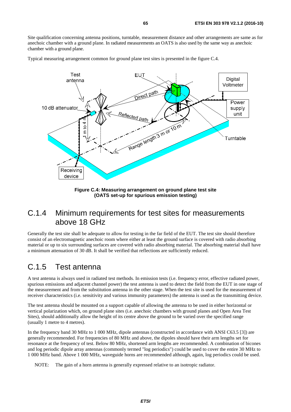Site qualification concerning antenna positions, turntable, measurement distance and other arrangements are same as for anechoic chamber with a ground plane. In radiated measurements an OATS is also used by the same way as anechoic chamber with a ground plane.

Typical measuring arrangement common for ground plane test sites is presented in the figure C.4.



**Figure C.4: Measuring arrangement on ground plane test site (OATS set-up for spurious emission testing)** 

## C.1.4 Minimum requirements for test sites for measurements above 18 GHz

Generally the test site shall be adequate to allow for testing in the far field of the EUT. The test site should therefore consist of an electromagnetic anechoic room where either at least the ground surface is covered with radio absorbing material or up to six surrounding surfaces are covered with radio absorbing material. The absorbing material shall have a minimum attenuation of 30 dB. It shall be verified that reflections are sufficiently reduced.

## C.1.5 Test antenna

A test antenna is always used in radiated test methods. In emission tests (i.e. frequency error, effective radiated power, spurious emissions and adjacent channel power) the test antenna is used to detect the field from the EUT in one stage of the measurement and from the substitution antenna in the other stage. When the test site is used for the measurement of receiver characteristics (i.e. sensitivity and various immunity parameters) the antenna is used as the transmitting device.

The test antenna should be mounted on a support capable of allowing the antenna to be used in either horizontal or vertical polarization which, on ground plane sites (i.e. anechoic chambers with ground planes and Open Area Test Sites), should additionally allow the height of its centre above the ground to be varied over the specified range (usually 1 metre to 4 metres).

In the frequency band 30 MHz to 1 000 MHz, dipole antennas (constructed in accordance with ANSI C63.5 [\[3](#page-10-0)]) are generally recommended. For frequencies of 80 MHz and above, the dipoles should have their arm lengths set for resonance at the frequency of test. Below 80 MHz, shortened arm lengths are recommended. A combination of bicones and log periodic dipole array antennas (commonly termed "log periodics") could be used to cover the entire 30 MHz to 1 000 MHz band. Above 1 000 MHz, waveguide horns are recommended although, again, log periodics could be used.

NOTE: The gain of a horn antenna is generally expressed relative to an isotropic radiator.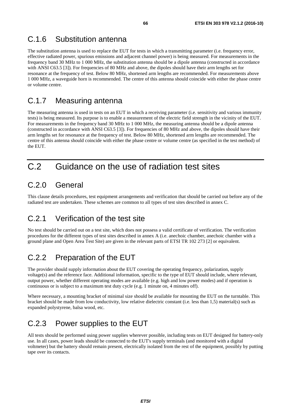# C.1.6 Substitution antenna

The substitution antenna is used to replace the EUT for tests in which a transmitting parameter (i.e. frequency error, effective radiated power, spurious emissions and adjacent channel power) is being measured. For measurements in the frequency band 30 MHz to 1 000 MHz, the substitution antenna should be a dipole antenna (constructed in accordance with ANSI C63.5 [\[3](#page-10-0)]). For frequencies of 80 MHz and above, the dipoles should have their arm lengths set for resonance at the frequency of test. Below 80 MHz, shortened arm lengths are recommended. For measurements above 1 000 MHz, a waveguide horn is recommended. The centre of this antenna should coincide with either the phase centre or volume centre.

# C.1.7 Measuring antenna

The measuring antenna is used in tests on an EUT in which a receiving parameter (i.e. sensitivity and various immunity tests) is being measured. Its purpose is to enable a measurement of the electric field strength in the vicinity of the EUT. For measurements in the frequency band 30 MHz to 1 000 MHz, the measuring antenna should be a dipole antenna (constructed in accordance with ANSI C63.5 [\[3](#page-10-0)]). For frequencies of 80 MHz and above, the dipoles should have their arm lengths set for resonance at the frequency of test. Below 80 MHz, shortened arm lengths are recommended. The centre of this antenna should coincide with either the phase centre or volume centre (as specified in the test method) of the EUT.

# C.2 Guidance on the use of radiation test sites

# C.2.0 General

This clause details procedures, test equipment arrangements and verification that should be carried out before any of the radiated test are undertaken. These schemes are common to all types of test sites described in annex C.

# C.2.1 Verification of the test site

No test should be carried out on a test site, which does not possess a valid certificate of verification. The verification procedures for the different types of test sites described in annex A (i.e. anechoic chamber, anechoic chamber with a ground plane and Open Area Test Site) are given in the relevant parts of ETSI TR 102 273 [\[2](#page-10-0)] or equivalent.

# C.2.2 Preparation of the EUT

The provider should supply information about the EUT covering the operating frequency, polarization, supply voltage(s) and the reference face. Additional information, specific to the type of EUT should include, where relevant, output power, whether different operating modes are available (e.g. high and low power modes) and if operation is continuous or is subject to a maximum test duty cycle (e.g. 1 minute on, 4 minutes off).

Where necessary, a mounting bracket of minimal size should be available for mounting the EUT on the turntable. This bracket should be made from low conductivity, low relative dielectric constant (i.e. less than 1,5) material(s) such as expanded polystyrene, balsa wood, etc.

# C.2.3 Power supplies to the EUT

All tests should be performed using power supplies wherever possible, including tests on EUT designed for battery-only use. In all cases, power leads should be connected to the EUT's supply terminals (and monitored with a digital voltmeter) but the battery should remain present, electrically isolated from the rest of the equipment, possibly by putting tape over its contacts.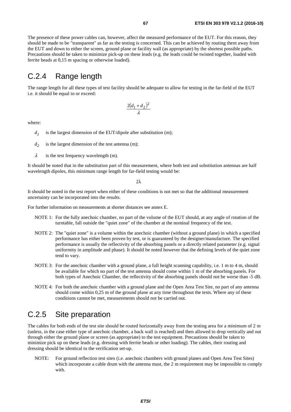The presence of these power cables can, however, affect the measured performance of the EUT. For this reason, they should be made to be "transparent" as far as the testing is concerned. This can be achieved by routing them away from the EUT and down to either the screen, ground plane or facility wall (as appropriate) by the shortest possible paths. Precautions should be taken to minimize pick-up on these leads (e.g. the leads could be twisted together, loaded with ferrite beads at 0,15 m spacing or otherwise loaded).

## C.2.4 Range length

The range length for all these types of test facility should be adequate to allow for testing in the far-field of the EUT i.e. it should be equal to or exceed:

$$
\frac{2(d_1+d_2)^2}{\lambda}
$$

where:

- $d_1$  is the largest dimension of the EUT/dipole after substitution (m);
- $d_2$  is the largest dimension of the test antenna (m);
- $\lambda$  is the test frequency wavelength (m).

It should be noted that in the substitution part of this measurement, where both test and substitution antennas are half wavelength dipoles, this minimum range length for far-field testing would be:

 $2λ$ 

It should be noted in the test report when either of these conditions is not met so that the additional measurement uncertainty can be incorporated into the results.

For further information on measurements at shorter distances see annex E.

- NOTE 1: For the fully anechoic chamber, no part of the volume of the EUT should, at any angle of rotation of the turntable, fall outside the "quiet zone" of the chamber at the nominal frequency of the test.
- NOTE 2: The "quiet zone" is a volume within the anechoic chamber (without a ground plane) in which a specified performance has either been proven by test, or is guaranteed by the designer/manufacture. The specified performance is usually the reflectivity of the absorbing panels or a directly related parameter (e.g. signal uniformity in amplitude and phase). It should be noted however that the defining levels of the quiet zone tend to vary.
- NOTE 3: For the anechoic chamber with a ground plane, a full height scanning capability, i.e. 1 m to 4 m, should be available for which no part of the test antenna should come within 1 m of the absorbing panels. For both types of Anechoic Chamber, the reflectivity of the absorbing panels should not be worse than -5 dB.
- NOTE 4: For both the anechoic chamber with a ground plane and the Open Area Test Site, no part of any antenna should come within 0,25 m of the ground plane at any time throughout the tests. Where any of these conditions cannot be met, measurements should not be carried out.

## C.2.5 Site preparation

The cables for both ends of the test site should be routed horizontally away from the testing area for a minimum of 2 m (unless, in the case either type of anechoic chamber, a back wall is reached) and then allowed to drop vertically and out through either the ground plane or screen (as appropriate) to the test equipment. Precautions should be taken to minimize pick up on these leads (e.g. dressing with ferrite beads or other loading). The cables, their routing and dressing should be identical to the verification set-up.

NOTE: For ground reflection test sites (i.e. anechoic chambers with ground planes and Open Area Test Sites) which incorporate a cable drum with the antenna mast, the 2 m requirement may be impossible to comply with.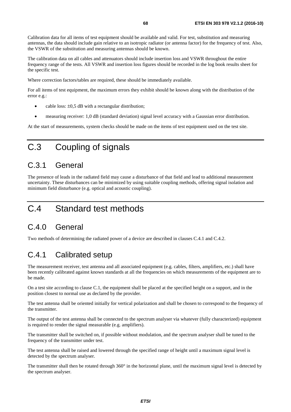Calibration data for all items of test equipment should be available and valid. For test, substitution and measuring antennas, the data should include gain relative to an isotropic radiator (or antenna factor) for the frequency of test. Also, the VSWR of the substitution and measuring antennas should be known.

The calibration data on all cables and attenuators should include insertion loss and VSWR throughout the entire frequency range of the tests. All VSWR and insertion loss figures should be recorded in the log book results sheet for the specific test.

Where correction factors/tables are required, these should be immediately available.

For all items of test equipment, the maximum errors they exhibit should be known along with the distribution of the error e.g.:

- cable loss:  $\pm 0.5$  dB with a rectangular distribution;
- measuring receiver: 1,0 dB (standard deviation) signal level accuracy with a Gaussian error distribution.

At the start of measurements, system checks should be made on the items of test equipment used on the test site.

# C.3 Coupling of signals

## C.3.1 General

The presence of leads in the radiated field may cause a disturbance of that field and lead to additional measurement uncertainty. These disturbances can be minimized by using suitable coupling methods, offering signal isolation and minimum field disturbance (e.g. optical and acoustic coupling).

# C.4 Standard test methods

## C.4.0 General

Two methods of determining the radiated power of a device are described in clauses C.4.1 and C.4.2.

## C.4.1 Calibrated setup

The measurement receiver, test antenna and all associated equipment (e.g. cables, filters, amplifiers, etc.) shall have been recently calibrated against known standards at all the frequencies on which measurements of the equipment are to be made.

On a test site according to clause C.1, the equipment shall be placed at the specified height on a support, and in the position closest to normal use as declared by the provider.

The test antenna shall be oriented initially for vertical polarization and shall be chosen to correspond to the frequency of the transmitter.

The output of the test antenna shall be connected to the spectrum analyser via whatever (fully characterized) equipment is required to render the signal measurable (e.g. amplifiers).

The transmitter shall be switched on, if possible without modulation, and the spectrum analyser shall be tuned to the frequency of the transmitter under test.

The test antenna shall be raised and lowered through the specified range of height until a maximum signal level is detected by the spectrum analyser.

The transmitter shall then be rotated through  $360^\circ$  in the horizontal plane, until the maximum signal level is detected by the spectrum analyser.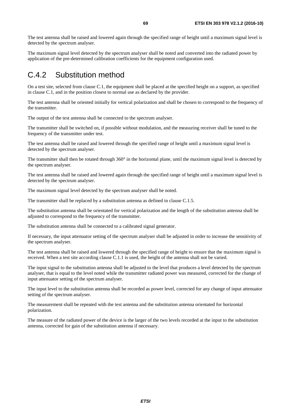The maximum signal level detected by the spectrum analyser shall be noted and converted into the radiated power by application of the pre-determined calibration coefficients for the equipment configuration used.

# C.4.2 Substitution method

On a test site, selected from clause C.1, the equipment shall be placed at the specified height on a support, as specified in clause C.1, and in the position closest to normal use as declared by the provider.

The test antenna shall be oriented initially for vertical polarization and shall be chosen to correspond to the frequency of the transmitter.

The output of the test antenna shall be connected to the spectrum analyser.

The transmitter shall be switched on, if possible without modulation, and the measuring receiver shall be tuned to the frequency of the transmitter under test.

The test antenna shall be raised and lowered through the specified range of height until a maximum signal level is detected by the spectrum analyser.

The transmitter shall then be rotated through  $360^\circ$  in the horizontal plane, until the maximum signal level is detected by the spectrum analyser.

The test antenna shall be raised and lowered again through the specified range of height until a maximum signal level is detected by the spectrum analyser.

The maximum signal level detected by the spectrum analyser shall be noted.

The transmitter shall be replaced by a substitution antenna as defined in clause C.1.5.

The substitution antenna shall be orientated for vertical polarization and the length of the substitution antenna shall be adjusted to correspond to the frequency of the transmitter.

The substitution antenna shall be connected to a calibrated signal generator.

If necessary, the input attenuator setting of the spectrum analyser shall be adjusted in order to increase the sensitivity of the spectrum analyser.

The test antenna shall be raised and lowered through the specified range of height to ensure that the maximum signal is received. When a test site according clause C.1.1 is used, the height of the antenna shall not be varied.

The input signal to the substitution antenna shall be adjusted to the level that produces a level detected by the spectrum analyser, that is equal to the level noted while the transmitter radiated power was measured, corrected for the change of input attenuator setting of the spectrum analyser.

The input level to the substitution antenna shall be recorded as power level, corrected for any change of input attenuator setting of the spectrum analyser.

The measurement shall be repeated with the test antenna and the substitution antenna orientated for horizontal polarization.

The measure of the radiated power of the device is the larger of the two levels recorded at the input to the substitution antenna, corrected for gain of the substitution antenna if necessary.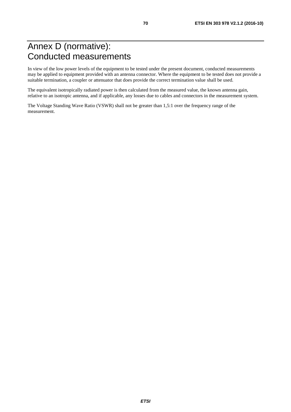# Annex D (normative): Conducted measurements

In view of the low power levels of the equipment to be tested under the present document, conducted measurements may be applied to equipment provided with an antenna connector. Where the equipment to be tested does not provide a suitable termination, a coupler or attenuator that does provide the correct termination value shall be used.

The equivalent isotropically radiated power is then calculated from the measured value, the known antenna gain, relative to an isotropic antenna, and if applicable, any losses due to cables and connectors in the measurement system.

The Voltage Standing Wave Ratio (VSWR) shall not be greater than 1,5:1 over the frequency range of the measurement.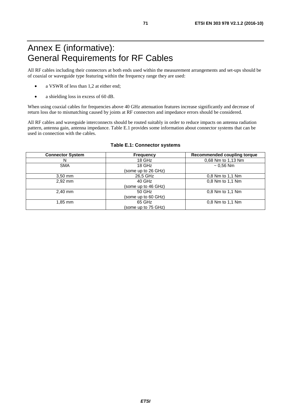# Annex E (informative): General Requirements for RF Cables

All RF cables including their connectors at both ends used within the measurement arrangements and set-ups should be of coaxial or waveguide type featuring within the frequency range they are used:

- a VSWR of less than 1,2 at either end;
- a shielding loss in excess of 60 dB.

When using coaxial cables for frequencies above 40 GHz attenuation features increase significantly and decrease of return loss due to mismatching caused by joints at RF connectors and impedance errors should be considered.

All RF cables and waveguide interconnects should be routed suitably in order to reduce impacts on antenna radiation pattern, antenna gain, antenna impedance. Table E.1 provides some information about connector systems that can be used in connection with the cables.

| <b>Connector System</b> | <b>Frequency</b>    | Recommended coupling torque |
|-------------------------|---------------------|-----------------------------|
| N                       | 18 GHz              | 0.68 Nm to 1.13 Nm          |
| <b>SMA</b>              | 18 GHz              | $~1$ - 0.56 Nm              |
|                         | (some up to 26 GHz) |                             |
| $3,50$ mm               | 26.5 GHz            | 0.8 Nm to 1.1 Nm            |
| 2,92 mm                 | 40 GHz              | 0.8 Nm to 1.1 Nm            |
|                         | (some up to 46 GHz) |                             |
| 2,40 mm                 | 50 GHz              | 0.8 Nm to 1.1 Nm            |
|                         | (some up to 60 GHz) |                             |
| 1,85 mm                 | 65 GHz              | 0.8 Nm to 1.1 Nm            |
|                         | (some up to 75 GHz) |                             |

#### **Table E.1: Connector systems**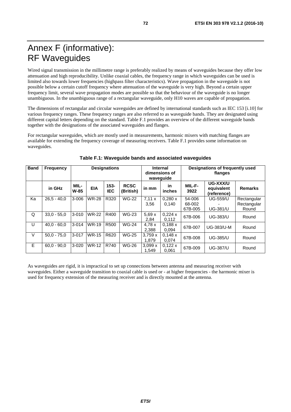# Annex F (informative): RF Waveguides

Wired signal transmission in the millimetre range is preferably realized by means of waveguides because they offer low attenuation and high reproducibility. Unlike coaxial cables, the frequency range in which waveguides can be used is limited also towards lower frequencies (highpass filter characteristics). Wave propagation in the waveguide is not possible below a certain cutoff frequency where attenuation of the waveguide is very high. Beyond a certain upper frequency limit, several wave propagation modes are possible so that the behaviour of the waveguide is no longer unambiguous. In the unambiguous range of a rectangular waveguide, only H10 waves are capable of propagation.

The dimensions of rectangular and circular waveguides are defined by international standards such as IEC 153 [\[i.10](#page-11-0)] for various frequency ranges. These frequency ranges are also referred to as waveguide bands. They are designated using different capital letters depending on the standard. Table F.1 provides an overview of the different waveguide bands together with the designations of the associated waveguides and flanges.

For rectangular waveguides, which are mostly used in measurements, harmonic mixers with matching flanges are available for extending the frequency coverage of measuring receivers. Table F.1 provides some information on waveguides.

| <b>Band</b> | <b>Frequency</b> | <b>Designations</b> |              |                       | <b>Internal</b><br>dimensions of<br>wavequide |                 | Designations of frequently used<br>flanges |                             |                                       |                                     |
|-------------|------------------|---------------------|--------------|-----------------------|-----------------------------------------------|-----------------|--------------------------------------------|-----------------------------|---------------------------------------|-------------------------------------|
|             | in GHz           | MIL-<br>$W-85$      | <b>EIA</b>   | $153 -$<br><b>IEC</b> | <b>RCSC</b><br>(British)                      | in mm           | in<br><i>inches</i>                        | MIL-F-<br>3922              | UG-XXX/U<br>equivalent<br>(reference) | <b>Remarks</b>                      |
| Ka          | $26,5 - 40,0$    | $3 - 006$           | <b>WR-28</b> | R320                  | <b>WG-22</b>                                  | 7.11x<br>3,56   | 0,280x<br>0,140                            | 54-006<br>68-002<br>67B-005 | <b>UG-559/U</b><br><b>UG-381/U</b>    | Rectangular<br>Rectangular<br>Round |
| Q           | $33,0 - 55,0$    | $3 - 010$           | <b>WR-22</b> | R400                  | <b>WG-23</b>                                  | 5,69x<br>2,84   | 0,224x<br>0,112                            | 67B-006                     | <b>UG-383/U</b>                       | Round                               |
| U           | $40.0 - 60.0$    | $3 - 014$           | <b>WR-19</b> | R <sub>500</sub>      | <b>WG-24</b>                                  | 4.78x<br>2,388  | 0,188x<br>0.094                            | 67B-007                     | <b>UG-383/U-M</b>                     | Round                               |
| $\vee$      | $50.0 - 75.0$    | $3 - 017$           | <b>WR-15</b> | R620                  | <b>WG-25</b>                                  | 3,759x<br>1.879 | 0,148x<br>0,074                            | 67B-008                     | <b>UG-385/U</b>                       | Round                               |
| E           | $60.0 - 90.0$    | $3 - 020$           | <b>WR-12</b> | R740                  | <b>WG-26</b>                                  | 3,099x<br>1.549 | 0,122x<br>0,061                            | 67B-009                     | <b>UG-387/U</b>                       | Round                               |

### **Table F.1: Waveguide bands and associated waveguides**

As waveguides are rigid, it is impractical to set up connections between antenna and measuring receiver with waveguides. Either a waveguide transition to coaxial cable is used or - at higher frequencies - the harmonic mixer is used for frequency extension of the measuring receiver and is directly mounted at the antenna.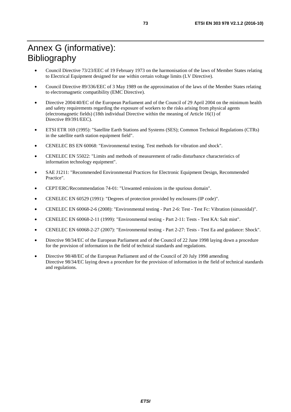## Annex G (informative): Bibliography

- Council Directive 73/23/EEC of 19 February 1973 on the harmonisation of the laws of Member States relating to Electrical Equipment designed for use within certain voltage limits (LV Directive).
- Council Directive 89/336/EEC of 3 May 1989 on the approximation of the laws of the Member States relating to electromagnetic compatibility (EMC Directive).
- Directive 2004/40/EC of the European Parliament and of the Council of 29 April 2004 on the minimum health and safety requirements regarding the exposure of workers to the risks arising from physical agents (electromagnetic fields) (18th individual Directive within the meaning of Article 16(1) of Directive 89/391/EEC).
- ETSI ETR 169 (1995): "Satellite Earth Stations and Systems (SES); Common Technical Regulations (CTRs) in the satellite earth station equipment field".
- CENELEC BS EN 60068: "Environmental testing. Test methods for vibration and shock".
- CENELEC EN 55022: "Limits and methods of measurement of radio disturbance characteristics of information technology equipment".
- SAE J1211: "Recommended Environmental Practices for Electronic Equipment Design, Recommended Practice".
- CEPT/ERC/Recommendation 74-01: "Unwanted emissions in the spurious domain".
- CENELEC EN 60529 (1991): "Degrees of protection provided by enclosures (IP code)".
- CENELEC EN 60068-2-6 (2008): "Environmental testing Part 2-6: Test Test Fc: Vibration (sinusoidal)".
- CENELEC EN 60068-2-11 (1999): "Environmental testing Part 2-11: Tests Test KA: Salt mist".
- CENELEC EN 60068-2-27 (2007): "Environmental testing Part 2-27: Tests Test Ea and guidance: Shock".
- Directive 98/34/EC of the European Parliament and of the Council of 22 June 1998 laying down a procedure for the provision of information in the field of technical standards and regulations.
- Directive 98/48/EC of the European Parliament and of the Council of 20 July 1998 amending Directive 98/34/EC laying down a procedure for the provision of information in the field of technical standards and regulations.